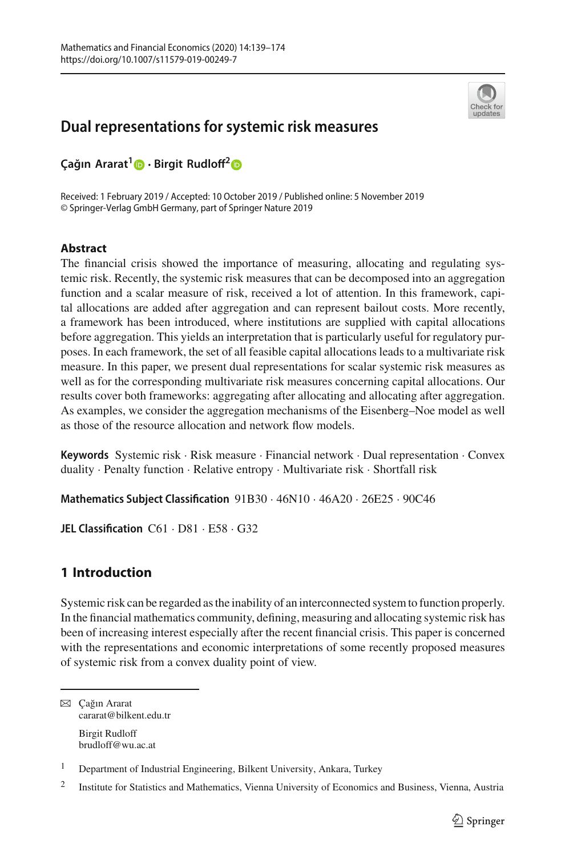

# **Dual representations for systemic risk measures**

**Ça ˘gın Ararat[1](http://orcid.org/0000-0002-6985-7665) · Birgit Rudloff[2](http://orcid.org/0000-0003-1675-5451)**

Received: 1 February 2019 / Accepted: 10 October 2019 / Published online: 5 November 2019 © Springer-Verlag GmbH Germany, part of Springer Nature 2019

# **Abstract**

The financial crisis showed the importance of measuring, allocating and regulating systemic risk. Recently, the systemic risk measures that can be decomposed into an aggregation function and a scalar measure of risk, received a lot of attention. In this framework, capital allocations are added after aggregation and can represent bailout costs. More recently, a framework has been introduced, where institutions are supplied with capital allocations before aggregation. This yields an interpretation that is particularly useful for regulatory purposes. In each framework, the set of all feasible capital allocations leads to a multivariate risk measure. In this paper, we present dual representations for scalar systemic risk measures as well as for the corresponding multivariate risk measures concerning capital allocations. Our results cover both frameworks: aggregating after allocating and allocating after aggregation. As examples, we consider the aggregation mechanisms of the Eisenberg–Noe model as well as those of the resource allocation and network flow models.

**Keywords** Systemic risk · Risk measure · Financial network · Dual representation · Convex duality · Penalty function · Relative entropy · Multivariate risk · Shortfall risk

**Mathematics Subject Classification** 91B30 · 46N10 · 46A20 · 26E25 · 90C46

**JEL Classification** C61 · D81 · E58 · G32

# <span id="page-0-0"></span>**1 Introduction**

Systemic risk can be regarded as the inability of an interconnected system to function properly. In the financial mathematics community, defining, measuring and allocating systemic risk has been of increasing interest especially after the recent financial crisis. This paper is concerned with the representations and economic interpretations of some recently proposed measures of systemic risk from a convex duality point of view.

**<sup>⊠</sup>** Cağın Ararat cararat@bilkent.edu.tr Birgit Rudloff brudloff@wu.ac.at

<sup>&</sup>lt;sup>1</sup> Department of Industrial Engineering, Bilkent University, Ankara, Turkey

<sup>&</sup>lt;sup>2</sup> Institute for Statistics and Mathematics, Vienna University of Economics and Business, Vienna, Austria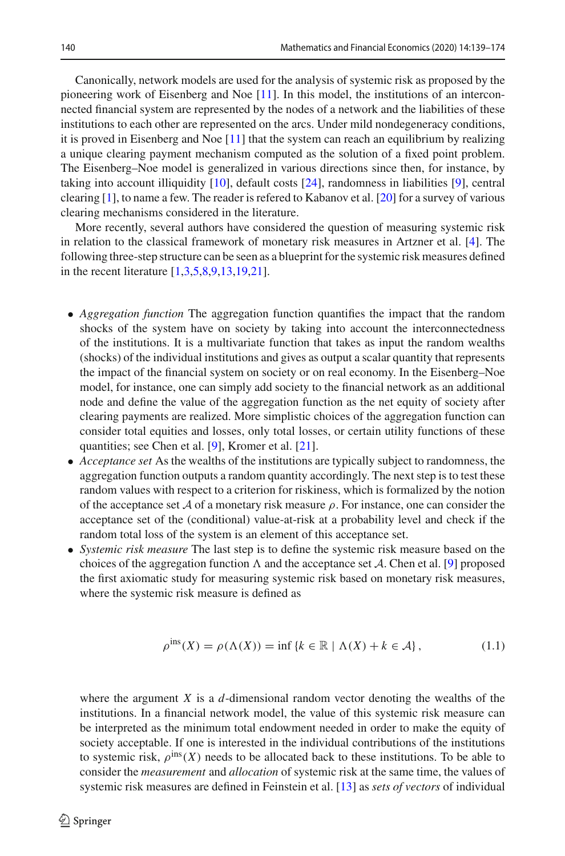Canonically, network models are used for the analysis of systemic risk as proposed by the pioneering work of Eisenberg and Noe [\[11](#page-34-0)]. In this model, the institutions of an interconnected financial system are represented by the nodes of a network and the liabilities of these institutions to each other are represented on the arcs. Under mild nondegeneracy conditions, it is proved in Eisenberg and Noe [\[11\]](#page-34-0) that the system can reach an equilibrium by realizing a unique clearing payment mechanism computed as the solution of a fixed point problem. The Eisenberg–Noe model is generalized in various directions since then, for instance, by taking into account illiquidity [\[10\]](#page-34-1), default costs [\[24](#page-35-0)], randomness in liabilities [\[9](#page-34-2)], central clearing [\[1](#page-34-3)], to name a few. The reader is refered to Kabanov et al. [\[20](#page-35-1)] for a survey of various clearing mechanisms considered in the literature.

More recently, several authors have considered the question of measuring systemic risk in relation to the classical framework of monetary risk measures in Artzner et al. [\[4\]](#page-34-4). The following three-step structure can be seen as a blueprint for the systemic risk measures defined in the recent literature [\[1](#page-34-3)[,3](#page-34-5)[,5](#page-34-6)[,8](#page-34-7)[,9](#page-34-2)[,13](#page-35-2)[,19](#page-35-3)[,21\]](#page-35-4).

- *Aggregation function* The aggregation function quantifies the impact that the random shocks of the system have on society by taking into account the interconnectedness of the institutions. It is a multivariate function that takes as input the random wealths (shocks) of the individual institutions and gives as output a scalar quantity that represents the impact of the financial system on society or on real economy. In the Eisenberg–Noe model, for instance, one can simply add society to the financial network as an additional node and define the value of the aggregation function as the net equity of society after clearing payments are realized. More simplistic choices of the aggregation function can consider total equities and losses, only total losses, or certain utility functions of these quantities; see Chen et al. [\[9](#page-34-2)], Kromer et al. [\[21](#page-35-4)].
- *Acceptance set* As the wealths of the institutions are typically subject to randomness, the aggregation function outputs a random quantity accordingly. The next step is to test these random values with respect to a criterion for riskiness, which is formalized by the notion of the acceptance set  $A$  of a monetary risk measure  $\rho$ . For instance, one can consider the acceptance set of the (conditional) value-at-risk at a probability level and check if the random total loss of the system is an element of this acceptance set.
- *Systemic risk measure* The last step is to define the systemic risk measure based on the choices of the aggregation function  $\Lambda$  and the acceptance set  $\mathcal{A}$ . Chen et al. [\[9](#page-34-2)] proposed the first axiomatic study for measuring systemic risk based on monetary risk measures, where the systemic risk measure is defined as

<span id="page-1-0"></span>
$$
\rho^{\text{ins}}(X) = \rho(\Lambda(X)) = \inf \{ k \in \mathbb{R} \mid \Lambda(X) + k \in \mathcal{A} \},\tag{1.1}
$$

where the argument *X* is a *d*-dimensional random vector denoting the wealths of the institutions. In a financial network model, the value of this systemic risk measure can be interpreted as the minimum total endowment needed in order to make the equity of society acceptable. If one is interested in the individual contributions of the institutions to systemic risk,  $\rho^{\text{ins}}(X)$  needs to be allocated back to these institutions. To be able to consider the *measurement* and *allocation* of systemic risk at the same time, the values of systemic risk measures are defined in Feinstein et al. [\[13](#page-35-2)] as *sets of vectors* of individual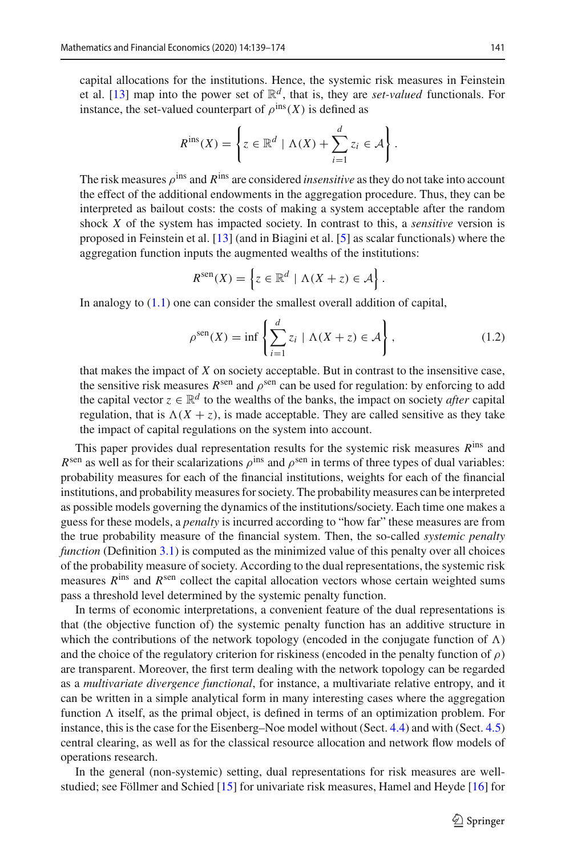capital allocations for the institutions. Hence, the systemic risk measures in Feinstein et al. [\[13](#page-35-2)] map into the power set of  $\mathbb{R}^d$ , that is, they are *set-valued* functionals. For instance, the set-valued counterpart of  $\rho^{\text{ins}}(X)$  is defined as

$$
R^{\text{ins}}(X) = \left\{ z \in \mathbb{R}^d \mid \Lambda(X) + \sum_{i=1}^d z_i \in \mathcal{A} \right\}.
$$

The risk measures ρins and *R*ins are considered *insensitive* as they do not take into account the effect of the additional endowments in the aggregation procedure. Thus, they can be interpreted as bailout costs: the costs of making a system acceptable after the random shock *X* of the system has impacted society. In contrast to this, a *sensitive* version is proposed in Feinstein et al. [\[13\]](#page-35-2) (and in Biagini et al. [\[5\]](#page-34-6) as scalar functionals) where the aggregation function inputs the augmented wealths of the institutions:

$$
R^{\text{sen}}(X) = \left\{ z \in \mathbb{R}^d \mid \Lambda(X + z) \in \mathcal{A} \right\}.
$$

In analogy to [\(1.1\)](#page-1-0) one can consider the smallest overall addition of capital,

<span id="page-2-0"></span>
$$
\rho^{\text{sen}}(X) = \inf \left\{ \sum_{i=1}^{d} z_i \mid \Lambda(X + z) \in \mathcal{A} \right\},\tag{1.2}
$$

that makes the impact of *X* on society acceptable. But in contrast to the insensitive case, the sensitive risk measures  $R^{\text{sen}}$  and  $\rho^{\text{sen}}$  can be used for regulation: by enforcing to add the capital vector  $z \in \mathbb{R}^d$  to the wealths of the banks, the impact on society *after* capital regulation, that is  $\Lambda(X + z)$ , is made acceptable. They are called sensitive as they take the impact of capital regulations on the system into account.

This paper provides dual representation results for the systemic risk measures *R*ins and  $R^{\text{sen}}$  as well as for their scalarizations  $\rho^{\text{ins}}$  and  $\rho^{\text{sen}}$  in terms of three types of dual variables: probability measures for each of the financial institutions, weights for each of the financial institutions, and probability measures for society. The probability measures can be interpreted as possible models governing the dynamics of the institutions/society. Each time one makes a guess for these models, a *penalty* is incurred according to "how far" these measures are from the true probability measure of the financial system. Then, the so-called *systemic penalty function* (Definition [3.1\)](#page-7-0) is computed as the minimized value of this penalty over all choices of the probability measure of society. According to the dual representations, the systemic risk measures  $R^{ins}$  and  $R^{sen}$  collect the capital allocation vectors whose certain weighted sums pass a threshold level determined by the systemic penalty function.

In terms of economic interpretations, a convenient feature of the dual representations is that (the objective function of) the systemic penalty function has an additive structure in which the contributions of the network topology (encoded in the conjugate function of  $\Lambda$ ) and the choice of the regulatory criterion for riskiness (encoded in the penalty function of  $\rho$ ) are transparent. Moreover, the first term dealing with the network topology can be regarded as a *multivariate divergence functional*, for instance, a multivariate relative entropy, and it can be written in a simple analytical form in many interesting cases where the aggregation function  $\Lambda$  itself, as the primal object, is defined in terms of an optimization problem. For instance, this is the case for the Eisenberg–Noe model without (Sect. [4.4\)](#page-15-0) and with (Sect. [4.5\)](#page-18-0) central clearing, as well as for the classical resource allocation and network flow models of operations research.

In the general (non-systemic) setting, dual representations for risk measures are wellstudied; see Föllmer and Schied [\[15](#page-35-5)] for univariate risk measures, Hamel and Heyde [\[16\]](#page-35-6) for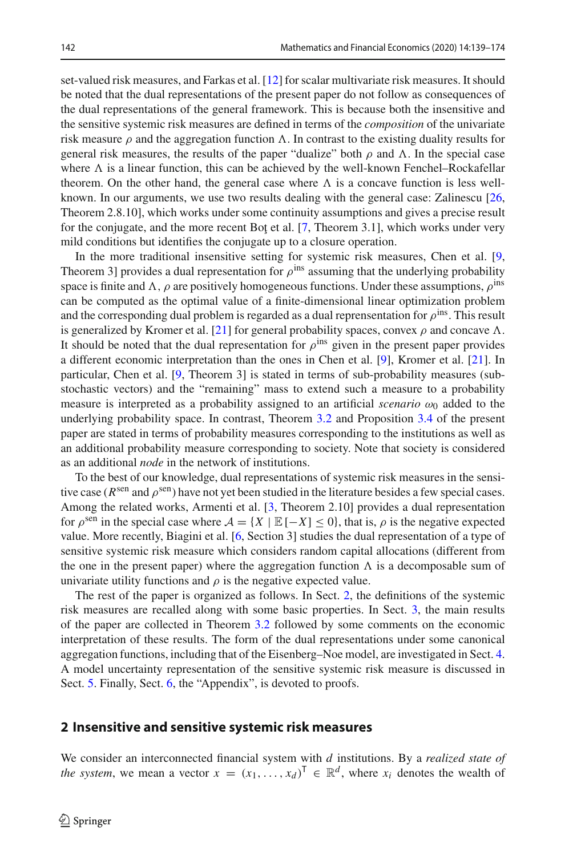set-valued risk measures, and Farkas et al. [\[12\]](#page-34-8) for scalar multivariate risk measures. It should be noted that the dual representations of the present paper do not follow as consequences of the dual representations of the general framework. This is because both the insensitive and the sensitive systemic risk measures are defined in terms of the *composition* of the univariate risk measure  $\rho$  and the aggregation function  $\Lambda$ . In contrast to the existing duality results for general risk measures, the results of the paper "dualize" both  $\rho$  and  $\Lambda$ . In the special case where  $\Lambda$  is a linear function, this can be achieved by the well-known Fenchel–Rockafellar theorem. On the other hand, the general case where  $\Lambda$  is a concave function is less wellknown. In our arguments, we use two results dealing with the general case: Zalinescu [\[26,](#page-35-7) Theorem 2.8.10], which works under some continuity assumptions and gives a precise result for the conjugate, and the more recent Bot et al.  $[7,$  Theorem 3.1], which works under very mild conditions but identifies the conjugate up to a closure operation.

In the more traditional insensitive setting for systemic risk measures, Chen et al. [\[9,](#page-34-2) Theorem 3] provides a dual representation for  $\rho^{\text{ins}}$  assuming that the underlying probability space is finite and  $\Lambda$ ,  $\rho$  are positively homogeneous functions. Under these assumptions,  $\rho^{\text{ins}}$ can be computed as the optimal value of a finite-dimensional linear optimization problem and the corresponding dual problem is regarded as a dual reprensentation for  $\rho^{\text{ins}}$ . This result is generalized by Kromer et al. [\[21](#page-35-4)] for general probability spaces, convex  $\rho$  and concave  $\Lambda$ . It should be noted that the dual representation for  $\rho^{\text{ins}}$  given in the present paper provides a different economic interpretation than the ones in Chen et al. [\[9](#page-34-2)], Kromer et al. [\[21\]](#page-35-4). In particular, Chen et al. [\[9](#page-34-2), Theorem 3] is stated in terms of sub-probability measures (substochastic vectors) and the "remaining" mass to extend such a measure to a probability measure is interpreted as a probability assigned to an artificial *scenario*  $\omega_0$  added to the underlying probability space. In contrast, Theorem [3.2](#page-7-1) and Proposition [3.4](#page-10-0) of the present paper are stated in terms of probability measures corresponding to the institutions as well as an additional probability measure corresponding to society. Note that society is considered as an additional *node* in the network of institutions.

To the best of our knowledge, dual representations of systemic risk measures in the sensitive case ( $R^{\text{sen}}$  and  $\rho^{\text{sen}}$ ) have not yet been studied in the literature besides a few special cases. Among the related works, Armenti et al. [\[3](#page-34-5), Theorem 2.10] provides a dual representation for  $\rho^{\text{sen}}$  in the special case where  $\mathcal{A} = \{X \mid \mathbb{E}[-X] \leq 0\}$ , that is,  $\rho$  is the negative expected value. More recently, Biagini et al. [\[6,](#page-34-10) Section 3] studies the dual representation of a type of sensitive systemic risk measure which considers random capital allocations (different from the one in the present paper) where the aggregation function  $\Lambda$  is a decomposable sum of univariate utility functions and  $\rho$  is the negative expected value.

The rest of the paper is organized as follows. In Sect. [2,](#page-3-0) the definitions of the systemic risk measures are recalled along with some basic properties. In Sect. [3,](#page-6-0) the main results of the paper are collected in Theorem [3.2](#page-7-1) followed by some comments on the economic interpretation of these results. The form of the dual representations under some canonical aggregation functions, including that of the Eisenberg–Noe model, are investigated in Sect. [4.](#page-12-0) A model uncertainty representation of the sensitive systemic risk measure is discussed in Sect. [5.](#page-22-0) Finally, Sect. [6,](#page-25-0) the "Appendix", is devoted to proofs.

## <span id="page-3-0"></span>**2 Insensitive and sensitive systemic risk measures**

We consider an interconnected financial system with *d* institutions. By a *realized state of the system*, we mean a vector  $x = (x_1, \ldots, x_d)^\top \in \mathbb{R}^d$ , where  $x_i$  denotes the wealth of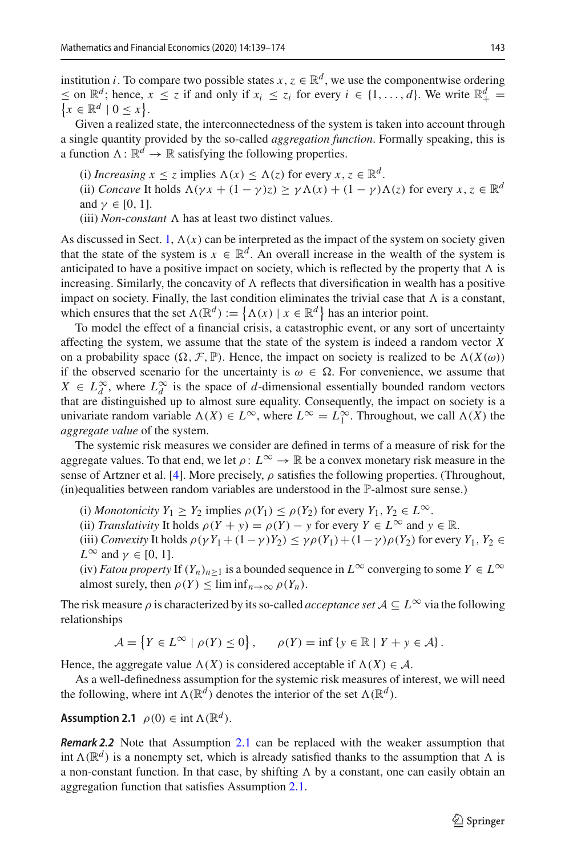institution *i*. To compare two possible states  $x, z \in \mathbb{R}^d$ , we use the componentwise ordering ≤ on  $\mathbb{R}^d$ ; hence, *x* ≤ *z* if and only if *x<sub>i</sub>* ≤ *z<sub>i</sub>* for every *i* ∈ {1, ..., *d*}. We write  $\mathbb{R}^d_+$  = {*x* ∈  $\mathbb{R}^d \mid 0 \le x$ }.  $x \in \mathbb{R}^d \mid 0 \leq x$ .

Given a realized state, the interconnectedness of the system is taken into account through a single quantity provided by the so-called *aggregation function*. Formally speaking, this is a function  $\Lambda: \mathbb{R}^d \to \mathbb{R}$  satisfying the following properties.

(i) *Increasing*  $x \leq z$  implies  $\Lambda(x) \leq \Lambda(z)$  for every  $x, z \in \mathbb{R}^d$ .

(ii) *Concave* It holds  $\Lambda(\gamma x + (1 - \gamma)z) \geq \gamma \Lambda(x) + (1 - \gamma) \Lambda(z)$  for every  $x, z \in \mathbb{R}^d$ and  $\gamma \in [0, 1]$ .

(iii) *Non-constant*  $\Lambda$  has at least two distinct values.

As discussed in Sect. [1,](#page-0-0)  $\Lambda(x)$  can be interpreted as the impact of the system on society given that the state of the system is  $x \in \mathbb{R}^d$ . An overall increase in the wealth of the system is anticipated to have a positive impact on society, which is reflected by the property that  $\Lambda$  is increasing. Similarly, the concavity of  $\Lambda$  reflects that diversification in wealth has a positive impact on society. Finally, the last condition eliminates the trivial case that  $\Lambda$  is a constant, which ensures that the set  $\Lambda(\mathbb{R}^d) := {\Lambda(x) | x \in \mathbb{R}^d}$  has an interior point.

To model the effect of a financial crisis, a catastrophic event, or any sort of uncertainty affecting the system, we assume that the state of the system is indeed a random vector *X* on a probability space  $(\Omega, \mathcal{F}, \mathbb{P})$ . Hence, the impact on society is realized to be  $\Lambda(X(\omega))$ if the observed scenario for the uncertainty is  $\omega \in \Omega$ . For convenience, we assume that  $X \in L_d^{\infty}$ , where  $L_d^{\infty}$  is the space of *d*-dimensional essentially bounded random vectors that are distinguished up to almost sure equality. Consequently, the impact on society is a univariate random variable  $\Lambda(X) \in L^{\infty}$ , where  $L^{\infty} = L_1^{\infty}$ . Throughout, we call  $\Lambda(X)$  the *aggregate value* of the system.

The systemic risk measures we consider are defined in terms of a measure of risk for the aggregate values. To that end, we let  $\rho: L^{\infty} \to \mathbb{R}$  be a convex monetary risk measure in the sense of Artzner et al. [\[4](#page-34-4)]. More precisely,  $\rho$  satisfies the following properties. (Throughout, (in)equalities between random variables are understood in the P-almost sure sense.)

- (i) *Monotonicity*  $Y_1 \geq Y_2$  implies  $\rho(Y_1) \leq \rho(Y_2)$  for every  $Y_1, Y_2 \in L^{\infty}$ .
- (ii) *Translativity* It holds  $\rho(Y + y) = \rho(Y) y$  for every  $Y \in L^{\infty}$  and  $y \in \mathbb{R}$ .
- (iii) *Convexity* It holds  $\rho(\gamma Y_1 + (1 \gamma)Y_2) \leq \gamma \rho(Y_1) + (1 \gamma) \rho(Y_2)$  for every  $Y_1, Y_2 \in$  $L^{\infty}$  and  $\gamma \in [0, 1]$ .
- (iv) *Fatou property* If  $(Y_n)_{n>1}$  is a bounded sequence in  $L^{\infty}$  converging to some  $Y \in L^{\infty}$ almost surely, then  $\rho(Y) \leq \liminf_{n \to \infty} \rho(Y_n)$ .

The risk measure  $\rho$  is characterized by its so-called *acceptance set*  $A \subseteq L^{\infty}$  via the following relationships

$$
\mathcal{A} = \left\{ Y \in L^{\infty} \mid \rho(Y) \le 0 \right\}, \qquad \rho(Y) = \inf \left\{ y \in \mathbb{R} \mid Y + y \in \mathcal{A} \right\}.
$$

Hence, the aggregate value  $\Lambda(X)$  is considered acceptable if  $\Lambda(X) \in \mathcal{A}$ .

<span id="page-4-0"></span>As a well-definedness assumption for the systemic risk measures of interest, we will need the following, where int  $\Lambda(\mathbb{R}^d)$  denotes the interior of the set  $\Lambda(\mathbb{R}^d)$ .

**Assumption 2.1**  $\rho(0) \in \text{int } \Lambda(\mathbb{R}^d)$ .

*Remark 2.2* Note that Assumption [2.1](#page-4-0) can be replaced with the weaker assumption that int  $\Lambda(\mathbb{R}^d)$  is a nonempty set, which is already satisfied thanks to the assumption that  $\Lambda$  is a non-constant function. In that case, by shifting  $\Lambda$  by a constant, one can easily obtain an aggregation function that satisfies Assumption [2.1.](#page-4-0)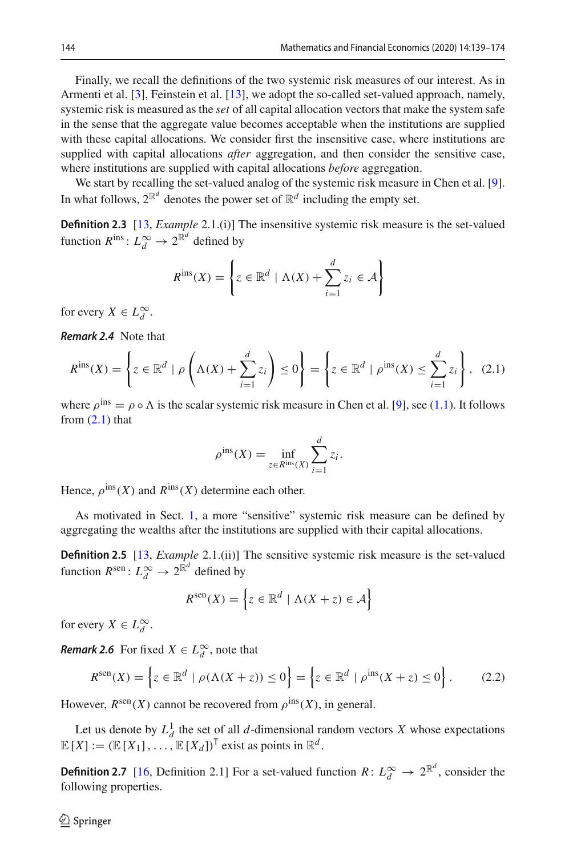Finally, we recall the definitions of the two systemic risk measures of our interest. As in Armenti et al. [\[3\]](#page-34-5), Feinstein et al. [\[13\]](#page-35-2), we adopt the so-called set-valued approach, namely, systemic risk is measured as the *set* of all capital allocation vectors that make the system safe in the sense that the aggregate value becomes acceptable when the institutions are supplied with these capital allocations. We consider first the insensitive case, where institutions are supplied with capital allocations *after* aggregation, and then consider the sensitive case, where institutions are supplied with capital allocations *before* aggregation.

<span id="page-5-4"></span>We start by recalling the set-valued analog of the systemic risk measure in Chen et al. [\[9\]](#page-34-2). In what follows,  $2^{\mathbb{R}^d}$  denotes the power set of  $\mathbb{R}^d$  including the empty set.

**Definition 2.3** [\[13](#page-35-2), *Example* 2.1.(i)] The insensitive systemic risk measure is the set-valued function  $R^{\text{ins}}: L_d^{\infty} \to 2^{\mathbb{R}^d}$  defined by

$$
R^{\text{ins}}(X) = \left\{ z \in \mathbb{R}^d \mid \Lambda(X) + \sum_{i=1}^d z_i \in \mathcal{A} \right\}
$$

<span id="page-5-1"></span>for every  $X \in L_d^{\infty}$ .

*Remark 2.4* Note that

$$
R^{\text{ins}}(X) = \left\{ z \in \mathbb{R}^d \mid \rho \left( \Lambda(X) + \sum_{i=1}^d z_i \right) \le 0 \right\} = \left\{ z \in \mathbb{R}^d \mid \rho^{\text{ins}}(X) \le \sum_{i=1}^d z_i \right\}, \tag{2.1}
$$

where  $\rho^{\text{ins}} = \rho \circ \Lambda$  is the scalar systemic risk measure in Chen et al. [\[9\]](#page-34-2), see [\(1.1\)](#page-1-0). It follows from  $(2.1)$  that

<span id="page-5-0"></span>
$$
\rho^{\text{ins}}(X) = \inf_{z \in R^{\text{ins}}(X)} \sum_{i=1}^{d} z_i.
$$

Hence,  $\rho^{\text{ins}}(X)$  and  $R^{\text{ins}}(X)$  determine each other.

<span id="page-5-5"></span>As motivated in Sect. [1,](#page-0-0) a more "sensitive" systemic risk measure can be defined by aggregating the wealths after the institutions are supplied with their capital allocations.

**Definition 2.5** [\[13](#page-35-2), *Example* 2.1.(ii)] The sensitive systemic risk measure is the set-valued function  $R^{\text{sen}}$ :  $L_d^{\infty} \to 2^{\mathbb{R}^d}$  defined by

$$
R^{\text{sen}}(X) = \left\{ z \in \mathbb{R}^d \mid \Lambda(X + z) \in \mathcal{A} \right\}
$$

for every  $X \in L_d^{\infty}$ .

<span id="page-5-2"></span>*Remark 2.6* For fixed  $X \in L_d^{\infty}$ , note that

<span id="page-5-6"></span>
$$
R^{\text{sen}}(X) = \left\{ z \in \mathbb{R}^d \mid \rho(\Lambda(X + z)) \le 0 \right\} = \left\{ z \in \mathbb{R}^d \mid \rho^{\text{ins}}(X + z) \le 0 \right\}.
$$
 (2.2)

However,  $R^{\text{sen}}(X)$  cannot be recovered from  $\rho^{\text{ins}}(X)$ , in general.

<span id="page-5-3"></span>Let us denote by  $L_d^1$  the set of all *d*-dimensional random vectors *X* whose expectations  $\mathbb{E}[X] := (\mathbb{E}[X_1], \ldots, \mathbb{E}[X_d])^{\mathsf{T}}$  exist as points in  $\mathbb{R}^d$ .

**Definition 2.7** [\[16](#page-35-6), Definition 2.1] For a set-valued function  $R: L_d^{\infty} \to 2^{\mathbb{R}^d}$ , consider the following properties.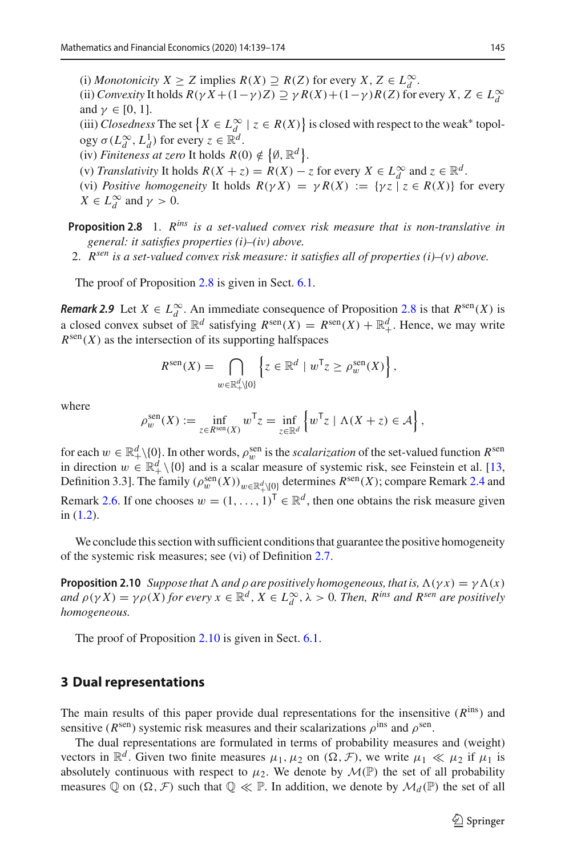(i) *Monotonicity X* ≥ *Z* implies  $R(X)$  ≥  $R(Z)$  for every *X*, *Z* ∈  $L_d^{\infty}$ .

(ii) *Convexity* It holds  $R(\gamma X + (1 - \gamma)Z) \supseteq \gamma R(X) + (1 - \gamma)R(Z)$  for every  $X, Z \in L_d^\infty$ and  $\gamma \in [0, 1]$ .

(iii) *Closedness* The set  $\{X \in L^\infty_d \mid z \in R(X)\}\$ is closed with respect to the weak\* topology  $\sigma(L_d^{\infty}, L_d^1)$  for every  $z \in \mathbb{R}^d$ .

(iv) *Finiteness at zero* It holds  $R(0) \notin \{ \emptyset, \mathbb{R}^d \}.$ 

- (v) *Translativity* It holds  $R(X + z) = R(X) z$  for every  $X \in L_d^{\infty}$  and  $z \in \mathbb{R}^d$ .
- (vi) *Positive homogeneity* It holds  $R(\gamma X) = \gamma R(X) := {\gamma \overline{z} \mid z \in R(X)}$  for every  $X \in L_d^{\infty}$  and  $\gamma > 0$ .
- <span id="page-6-1"></span>**Proposition 2.8** 1. *Rins is a set-valued convex risk measure that is non-translative in general: it satisfies properties (i)–(iv) above.*
- 2. *Rsen is a set-valued convex risk measure: it satisfies all of properties (i)–(v) above.*

<span id="page-6-3"></span>The proof of Proposition [2.8](#page-6-1) is given in Sect. [6.1.](#page-25-1)

*Remark 2.9* Let  $X \in L_d^{\infty}$ . An immediate consequence of Proposition [2.8](#page-6-1) is that  $R^{\text{sen}}(X)$  is a closed convex subset of  $\mathbb{R}^d$  satisfying  $R^{\text{sen}}(X) = R^{\text{sen}}(X) + \mathbb{R}^d_+$ . Hence, we may write  $R^{\text{sen}}(X)$  as the intersection of its supporting halfspaces

$$
R^{\text{sen}}(X) = \bigcap_{w \in \mathbb{R}_+^d \setminus \{0\}} \left\{ z \in \mathbb{R}^d \mid w^\mathsf{T} z \ge \rho_w^{\text{sen}}(X) \right\},\
$$

where

$$
\rho_w^{\text{sen}}(X) := \inf_{z \in R^{\text{sen}}(X)} w^{\mathsf{T}} z = \inf_{z \in \mathbb{R}^d} \left\{ w^{\mathsf{T}} z \mid \Lambda(X + z) \in \mathcal{A} \right\},\,
$$

for each  $w \in \mathbb{R}^d_+ \setminus \{0\}$ . In other words,  $\rho_w^{\text{sen}}$  is the *scalarization* of the set-valued function  $R^{\text{sen}}$ in direction  $w \in \mathbb{R}^d_+ \setminus \{0\}$  and is a scalar measure of systemic risk, see Feinstein et al. [\[13,](#page-35-2) Definition 3.3]. The family  $(\rho_w^{\text{sen}}(X))_{w \in \mathbb{R}^d_+ \setminus \{0\}}$  determines  $R^{\text{sen}}(X)$ ; compare Remark [2.4](#page-5-1) and Remark [2.6.](#page-5-2) If one chooses  $w = (1, \ldots, 1)^T \in \mathbb{R}^d$ , then one obtains the risk measure given in [\(1.2\)](#page-2-0).

<span id="page-6-2"></span>We conclude this section with sufficient conditions that guarantee the positive homogeneity of the systemic risk measures; see (vi) of Definition [2.7.](#page-5-3)

**Proposition 2.10** *Suppose that*  $\Lambda$  *and*  $\rho$  *are positively homogeneous, that is,*  $\Lambda(\gamma x) = \gamma \Lambda(x)$ *and*  $\rho(\gamma X) = \gamma \rho(X)$  *for every*  $x \in \mathbb{R}^d$ ,  $X \in L_d^{\infty}$ ,  $\lambda > 0$ *. Then, R*<sup>*ins</sup> and R<sup>sen</sup> are positively*</sup> *homogeneous.*

The proof of Proposition [2.10](#page-6-2) is given in Sect. [6.1.](#page-25-1)

## <span id="page-6-0"></span>**3 Dual representations**

The main results of this paper provide dual representations for the insensitive (*R*ins) and sensitive ( $R^{\text{sen}}$ ) systemic risk measures and their scalarizations  $\rho^{\text{ins}}$  and  $\rho^{\text{sen}}$ .

The dual representations are formulated in terms of probability measures and (weight) vectors in  $\mathbb{R}^d$ . Given two finite measures  $\mu_1, \mu_2$  on  $(\Omega, \mathcal{F})$ , we write  $\mu_1 \ll \mu_2$  if  $\mu_1$  is absolutely continuous with respect to  $\mu_2$ . We denote by  $\mathcal{M}(\mathbb{P})$  the set of all probability measures Q on  $(\Omega, \mathcal{F})$  such that  $\mathbb{Q} \ll \mathbb{P}$ . In addition, we denote by  $\mathcal{M}_d(\mathbb{P})$  the set of all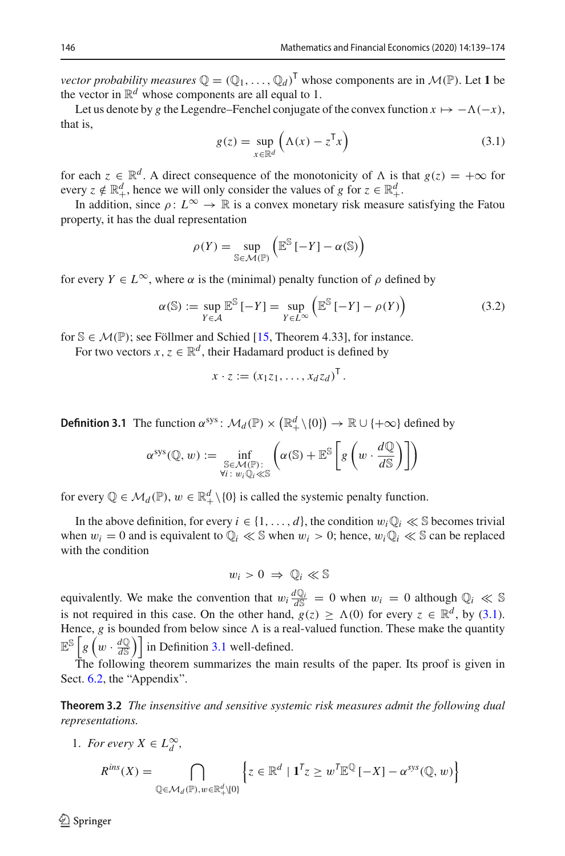*vector probability measures*  $\mathbb{Q} = (\mathbb{Q}_1, \dots, \mathbb{Q}_d)^\mathsf{T}$  whose components are in  $\mathcal{M}(\mathbb{P})$ . Let 1 be the vector in  $\mathbb{R}^d$  whose components are all equal to 1.

Let us denote by *g* the Legendre–Fenchel conjugate of the convex function  $x \mapsto -\Lambda(-x)$ , that is,

<span id="page-7-2"></span>
$$
g(z) = \sup_{x \in \mathbb{R}^d} \left( \Lambda(x) - z^{\mathsf{T}} x \right)
$$
 (3.1)

for each  $z \in \mathbb{R}^d$ . A direct consequence of the monotonicity of  $\Lambda$  is that  $g(z) = +\infty$  for every  $z \notin \mathbb{R}^d_+$ , hence we will only consider the values of *g* for  $z \in \mathbb{R}^d_+$ .

In addition, since  $\rho: L^{\infty} \to \mathbb{R}$  is a convex monetary risk measure satisfying the Fatou property, it has the dual representation

$$
\rho(Y) = \sup_{\mathbb{S} \in \mathcal{M}(\mathbb{P})} \left( \mathbb{E}^{\mathbb{S}} \left[ -Y \right] - \alpha(\mathbb{S}) \right)
$$

for every  $Y \in L^{\infty}$ , where  $\alpha$  is the (minimal) penalty function of  $\rho$  defined by

<span id="page-7-3"></span>
$$
\alpha(\mathbb{S}) := \sup_{Y \in \mathcal{A}} \mathbb{E}^{\mathbb{S}} \left[ -Y \right] = \sup_{Y \in \mathcal{L}^{\infty}} \left( \mathbb{E}^{\mathbb{S}} \left[ -Y \right] - \rho(Y) \right) \tag{3.2}
$$

for  $\mathcal{S} \in \mathcal{M}(\mathbb{P})$ ; see Föllmer and Schied [\[15,](#page-35-5) Theorem 4.33], for instance.

<span id="page-7-0"></span>For two vectors  $x, z \in \mathbb{R}^d$ , their Hadamard product is defined by

$$
x \cdot z := (x_1 z_1, \ldots, x_d z_d)^\mathsf{T}.
$$

**Definition 3.1** The function  $\alpha^{sys}$ :  $\mathcal{M}_d(\mathbb{P}) \times (\mathbb{R}_+^d \setminus \{0\}) \to \mathbb{R} \cup \{+\infty\}$  defined by

$$
\alpha^{\rm sys}(\mathbb{Q}, w) := \inf_{\substack{\mathbb{S} \in \mathcal{M}(\mathbb{P}):\\ \forall i \colon w_i \mathbb{Q}_i \ll \mathbb{S}}} \left( \alpha(\mathbb{S}) + \mathbb{E}^{\mathbb{S}} \left[ g \left( w \cdot \frac{d\mathbb{Q}}{d\mathbb{S}} \right) \right] \right)
$$

for every  $\mathbb{Q} \in \mathcal{M}_d(\mathbb{P})$ ,  $w \in \mathbb{R}_+^d \setminus \{0\}$  is called the systemic penalty function.

In the above definition, for every  $i \in \{1, \ldots, d\}$ , the condition  $w_i \mathbb{Q}_i \ll \mathbb{S}$  becomes trivial when  $w_i = 0$  and is equivalent to  $\mathbb{Q}_i \ll \mathbb{S}$  when  $w_i > 0$ ; hence,  $w_i \mathbb{Q}_i \ll \mathbb{S}$  can be replaced with the condition

$$
w_i > 0 \Rightarrow \mathbb{Q}_i \ll \mathbb{S}
$$

equivalently. We make the convention that  $w_i \frac{dQ_i}{dS} = 0$  when  $w_i = 0$  although  $Q_i \ll S$ is not required in this case. On the other hand,  $g(z) \ge \Lambda(0)$  for every  $z \in \mathbb{R}^d$ , by [\(3.1\)](#page-7-2). Hence, g is bounded from below since  $\Lambda$  is a real-valued function. These make the quantity  $\mathbb{E}^{\mathbb{S}}\left[g\left(w\cdot \frac{d\mathbb{Q}}{d\mathbb{S}}\right)\right]$  in Definition [3.1](#page-7-0) well-defined.

<span id="page-7-1"></span>The following theorem summarizes the main results of the paper. Its proof is given in Sect. [6.2,](#page-26-0) the "Appendix".

**Theorem 3.2** *The insensitive and sensitive systemic risk measures admit the following dual representations.*

1. *For every*  $X \in L_d^{\infty}$ ,

$$
R^{ins}(X) = \bigcap_{\mathbb{Q} \in \mathcal{M}_d(\mathbb{P}), w \in \mathbb{R}_+^d \setminus \{0\}} \left\{ z \in \mathbb{R}^d \mid \mathbf{1}^T z \geq w^T \mathbb{E}^{\mathbb{Q}} \left[ -X \right] - \alpha^{sys}(\mathbb{Q}, w) \right\}
$$

 $\mathcal{L}$  Springer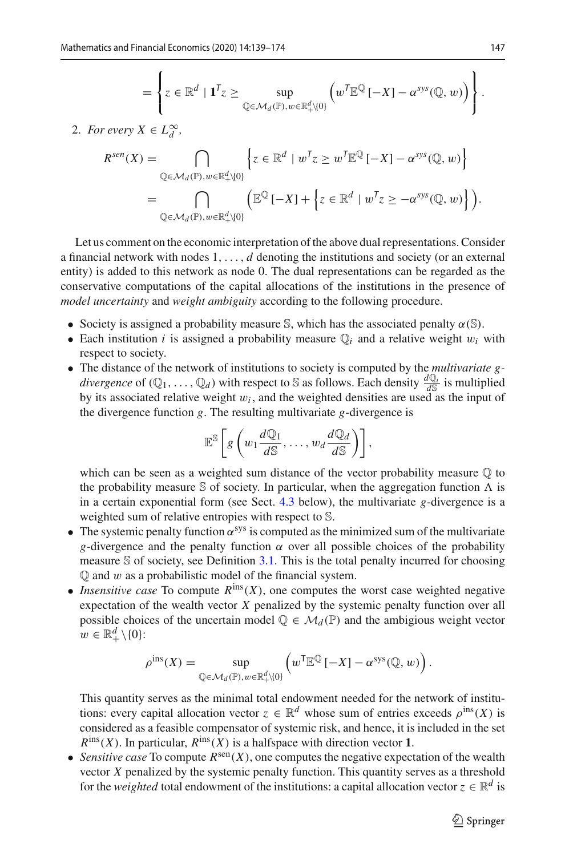$$
= \left\{ z \in \mathbb{R}^d \mid \mathbf{1}^T z \ge \sup_{\mathbb{Q} \in \mathcal{M}_d(\mathbb{P}), w \in \mathbb{R}^d_+\setminus\{0\}} \left( w^T \mathbb{E}^{\mathbb{Q}} \left[ -X \right] - \alpha^{sys}(\mathbb{Q}, w) \right) \right\}.
$$

2. *For every*  $X \in L_d^{\infty}$ ,

$$
R^{sen}(X) = \bigcap_{\mathbb{Q} \in \mathcal{M}_d(\mathbb{P}), w \in \mathbb{R}_+^d \setminus \{0\}} \left\{ z \in \mathbb{R}^d \mid w^T z \ge w^T \mathbb{E}^{\mathbb{Q}} \left[ -X \right] - \alpha^{sys}(\mathbb{Q}, w) \right\}
$$
  
= 
$$
\bigcap_{\mathbb{Q} \in \mathcal{M}_d(\mathbb{P}), w \in \mathbb{R}_+^d \setminus \{0\}} \left( \mathbb{E}^{\mathbb{Q}} \left[ -X \right] + \left\{ z \in \mathbb{R}^d \mid w^T z \ge -\alpha^{sys}(\mathbb{Q}, w) \right\} \right).
$$

Let us comment on the economic interpretation of the above dual representations. Consider a financial network with nodes 1,..., *d* denoting the institutions and society (or an external entity) is added to this network as node 0. The dual representations can be regarded as the conservative computations of the capital allocations of the institutions in the presence of *model uncertainty* and *weight ambiguity* according to the following procedure.

- Society is assigned a probability measure S, which has the associated penalty  $\alpha(S)$ .
- Each institution *i* is assigned a probability measure  $\mathbb{Q}_i$  and a relative weight  $w_i$  with respect to society.
- The distance of the network of institutions to society is computed by the *multivariate gdivergence* of  $(Q_1, \ldots, Q_d)$  with respect to S as follows. Each density  $\frac{dQ_i}{dS}$  is multiplied by its associated relative weight  $w_i$ , and the weighted densities are used as the input of the divergence function *g*. The resulting multivariate *g*-divergence is

$$
\mathbb{E}^{\mathbb{S}}\left[g\left(w_1\frac{d\mathbb{Q}_1}{d\mathbb{S}},\ldots,w_d\frac{d\mathbb{Q}_d}{d\mathbb{S}}\right)\right],
$$

which can be seen as a weighted sum distance of the vector probability measure  $\mathbb Q$  to the probability measure S of society. In particular, when the aggregation function  $\Lambda$  is in a certain exponential form (see Sect. [4.3](#page-14-0) below), the multivariate *g*-divergence is a weighted sum of relative entropies with respect to S.

- The systemic penalty function  $\alpha^{sys}$  is computed as the minimized sum of the multivariate *g*-divergence and the penalty function  $\alpha$  over all possible choices of the probability measure  $\mathcal S$  of society, see Definition [3.1.](#page-7-0) This is the total penalty incurred for choosing  $\mathbb Q$  and  $w$  as a probabilistic model of the financial system.
- *Insensitive case* To compute  $R^{ins}(X)$ , one computes the worst case weighted negative expectation of the wealth vector *X* penalized by the systemic penalty function over all possible choices of the uncertain model  $\mathbb{Q} \in \mathcal{M}_d(\mathbb{P})$  and the ambigious weight vector  $w \in \mathbb{R}_+^d \setminus \{0\}$ :

$$
\rho^{\text{ins}}(X) = \sup_{\mathbb{Q} \in \mathcal{M}_d(\mathbb{P}), w \in \mathbb{R}_+^d \setminus \{0\}} \left( w^{\mathsf{T}} \mathbb{E}^{\mathbb{Q}} \left[ -X \right] - \alpha^{\text{sys}}(\mathbb{Q}, w) \right).
$$

This quantity serves as the minimal total endowment needed for the network of institutions: every capital allocation vector  $z \in \mathbb{R}^d$  whose sum of entries exceeds  $\rho^{\text{ins}}(X)$  is considered as a feasible compensator of systemic risk, and hence, it is included in the set  $R^{\text{ins}}(X)$ . In particular,  $R^{\text{ins}}(X)$  is a halfspace with direction vector 1.

• *Sensitive case* To compute  $R^{\text{sen}}(X)$ , one computes the negative expectation of the wealth vector *X* penalized by the systemic penalty function. This quantity serves as a threshold for the *weighted* total endowment of the institutions: a capital allocation vector  $z \in \mathbb{R}^d$  is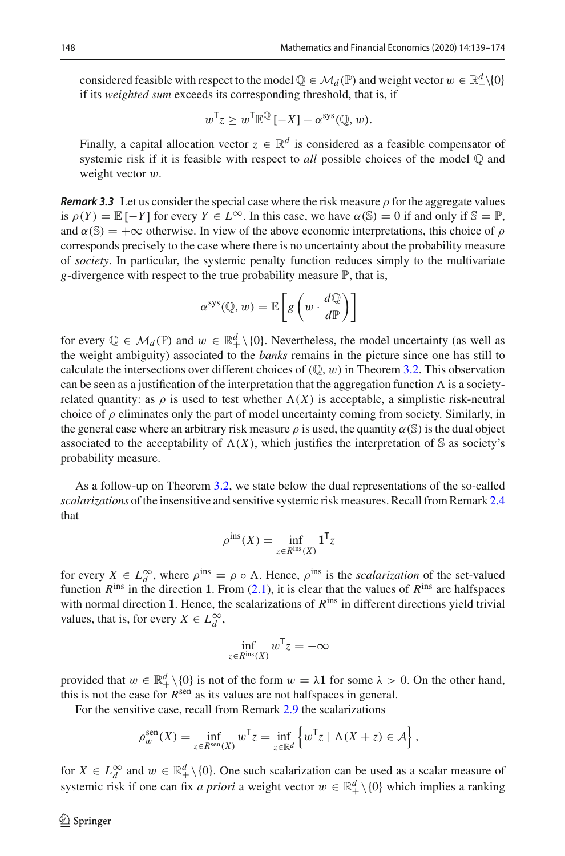considered feasible with respect to the model  $\mathbb{Q} \in \mathcal{M}_d(\mathbb{P})$  and weight vector  $w \in \mathbb{R}^d_+\setminus\{0\}$ if its *weighted sum* exceeds its corresponding threshold, that is, if

$$
w^{\mathsf{T}}z \geq w^{\mathsf{T}} \mathbb{E}^{\mathbb{Q}}[-X] - \alpha^{\text{sys}}(\mathbb{Q}, w).
$$

Finally, a capital allocation vector  $z \in \mathbb{R}^d$  is considered as a feasible compensator of systemic risk if it is feasible with respect to *all* possible choices of the model Q and weight vector w.

*Remark 3.3* Let us consider the special case where the risk measure  $\rho$  for the aggregate values is  $\rho(Y) = \mathbb{E}[-Y]$  for every  $Y \in L^{\infty}$ . In this case, we have  $\alpha(\mathbb{S}) = 0$  if and only if  $\mathbb{S} = \mathbb{P}$ , and  $\alpha(S) = +\infty$  otherwise. In view of the above economic interpretations, this choice of  $\rho$ corresponds precisely to the case where there is no uncertainty about the probability measure of *society*. In particular, the systemic penalty function reduces simply to the multivariate *g*-divergence with respect to the true probability measure  $\mathbb{P}$ , that is,

$$
\alpha^{\rm sys}(\mathbb{Q}, w) = \mathbb{E}\left[g\left(w \cdot \frac{d\mathbb{Q}}{d\mathbb{P}}\right)\right]
$$

for every  $\mathbb{Q} \in \mathcal{M}_d(\mathbb{P})$  and  $w \in \mathbb{R}^d_+ \setminus \{0\}$ . Nevertheless, the model uncertainty (as well as the weight ambiguity) associated to the *banks* remains in the picture since one has still to calculate the intersections over different choices of  $(\mathbb{Q}, w)$  in Theorem [3.2.](#page-7-1) This observation can be seen as a justification of the interpretation that the aggregation function  $\Lambda$  is a societyrelated quantity: as  $\rho$  is used to test whether  $\Lambda(X)$  is acceptable, a simplistic risk-neutral choice of  $\rho$  eliminates only the part of model uncertainty coming from society. Similarly, in the general case where an arbitrary risk measure  $\rho$  is used, the quantity  $\alpha(S)$  is the dual object associated to the acceptability of  $\Lambda(X)$ , which justifies the interpretation of S as society's probability measure.

As a follow-up on Theorem [3.2,](#page-7-1) we state below the dual representations of the so-called *scalarizations* of the insensitive and sensitive systemic risk measures. Recall from Remark [2.4](#page-5-1) that

$$
\rho^{\text{ins}}(X) = \inf_{z \in R^{\text{ins}}(X)} \mathbf{1}^{\mathsf{T}} z
$$

for every  $X \in L_d^{\infty}$ , where  $\rho^{\text{ins}} = \rho \circ \Lambda$ . Hence,  $\rho^{\text{ins}}$  is the *scalarization* of the set-valued function  $R^{\text{ins}}$  in the direction 1. From [\(2.1\)](#page-5-0), it is clear that the values of  $R^{\text{ins}}$  are halfspaces with normal direction 1. Hence, the scalarizations of  $R<sup>ins</sup>$  in different directions yield trivial values, that is, for every  $X \in L_d^{\infty}$ ,

$$
\inf_{z \in R^{\text{ins}}(X)} w^{\mathsf{T}} z = -\infty
$$

provided that  $w \in \mathbb{R}_+^d \setminus \{0\}$  is not of the form  $w = \lambda \mathbf{1}$  for some  $\lambda > 0$ . On the other hand, this is not the case for *R*<sup>sen</sup> as its values are not halfspaces in general.

For the sensitive case, recall from Remark [2.9](#page-6-3) the scalarizations

$$
\rho_w^{\text{sen}}(X) = \inf_{z \in R^{\text{sen}}(X)} w^{\mathsf{T}} z = \inf_{z \in \mathbb{R}^d} \left\{ w^{\mathsf{T}} z \mid \Lambda(X + z) \in \mathcal{A} \right\},\
$$

for  $X \in L_d^{\infty}$  and  $w \in \mathbb{R}_+^d \setminus \{0\}$ . One such scalarization can be used as a scalar measure of systemic risk if one can fix *a priori* a weight vector  $w \in \mathbb{R}^d_+ \setminus \{0\}$  which implies a ranking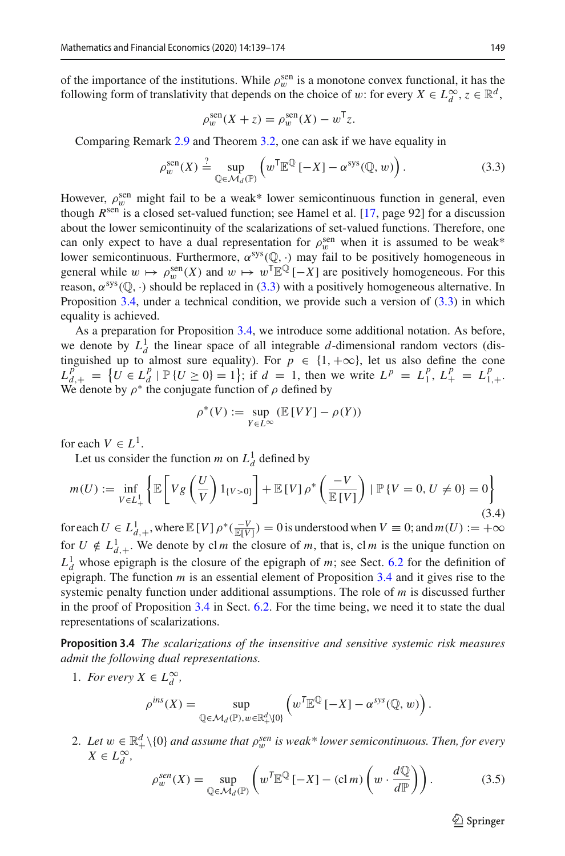of the importance of the institutions. While  $\rho_w^{\text{sen}}$  is a monotone convex functional, it has the following form of translativity that depends on the choice of w: for every  $X \in L_d^{\infty}$ ,  $z \in \mathbb{R}^d$ ,

$$
\rho_w^{\text{sen}}(X+z) = \rho_w^{\text{sen}}(X) - w^{\mathsf{T}}z.
$$

Comparing Remark [2.9](#page-6-3) and Theorem [3.2,](#page-7-1) one can ask if we have equality in

<span id="page-10-1"></span>
$$
\rho_w^{\text{sen}}(X) \stackrel{?}{=} \sup_{\mathbb{Q} \in \mathcal{M}_d(\mathbb{P})} \left( w^{\mathsf{T}} \mathbb{E}^{\mathbb{Q}} \left[ -X \right] - \alpha^{\text{sys}}(\mathbb{Q}, w) \right). \tag{3.3}
$$

However,  $\rho_w^{\text{sen}}$  might fail to be a weak\* lower semicontinuous function in general, even though *R*sen is a closed set-valued function; see Hamel et al. [\[17,](#page-35-8) page 92] for a discussion about the lower semicontinuity of the scalarizations of set-valued functions. Therefore, one can only expect to have a dual representation for  $\rho_w^{\text{sen}}$  when it is assumed to be weak\* lower semicontinuous. Furthermore,  $\alpha^{sys}(\mathbb{Q}, \cdot)$  may fail to be positively homogeneous in general while  $w \mapsto \rho_w^{\text{sen}}(X)$  and  $w \mapsto w^{\text{T}} \mathbb{E}^{\mathbb{Q}}[-X]$  are positively homogeneous. For this reason,  $\alpha^{sys}(\mathbb{Q}, \cdot)$  should be replaced in [\(3.3\)](#page-10-1) with a positively homogeneous alternative. In Proposition [3.4,](#page-10-0) under a technical condition, we provide such a version of  $(3.3)$  in which equality is achieved.

As a preparation for Proposition [3.4,](#page-10-0) we introduce some additional notation. As before, we denote by  $L_d^1$  the linear space of all integrable *d*-dimensional random vectors (distinguished up to almost sure equality). For  $p \in \{1, +\infty\}$ , let us also define the cone  $L_{d}^{p}$  =  $\{U \in L_{d}^{p} | \mathbb{P} \{U \ge 0\} = 1\}$ ; if  $d = 1$ , then we write  $L^{p} = L_{1}^{p}$ ,  $L_{+}^{p} = L_{1,+}^{p}$ . We denote by  $\rho^*$  the conjugate function of  $\rho$  defined by

$$
\rho^*(V) := \sup_{Y \in L^\infty} (\mathbb{E}[VY] - \rho(Y))
$$

for each  $V \in L^1$ .

Let us consider the function *m* on  $L_d^1$  defined by

<span id="page-10-2"></span>
$$
m(U) := \inf_{V \in L_+^1} \left\{ \mathbb{E} \left[ V g \left( \frac{U}{V} \right) 1_{\{V > 0\}} \right] + \mathbb{E} \left[ V \right] \rho^* \left( \frac{-V}{\mathbb{E} \left[ V \right]} \right) \mid \mathbb{P} \left\{ V = 0, U \neq 0 \right\} = 0 \right\} \tag{3.4}
$$

for each  $U \in L^1_{d,+}$ , where  $\mathbb{E}[V] \rho^*(\frac{-V}{\mathbb{E}[V]}) = 0$  is understood when  $V \equiv 0$ ; and  $m(U) := +\infty$ for  $U \notin L^1_{d,+}$ . We denote by cl *m* the closure of *m*, that is, cl *m* is the unique function on  $L_d^1$  whose epigraph is the closure of the epigraph of *m*; see Sect. [6.2](#page-26-0) for the definition of epigraph. The function *m* is an essential element of Proposition [3.4](#page-10-0) and it gives rise to the systemic penalty function under additional assumptions. The role of *m* is discussed further in the proof of Proposition [3.4](#page-10-0) in Sect. [6.2.](#page-26-0) For the time being, we need it to state the dual representations of scalarizations.

<span id="page-10-0"></span>**Proposition 3.4** *The scalarizations of the insensitive and sensitive systemic risk measures admit the following dual representations.*

1. *For every*  $X \in L_d^{\infty}$ ,

$$
\rho^{ins}(X) = \sup_{\mathbb{Q} \in \mathcal{M}_d(\mathbb{P}), w \in \mathbb{R}_+^d \setminus \{0\}} \left( w^{\mathsf{T}} \mathbb{E}^{\mathbb{Q}} \left[ -X \right] - \alpha^{sys}(\mathbb{Q}, w) \right).
$$

2. Let  $w \in \mathbb{R}^d_+ \setminus \{0\}$  and assume that  $\rho_w^{sen}$  is weak\* lower semicontinuous. Then, for every  $X \in L_d^{\infty}$ ,

<span id="page-10-3"></span>
$$
\rho_w^{sen}(X) = \sup_{\mathbb{Q} \in \mathcal{M}_d(\mathbb{P})} \left( w^{\mathsf{T}} \mathbb{E}^{\mathbb{Q}} \left[ -X \right] - (\text{cl } m) \left( w \cdot \frac{d\mathbb{Q}}{d\mathbb{P}} \right) \right). \tag{3.5}
$$

 $\circled{2}$  Springer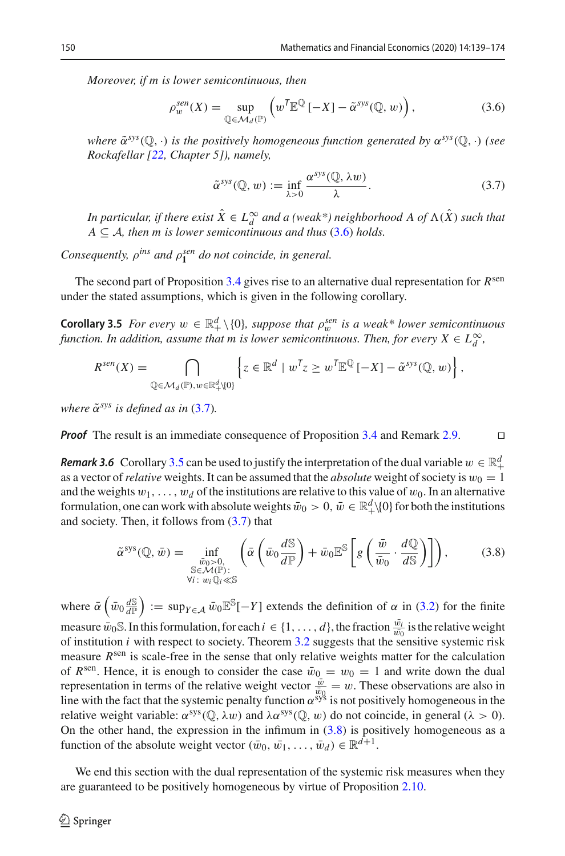*Moreover, if m is lower semicontinuous, then*

<span id="page-11-0"></span>
$$
\rho_w^{sen}(X) = \sup_{\mathbb{Q} \in \mathcal{M}_d(\mathbb{P})} \left( w^{\mathsf{T}} \mathbb{E}^{\mathbb{Q}} \left[ -X \right] - \tilde{\alpha}^{sys}(\mathbb{Q}, w) \right),\tag{3.6}
$$

*where*  $\tilde{\alpha}^{sys}(\mathbb{Q}, \cdot)$  *is the positively homogeneous function generated by*  $\alpha^{sys}(\mathbb{Q}, \cdot)$  *(see Rockafellar [\[22,](#page-35-9) Chapter 5]), namely,*

<span id="page-11-1"></span>
$$
\tilde{\alpha}^{sys}(\mathbb{Q}, w) := \inf_{\lambda > 0} \frac{\alpha^{sys}(\mathbb{Q}, \lambda w)}{\lambda}.
$$
\n(3.7)

*In particular, if there exist*  $X \in L_d^{\infty}$  *and a (weak\*) neighborhood A of*  $\Lambda(X)$  *such that*  $A \subseteq A$ , then *m* is lower semicontinuous and thus [\(3.6\)](#page-11-0) holds.

*Consequently,*  $\rho^{ins}$  *and*  $\rho_1^{sen}$  *do not coincide, in general.* 

<span id="page-11-2"></span>The second part of Proposition [3.4](#page-10-0) gives rise to an alternative dual representation for *R*sen under the stated assumptions, which is given in the following corollary.

**Corollary 3.5** *For every*  $w \in \mathbb{R}^d_+ \setminus \{0\}$ *, suppose that*  $\rho_w^{sen}$  *is a weak\* lower semicontinuous* function. In addition, assume that m is lower semicontinuous. Then, for every  $X \in L_d^\infty$ ,

$$
R^{sen}(X) = \bigcap_{\mathbb{Q} \in \mathcal{M}_d(\mathbb{P}), w \in \mathbb{R}_+^d \setminus \{0\}} \left\{ z \in \mathbb{R}^d \mid w^T z \ge w^T \mathbb{E}^{\mathbb{Q}} \left[ -X \right] - \tilde{\alpha}^{sys}(\mathbb{Q}, w) \right\},
$$

*where*  $\tilde{\alpha}^{sys}$  *is defined as in* [\(3.7\)](#page-11-1).

*Proof* The result is an immediate consequence of Proposition [3.4](#page-10-0) and Remark [2.9.](#page-6-3)

*Remark 3.6* Corollary [3.5](#page-11-2) can be used to justify the interpretation of the dual variable  $w \in \mathbb{R}^d_+$ as a vector of *relative* weights. It can be assumed that the *absolute* weight of society is  $w_0 = 1$  as a vector of *relative* weights. It can be assumed that the *absolute* weight of society is  $w_0 = 1$ and the weights  $w_1, \ldots, w_d$  of the institutions are relative to this value of  $w_0$ . In an alternative formulation, one can work with absolute weights  $\bar{w}_0 > 0$ ,  $\bar{w} \in \mathbb{R}^d_+\setminus\{0\}$  for both the institutions and society. Then, it follows from  $(3.7)$  that

<span id="page-11-3"></span>
$$
\tilde{\alpha}^{\rm sys}(\mathbb{Q},\,\bar{w}) = \inf_{\substack{\bar{w}_0 > 0, \\ \mathbb{S} \in \mathcal{M}(\mathbb{P}): \\ \forall i \colon w_i \mathbb{Q}_i \ll \mathbb{S}}} \left( \bar{\alpha} \left( \bar{w}_0 \frac{d\mathbb{S}}{d\mathbb{P}} \right) + \bar{w}_0 \mathbb{E}^{\mathbb{S}} \left[ g \left( \frac{\bar{w}}{\bar{w}_0} \cdot \frac{d\mathbb{Q}}{d\mathbb{S}} \right) \right] \right),\tag{3.8}
$$

where  $\bar{\alpha}$   $\left(\bar{w}_0 \frac{dS}{dP}\right) := \sup_{Y \in \mathcal{A}} \bar{w}_0 \mathbb{E}^S[-Y]$  extends the definition of  $\alpha$  in [\(3.2\)](#page-7-3) for the finite measure  $\bar{w}_0$ S. In this formulation, for each  $i \in \{1, ..., d\}$ , the fraction  $\frac{\bar{w}_i}{\bar{w}_0}$  is the relative weight of institution *i* with respect to society. Theorem [3.2](#page-7-1) suggests that the sensitive systemic risk measure *R*<sup>sen</sup> is scale-free in the sense that only relative weights matter for the calculation of  $R^{\text{sen}}$ . Hence, it is enough to consider the case  $\bar{w}_0 = w_0 = 1$  and write down the dual representation in terms of the relative weight vector  $\frac{\bar{w}}{\bar{w}_0} = w$ . These observations are also in line with the fact that the systemic penalty function  $\alpha^{sys}$  is not positively homogeneous in the relative weight variable:  $\alpha^{sys}(\mathbb{Q}, \lambda w)$  and  $\lambda \alpha^{sys}(\mathbb{Q}, w)$  do not coincide, in general ( $\lambda > 0$ ). On the other hand, the expression in the infimum in  $(3.8)$  is positively homogeneous as a function of the absolute weight vector  $(\bar{w}_0, \bar{w}_1, \ldots, \bar{w}_d) \in \mathbb{R}^{d+1}$ .

We end this section with the dual representation of the systemic risk measures when they are guaranteed to be positively homogeneous by virtue of Proposition [2.10.](#page-6-2)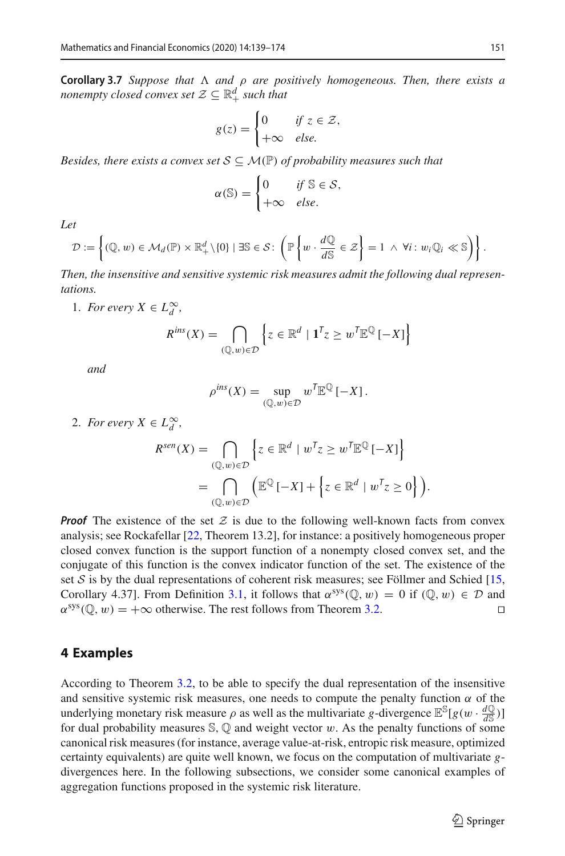**Corollary 3.7** *Suppose that and* ρ *are positively homogeneous. Then, there exists a nonempty closed convex set*  $\mathcal{Z} \subseteq \mathbb{R}^d_+$  *such that* 

$$
g(z) = \begin{cases} 0 & \text{if } z \in \mathcal{Z}, \\ +\infty & \text{else.} \end{cases}
$$

*Besides, there exists a convex set*  $S \subseteq M(\mathbb{P})$  *of probability measures such that* 

$$
\alpha(\mathbb{S}) = \begin{cases} 0 & \text{if } \mathbb{S} \in \mathcal{S}, \\ +\infty & \text{else.} \end{cases}
$$

*Let*

$$
\mathcal{D} := \left\{ (\mathbb{Q}, w) \in \mathcal{M}_d(\mathbb{P}) \times \mathbb{R}_+^d \setminus \{0\} \mid \exists \mathbb{S} \in \mathcal{S} \colon \left( \mathbb{P} \left\{ w \cdot \frac{d\mathbb{Q}}{d\mathbb{S}} \in \mathcal{Z} \right\} = 1 \ \wedge \ \forall i \colon w_i \mathbb{Q}_i \ll \mathbb{S} \right) \right\}.
$$

*Then, the insensitive and sensitive systemic risk measures admit the following dual representations.*

1. *For every*  $X \in L_d^{\infty}$ ,

$$
R^{ins}(X) = \bigcap_{(\mathbb{Q},w)\in\mathcal{D}} \left\{ z \in \mathbb{R}^d \mid \mathbf{1}^T z \ge w^T \mathbb{E}^{\mathbb{Q}} \left[ -X \right] \right\}
$$

*and*

$$
\rho^{\text{ins}}(X) = \sup_{(\mathbb{Q}, w) \in \mathcal{D}} w^{\mathsf{T}} \mathbb{E}^{\mathbb{Q}} \left[ -X \right].
$$

2. *For every*  $X \in L_d^{\infty}$ ,

$$
R^{sen}(X) = \bigcap_{(\mathbb{Q}, w) \in \mathcal{D}} \left\{ z \in \mathbb{R}^d \mid w^T z \ge w^T \mathbb{E}^{\mathbb{Q}} \left[ -X \right] \right\}
$$
  
= 
$$
\bigcap_{(\mathbb{Q}, w) \in \mathcal{D}} \left( \mathbb{E}^{\mathbb{Q}} \left[ -X \right] + \left\{ z \in \mathbb{R}^d \mid w^T z \ge 0 \right\} \right).
$$

*Proof* The existence of the set  $Z$  is due to the following well-known facts from convex analysis; see Rockafellar [\[22](#page-35-9), Theorem 13.2], for instance: a positively homogeneous proper closed convex function is the support function of a nonempty closed convex set, and the conjugate of this function is the convex indicator function of the set. The existence of the set *S* is by the dual representations of coherent risk measures; see Föllmer and Schied [\[15,](#page-35-5) Corollary 4.37]. From Definition [3.1,](#page-7-0) it follows that  $\alpha^{sys}(\mathbb{Q}, w) = 0$  if  $(\mathbb{Q}, w) \in \mathcal{D}$  and  $\alpha^{sys}(\mathbb{Q}, w) = +\infty$  otherwise. The rest follows from Theorem 3.2.  $\alpha^{\rm sys}(\mathbb{Q}, w) = +\infty$  otherwise. The rest follows from Theorem [3.2.](#page-7-1)

## <span id="page-12-0"></span>**4 Examples**

According to Theorem [3.2,](#page-7-1) to be able to specify the dual representation of the insensitive and sensitive systemic risk measures, one needs to compute the penalty function  $\alpha$  of the underlying monetary risk measure  $\rho$  as well as the multivariate *g*-divergence  $\mathbb{E}^{\mathbb{S}}[g(w \cdot \frac{d\mathbb{Q}}{d\mathbb{S}})]$ for dual probability measures  $\mathbb{S}, \mathbb{Q}$  and weight vector w. As the penalty functions of some canonical risk measures (for instance, average value-at-risk, entropic risk measure, optimized certainty equivalents) are quite well known, we focus on the computation of multivariate *g*divergences here. In the following subsections, we consider some canonical examples of aggregation functions proposed in the systemic risk literature.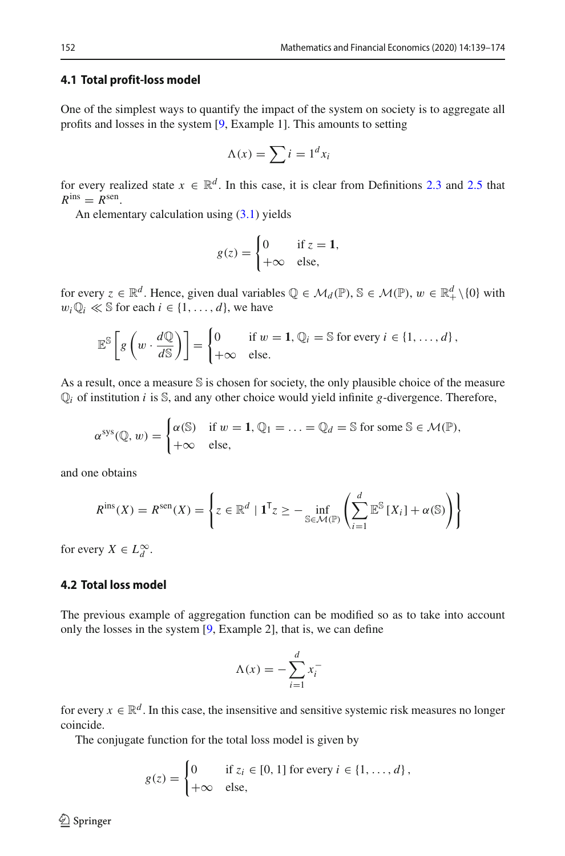#### **4.1 Total profit-loss model**

One of the simplest ways to quantify the impact of the system on society is to aggregate all profits and losses in the system [\[9,](#page-34-2) Example 1]. This amounts to setting

$$
\Lambda(x) = \sum i = 1^d x_i
$$

for every realized state  $x \in \mathbb{R}^d$ . In this case, it is clear from Definitions [2.3](#page-5-4) and [2.5](#page-5-5) that  $R^{\text{ins}} = R^{\text{sen}}$ .

An elementary calculation using [\(3.1\)](#page-7-2) yields

$$
g(z) = \begin{cases} 0 & \text{if } z = 1, \\ +\infty & \text{else,} \end{cases}
$$

for every  $z \in \mathbb{R}^d$ . Hence, given dual variables  $\mathbb{Q} \in \mathcal{M}_d(\mathbb{P})$ ,  $\mathbb{S} \in \mathcal{M}(\mathbb{P})$ ,  $w \in \mathbb{R}^d_+ \setminus \{0\}$  with  $w_i \mathbb{Q}_i \ll \mathbb{S}$  for each  $i \in \{1, \ldots, d\}$ , we have

$$
\mathbb{E}^{\mathbb{S}}\left[g\left(w \cdot \frac{d\mathbb{Q}}{d\mathbb{S}}\right)\right] = \begin{cases} 0 & \text{if } w = 1, \mathbb{Q}_i = \mathbb{S} \text{ for every } i \in \{1, \dots, d\}, \\ +\infty & \text{else.} \end{cases}
$$

As a result, once a measure S is chosen for society, the only plausible choice of the measure  $\mathbb{Q}_i$  of institution *i* is  $\mathbb{S}$ , and any other choice would yield infinite *g*-divergence. Therefore,

$$
\alpha^{\text{sys}}(\mathbb{Q}, w) = \begin{cases} \alpha(\mathbb{S}) & \text{if } w = 1, \mathbb{Q}_1 = \ldots = \mathbb{Q}_d = \mathbb{S} \text{ for some } \mathbb{S} \in \mathcal{M}(\mathbb{P}), \\ +\infty & \text{else,} \end{cases}
$$

and one obtains

$$
R^{\text{ins}}(X) = R^{\text{sen}}(X) = \left\{ z \in \mathbb{R}^d \mid \mathbf{1}^{\mathsf{T}} z \ge - \inf_{\mathbb{S} \in \mathcal{M}(\mathbb{P})} \left( \sum_{i=1}^d \mathbb{E}^{\mathbb{S}} \left[ X_i \right] + \alpha(\mathbb{S}) \right) \right\}
$$

for every  $X \in L_d^{\infty}$ .

### **4.2 Total loss model**

The previous example of aggregation function can be modified so as to take into account only the losses in the system [\[9,](#page-34-2) Example 2], that is, we can define

$$
\Lambda(x) = -\sum_{i=1}^{d} x_i^{-}
$$

for every  $x \in \mathbb{R}^d$ . In this case, the insensitive and sensitive systemic risk measures no longer coincide.

The conjugate function for the total loss model is given by

$$
g(z) = \begin{cases} 0 & \text{if } z_i \in [0, 1] \text{ for every } i \in \{1, \dots, d\}, \\ +\infty & \text{else,} \end{cases}
$$

 $\circledcirc$  Springer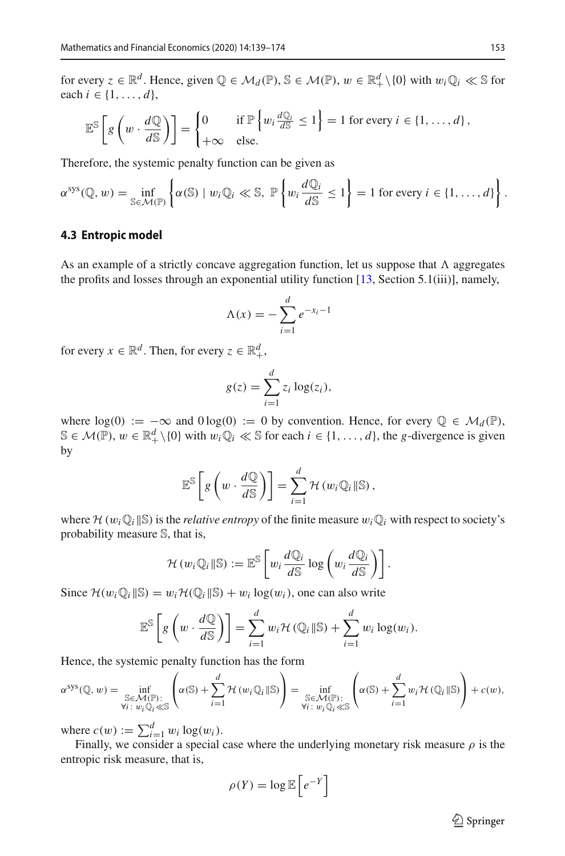for every  $z \in \mathbb{R}^d$ . Hence, given  $\mathbb{Q} \in \mathcal{M}_d(\mathbb{P})$ ,  $\mathbb{S} \in \mathcal{M}(\mathbb{P})$ ,  $w \in \mathbb{R}^d_+ \setminus \{0\}$  with  $w_i \mathbb{Q}_i \ll \mathbb{S}$  for each *i* ∈ {1, ..., *d*},

$$
\mathbb{E}^{\mathbb{S}}\left[g\left(w \cdot \frac{d\mathbb{Q}}{d\mathbb{S}}\right)\right] = \begin{cases} 0 & \text{if } \mathbb{P}\left\{w_i \frac{d\mathbb{Q}_i}{d\mathbb{S}} \le 1\right\} = 1 \text{ for every } i \in \{1, \dots, d\}, \\ +\infty & \text{else.} \end{cases}
$$

Therefore, the systemic penalty function can be given as

$$
\alpha^{\text{sys}}(\mathbb{Q}, w) = \inf_{\mathbb{S} \in \mathcal{M}(\mathbb{P})} \left\{ \alpha(\mathbb{S}) \mid w_i \mathbb{Q}_i \ll \mathbb{S}, \ \mathbb{P} \left\{ w_i \frac{d\mathbb{Q}_i}{d\mathbb{S}} \leq 1 \right\} = 1 \text{ for every } i \in \{1, \dots, d\} \right\}.
$$

#### <span id="page-14-0"></span>**4.3 Entropic model**

As an example of a strictly concave aggregation function, let us suppose that  $\Lambda$  aggregates the profits and losses through an exponential utility function  $[13, Section 5.1(iii)]$  $[13, Section 5.1(iii)]$ , namely,

$$
\Lambda(x) = -\sum_{i=1}^{d} e^{-x_i - 1}
$$

for every  $x \in \mathbb{R}^d$ . Then, for every  $z \in \mathbb{R}^d_+$ ,

$$
g(z) = \sum_{i=1}^d z_i \log(z_i),
$$

where  $log(0) := -\infty$  and  $0 log(0) := 0$  by convention. Hence, for every  $\mathbb{Q} \in \mathcal{M}_d(\mathbb{P})$ , S ∈ *M*( $\mathbb{P}$ ),  $w \in \mathbb{R}^d_+ \setminus \{0\}$  with  $w_i \mathbb{Q}_i \ll \mathbb{S}$  for each  $i \in \{1, ..., d\}$ , the *g*-divergence is given by

$$
\mathbb{E}^{\mathbb{S}}\left[g\left(w \cdot \frac{d\mathbb{Q}}{d\mathbb{S}}\right)\right] = \sum_{i=1}^{d} \mathcal{H}\left(w_i\mathbb{Q}_i \|\mathbb{S}\right),
$$

where  $\mathcal{H}(w_i \mathbb{Q}_i | \mathbb{S})$  is the *relative entropy* of the finite measure  $w_i \mathbb{Q}_i$  with respect to society's probability measure S, that is,

$$
\mathcal{H}(w_i\mathbb{Q}_i\|\mathbb{S}) := \mathbb{E}^{\mathbb{S}}\left[w_i\frac{d\mathbb{Q}_i}{d\mathbb{S}}\log\left(w_i\frac{d\mathbb{Q}_i}{d\mathbb{S}}\right)\right].
$$

Since  $\mathcal{H}(w_i \mathbb{Q}_i | \mathbb{S}) = w_i \mathcal{H}(\mathbb{Q}_i | \mathbb{S}) + w_i \log(w_i)$ , one can also write

$$
\mathbb{E}^{\mathbb{S}}\bigg[g\left(w \cdot \frac{d\mathbb{Q}}{d\mathbb{S}}\right)\bigg] = \sum_{i=1}^{d} w_i \mathcal{H}\left(\mathbb{Q}_i \|\mathbb{S}\right) + \sum_{i=1}^{d} w_i \log(w_i).
$$

Hence, the systemic penalty function has the form

$$
\alpha^{\text{sys}}(\mathbb{Q}, w) = \inf_{\substack{\mathbb{S} \in \mathcal{M}(\mathbb{P}) : \\ \forall i \colon w_i \mathbb{Q}_i \ll \mathbb{S}}} \left( \alpha(\mathbb{S}) + \sum_{i=1}^d \mathcal{H}(w_i \mathbb{Q}_i || \mathbb{S}) \right) = \inf_{\substack{\mathbb{S} \in \mathcal{M}(\mathbb{P}) : \\ \forall i \colon w_i \mathbb{Q}_i \ll \mathbb{S}}} \left( \alpha(\mathbb{S}) + \sum_{i=1}^d w_i \mathcal{H}(\mathbb{Q}_i || \mathbb{S}) \right) + c(w),
$$

where  $c(w) := \sum_{i=1}^d w_i \log(w_i)$ .

Finally, we consider a special case where the underlying monetary risk measure  $\rho$  is the entropic risk measure, that is,

$$
\rho(Y) = \log \mathbb{E}\left[e^{-Y}\right]
$$

 $\hat{\mathfrak{D}}$  Springer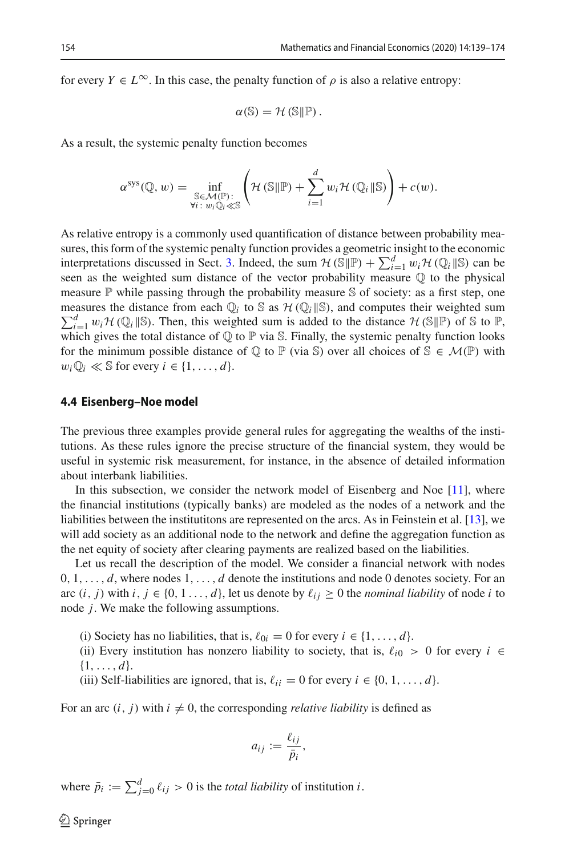for every  $Y \in L^{\infty}$ . In this case, the penalty function of  $\rho$  is also a relative entropy:

$$
\alpha(\mathbb{S})=\mathcal{H}(\mathbb{S}\Vert\mathbb{P}).
$$

As a result, the systemic penalty function becomes

$$
\alpha^{\text{sys}}(\mathbb{Q}, w) = \inf_{\substack{\mathbb{S} \in \mathcal{M}(\mathbb{P}):\\ \forall i \colon w_i \mathbb{Q}_i \ll \mathbb{S}}} \left( \mathcal{H}(\mathbb{S} \|\mathbb{P}) + \sum_{i=1}^d w_i \mathcal{H}(\mathbb{Q}_i \|\mathbb{S}) \right) + c(w).
$$

As relative entropy is a commonly used quantification of distance between probability measures, this form of the systemic penalty function provides a geometric insight to the economic interpretations discussed in Sect. [3.](#page-6-0) Indeed, the sum  $\mathcal{H}(\mathbb{S}|\mathbb{P}) + \sum_{i=1}^{d} w_i \mathcal{H}(\mathbb{Q}_i|\mathbb{S})$  can be seen as the weighted sum distance of the vector probability measure Q to the physical measure  $\mathbb P$  while passing through the probability measure  $\mathbb S$  of society: as a first step, one measures the distance from each  $\mathbb{Q}_i$  to S as  $\mathcal{H}(\mathbb{Q}_i | \mathbb{S})$ , and computes their weighted sum  $\sum_{i=1}^d w_i \mathcal{H}(\mathbb{Q}_i | \mathbb{S})$ . Then, this weighted sum is added to the distance  $\mathcal{H}(\mathbb{S} | \mathbb{P})$  of S to P, which gives the total distance of  $\mathbb Q$  to  $\mathbb P$  via S. Finally, the systemic penalty function looks for the minimum possible distance of  $\mathbb Q$  to  $\mathbb P$  (via  $\mathbb S$ ) over all choices of  $\mathbb S \in \mathcal M(\mathbb P)$  with  $w_i \mathbb{Q}_i \ll \mathbb{S}$  for every  $i \in \{1, \ldots, d\}.$ 

#### <span id="page-15-0"></span>**4.4 Eisenberg–Noe model**

The previous three examples provide general rules for aggregating the wealths of the institutions. As these rules ignore the precise structure of the financial system, they would be useful in systemic risk measurement, for instance, in the absence of detailed information about interbank liabilities.

In this subsection, we consider the network model of Eisenberg and Noe [\[11\]](#page-34-0), where the financial institutions (typically banks) are modeled as the nodes of a network and the liabilities between the institutitons are represented on the arcs. As in Feinstein et al. [\[13](#page-35-2)], we will add society as an additional node to the network and define the aggregation function as the net equity of society after clearing payments are realized based on the liabilities.

Let us recall the description of the model. We consider a financial network with nodes 0, 1,..., *d*, where nodes 1,..., *d* denote the institutions and node 0 denotes society. For an arc  $(i, j)$  with  $i, j \in \{0, 1, \ldots, d\}$ , let us denote by  $\ell_{ij} \geq 0$  the *nominal liability* of node *i* to node *j*. We make the following assumptions.

- (i) Society has no liabilities, that is,  $\ell_{0i} = 0$  for every  $i \in \{1, ..., d\}$ .
- (ii) Every institution has nonzero liability to society, that is,  $\ell_{i0} > 0$  for every  $i \in$ {1,..., *d*}.
- (iii) Self-liabilities are ignored, that is,  $\ell_{ii} = 0$  for every  $i \in \{0, 1, ..., d\}$ .

For an arc  $(i, j)$  with  $i \neq 0$ , the corresponding *relative liability* is defined as

$$
a_{ij} := \frac{\ell_{ij}}{\bar{p}_i},
$$

where  $\bar{p}_i := \sum_{j=0}^d \ell_{ij} > 0$  is the *total liability* of institution *i*.

 $\circledcirc$  Springer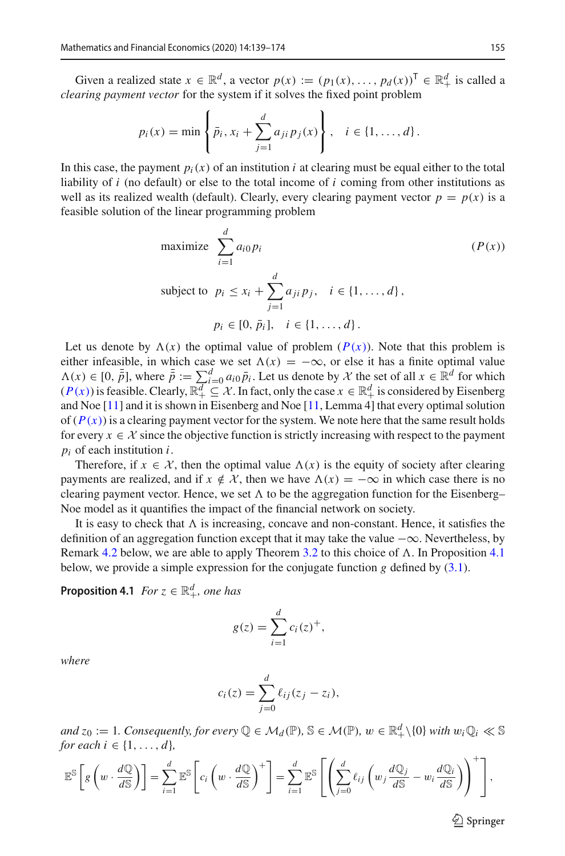Given a realized state  $x \in \mathbb{R}^d$ , a vector  $p(x) := (p_1(x), \dots, p_d(x))^T \in \mathbb{R}^d_+$  is called a *clearing payment vector* for the system if it solves the fixed point problem

$$
p_i(x) = \min \left\{ \bar{p}_i, x_i + \sum_{j=1}^d a_{ji} p_j(x) \right\}, \quad i \in \{1, ..., d\}.
$$

In this case, the payment  $p_i(x)$  of an institution *i* at clearing must be equal either to the total liability of *i* (no default) or else to the total income of *i* coming from other institutions as well as its realized wealth (default). Clearly, every clearing payment vector  $p = p(x)$  is a feasible solution of the linear programming problem

<span id="page-16-0"></span>maximize 
$$
\sum_{i=1}^{d} a_{i0} p_i
$$
   
\nsubject to  $p_i \le x_i + \sum_{j=1}^{d} a_{ji} p_j, \quad i \in \{1, ..., d\},$   
\n $p_i \in [0, \bar{p}_i], \quad i \in \{1, ..., d\}.$ 

Let us denote by  $\Lambda(x)$  the optimal value of problem  $(P(x))$  $(P(x))$  $(P(x))$ . Note that this problem is either infeasible, in which case we set  $\Lambda(x) = -\infty$ , or else it has a finite optimal value  $\Lambda(x) \in [0, \bar{\bar{p}}]$ , where  $\bar{\bar{p}} := \sum_{i=0}^{d} a_{i0} \bar{p}_{i}$ . Let us denote by  $\mathcal{X}$  the set of all  $x \in \mathbb{R}^{d}$  for which  $(P(x))$  $(P(x))$  $(P(x))$  is feasible. Clearly,  $\mathbb{R}^{d}_{+} \subseteq \mathcal{X}$ . In fact, only the case  $x \in \mathbb{R}^{d}_{+}$  is and Noe [\[11\]](#page-34-0) and it is shown in Eisenberg and Noe [\[11,](#page-34-0) Lemma 4] that every optimal solution of  $(P(x))$  $(P(x))$  $(P(x))$  is a clearing payment vector for the system. We note here that the same result holds for every  $x \in \mathcal{X}$  since the objective function is strictly increasing with respect to the payment *pi* of each institution *i*.

Therefore, if  $x \in \mathcal{X}$ , then the optimal value  $\Lambda(x)$  is the equity of society after clearing payments are realized, and if  $x \notin \mathcal{X}$ , then we have  $\Lambda(x) = -\infty$  in which case there is no clearing payment vector. Hence, we set  $\Lambda$  to be the aggregation function for the Eisenberg– Noe model as it quantifies the impact of the financial network on society.

It is easy to check that  $\Lambda$  is increasing, concave and non-constant. Hence, it satisfies the definition of an aggregation function except that it may take the value  $-\infty$ . Nevertheless, by Remark [4.2](#page-17-0) below, we are able to apply Theorem [3.2](#page-7-1) to this choice of  $\Lambda$ . In Proposition [4.1](#page-16-1) below, we provide a simple expression for the conjugate function *g* defined by [\(3.1\)](#page-7-2).

<span id="page-16-1"></span>**Proposition 4.1** *For*  $z \in \mathbb{R}^d_+$ *, one has* 

$$
g(z) = \sum_{i=1}^d c_i(z)^+,
$$

*where*

$$
c_i(z) = \sum_{j=0}^d \ell_{ij}(z_j - z_i),
$$

 $\mathcal{A}$  *and*  $z_0 := 1$ *. Consequently, for every*  $\mathbb{Q} \in \mathcal{M}_d(\mathbb{P})$ ,  $\mathbb{S} \in \mathcal{M}(\mathbb{P})$ ,  $w \in \mathbb{R}_+^d \setminus \{0\}$  with  $w_i \mathbb{Q}_i \ll \mathbb{S}$ *for each*  $i \in \{1, ..., d\}$ *,* 

$$
\mathbb{E}^{\mathbb{S}}\left[g\left(w \cdot \frac{d\mathbb{Q}}{d\mathbb{S}}\right)\right] = \sum_{i=1}^{d} \mathbb{E}^{\mathbb{S}}\left[c_{i}\left(w \cdot \frac{d\mathbb{Q}}{d\mathbb{S}}\right)^{+}\right] = \sum_{i=1}^{d} \mathbb{E}^{\mathbb{S}}\left[\left(\sum_{j=0}^{d} \ell_{ij}\left(w_{j} \frac{d\mathbb{Q}_{j}}{d\mathbb{S}}-w_{i} \frac{d\mathbb{Q}_{i}}{d\mathbb{S}}\right)\right)^{+}\right],
$$

 $\circled{2}$  Springer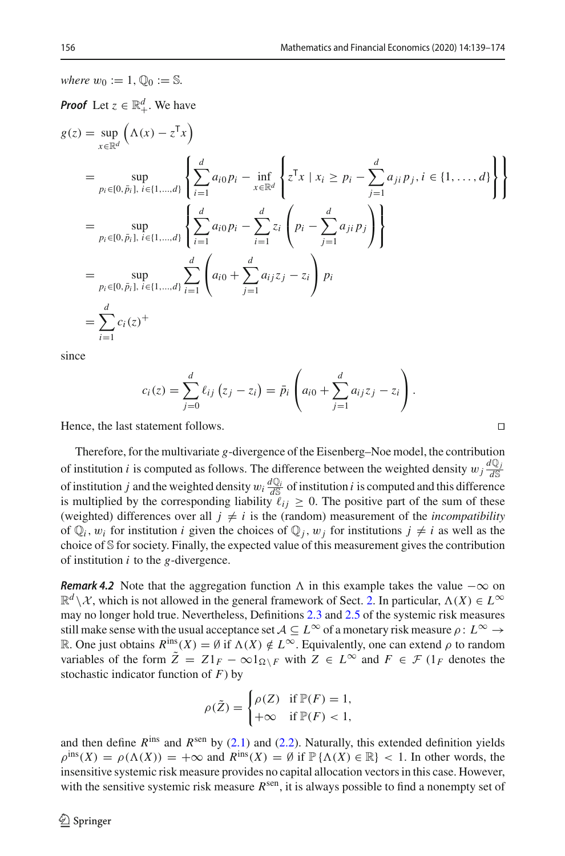*where*  $w_0 := 1$ ,  $\mathbb{Q}_0 := \mathbb{S}$ .

Proof Let 
$$
z \in \mathbb{R}_+^d
$$
. We have  
\n
$$
g(z) = \sup_{x \in \mathbb{R}^d} (\Lambda(x) - z^T x)
$$
\n
$$
= \sup_{p_i \in [0, \bar{p}_i], i \in \{1, ..., d\}} \left\{ \sum_{i=1}^d a_{i0} p_i - \inf_{x \in \mathbb{R}^d} \left\{ z^T x \mid x_i \ge p_i - \sum_{j=1}^d a_{ji} p_j, i \in \{1, ..., d\} \right\} \right\}
$$
\n
$$
= \sup_{p_i \in [0, \bar{p}_i], i \in \{1, ..., d\}} \left\{ \sum_{i=1}^d a_{i0} p_i - \sum_{i=1}^d z_i \left( p_i - \sum_{j=1}^d a_{ji} p_j \right) \right\}
$$
\n
$$
= \sup_{p_i \in [0, \bar{p}_i], i \in \{1, ..., d\}} \sum_{i=1}^d \left( a_{i0} + \sum_{j=1}^d a_{ij} z_j - z_i \right) p_i
$$
\n
$$
= \sum_{i=1}^d c_i(z)^+
$$

since

$$
c_i(z) = \sum_{j=0}^d \ell_{ij} (z_j - z_i) = \bar{p}_i \left( a_{i0} + \sum_{j=1}^d a_{ij} z_j - z_i \right).
$$

Hence, the last statement follows.

Therefore, for the multivariate *g*-divergence of the Eisenberg–Noe model, the contribution of institution *i* is computed as follows. The difference between the weighted density  $w_j \frac{dQ_j}{dS}$ of institution *j* and the weighted density  $w_i \frac{dQ_i}{dS}$  of institution *i* is computed and this difference is multiplied by the corresponding liability  $\ell_{ij} \geq 0$ . The positive part of the sum of these (weighted) differences over all  $j \neq i$  is the (random) measurement of the *incompatibility* of  $\mathbb{Q}_i$ ,  $w_i$  for institution *i* given the choices of  $\mathbb{Q}_i$ ,  $w_j$  for institutions  $j \neq i$  as well as the choice of S for society. Finally, the expected value of this measurement gives the contribution of institution *i* to the *g*-divergence.

<span id="page-17-0"></span>*Remark 4.2* Note that the aggregation function  $\Lambda$  in this example takes the value  $-\infty$  on  $\mathbb{R}^d \setminus \mathcal{X}$ , which is not allowed in the general framework of Sect. [2.](#page-3-0) In particular,  $\Lambda(X) \in L^\infty$ may no longer hold true. Nevertheless, Definitions [2.3](#page-5-4) and [2.5](#page-5-5) of the systemic risk measures still make sense with the usual acceptance set  $A \subseteq L^{\infty}$  of a monetary risk measure  $\rho: L^{\infty} \to$ R. One just obtains  $R^{\text{ins}}(X) = \emptyset$  if  $\Lambda(X) \notin L^{\infty}$ . Equivalently, one can extend  $\rho$  to random variables of the form  $\tilde{Z} = Z1_F - \infty 1_{\Omega \setminus F}$  with  $Z \in L^{\infty}$  and  $F \in \mathcal{F}$  (1<sub>F</sub> denotes the stochastic indicator function of *F*) by

$$
\rho(\tilde{Z}) = \begin{cases} \rho(Z) & \text{if } \mathbb{P}(F) = 1, \\ +\infty & \text{if } \mathbb{P}(F) < 1, \end{cases}
$$

and then define  $R^{ins}$  and  $R^{sen}$  by [\(2.1\)](#page-5-0) and [\(2.2\)](#page-5-6). Naturally, this extended definition yields  $\rho^{\text{ins}}(X) = \rho(\Lambda(X)) = +\infty$  and  $R^{\text{ins}}(X) = \emptyset$  if  $\mathbb{P}\{\Lambda(X) \in \mathbb{R}\}$  < 1. In other words, the insensitive systemic risk measure provides no capital allocation vectors in this case. However, with the sensitive systemic risk measure  $R^{\text{sen}}$ , it is always possible to find a nonempty set of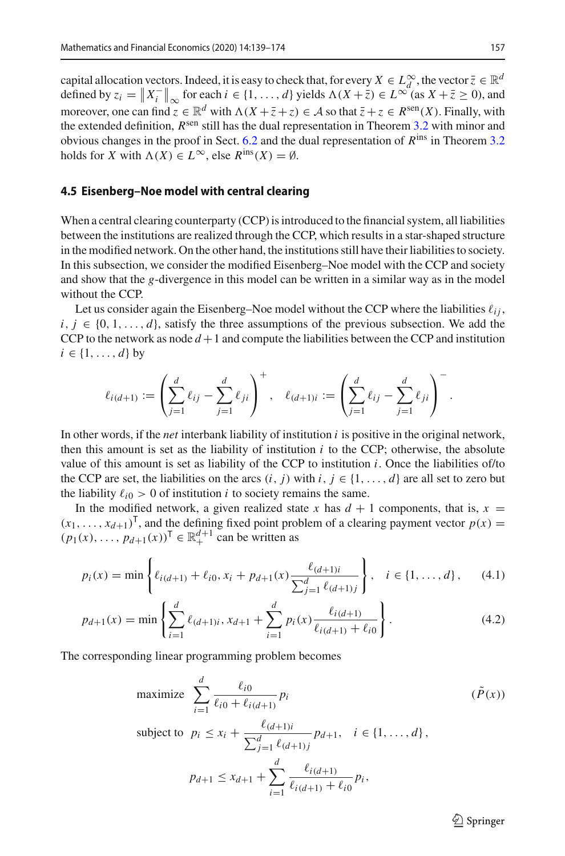capital allocation vectors. Indeed, it is easy to check that, for every  $X \in L^\infty_d$ , the vector  $\overline{z} \in \mathbb{R}^d$ defined by  $z_i = \|X_i^-\|_{\infty}$  for each  $i \in \{1, ..., d\}$  yields  $\Lambda(X + \overline{z}) \in L^{\infty}$  (as  $X + \overline{z} \ge 0$ ), and moreover, one can find  $z \in \mathbb{R}^d$  with  $\Lambda(X + \overline{z} + z) \in A$  so that  $\overline{z} + z \in R^{\text{sen}}(X)$ . Finally, with moreover, one can find  $z \in \mathbb{R}^d$  with  $\Lambda(X + \overline{z} + z) \in A$  so that  $\overline{z} + z \in R^{\text{sen}}(X)$ . Finally, with the extended definition, *R*<sup>sen</sup> still has the dual representation in Theorem [3.2](#page-7-1) with minor and obvious changes in the proof in Sect. [6.2](#page-26-0) and the dual representation of *R*ins in Theorem [3.2](#page-7-1) holds for *X* with  $\Lambda(X) \in L^{\infty}$ , else  $R^{\text{ins}}(X) = \emptyset$ .

#### <span id="page-18-0"></span>**4.5 Eisenberg–Noe model with central clearing**

When a central clearing counterparty (CCP) is introduced to the financial system, all liabilities between the institutions are realized through the CCP, which results in a star-shaped structure in the modified network. On the other hand, the institutions still have their liabilities to society. In this subsection, we consider the modified Eisenberg–Noe model with the CCP and society and show that the *g*-divergence in this model can be written in a similar way as in the model without the CCP.

Let us consider again the Eisenberg–Noe model without the CCP where the liabilities  $\ell_{ij}$ ,  $i, j \in \{0, 1, \ldots, d\}$ , satisfy the three assumptions of the previous subsection. We add the CCP to the network as node  $d+1$  and compute the liabilities between the CCP and institution  $i \in \{1, \ldots, d\}$  by

$$
\ell_{i(d+1)} := \left(\sum_{j=1}^d \ell_{ij} - \sum_{j=1}^d \ell_{ji}\right)^+, \quad \ell_{(d+1)i} := \left(\sum_{j=1}^d \ell_{ij} - \sum_{j=1}^d \ell_{ji}\right)^-.
$$

In other words, if the *net* interbank liability of institution *i* is positive in the original network, then this amount is set as the liability of institution *i* to the CCP; otherwise, the absolute value of this amount is set as liability of the CCP to institution *i*. Once the liabilities of/to the CCP are set, the liabilities on the arcs  $(i, j)$  with  $i, j \in \{1, \ldots, d\}$  are all set to zero but the liability  $\ell_{i0} > 0$  of institution *i* to society remains the same.

In the modified network, a given realized state *x* has  $d + 1$  components, that is,  $x =$  $(x_1, \ldots, x_{d+1})^T$ , and the defining fixed point problem of a clearing payment vector  $p(x) =$  $(p_1(x), ..., p_{d+1}(x))^T \in \mathbb{R}^{d+1}_+$  can be written as

$$
p_i(x) = \min\left\{\ell_{i(d+1)} + \ell_{i0}, x_i + p_{d+1}(x) \frac{\ell_{(d+1)i}}{\sum_{j=1}^d \ell_{(d+1)j}}\right\}, \quad i \in \{1, ..., d\},\tag{4.1}
$$

$$
p_{d+1}(x) = \min\left\{\sum_{i=1}^{d} \ell_{(d+1)i}, x_{d+1} + \sum_{i=1}^{d} p_i(x) \frac{\ell_{i(d+1)}}{\ell_{i(d+1)} + \ell_{i0}}\right\}.
$$
\n(4.2)

The corresponding linear programming problem becomes

maximize 
$$
\sum_{i=1}^{d} \frac{\ell_{i0}}{\ell_{i0} + \ell_{i(d+1)}} p_i
$$
  $(\tilde{P}(x))$ 

subject to  $p_i \leq x_i + \frac{\ell_{(d+1)i}}{\sqrt{d}}$  $\sum_{j=1}^{d} \ell_{(d+1)j}$  $p_{d+1}, i \in \{1, ..., d\},$ 

$$
p_{d+1} \le x_{d+1} + \sum_{i=1}^d \frac{\ell_{i(d+1)}}{\ell_{i(d+1)} + \ell_{i0}} p_i,
$$

<span id="page-18-3"></span><span id="page-18-2"></span><span id="page-18-1"></span> $\circled{2}$  Springer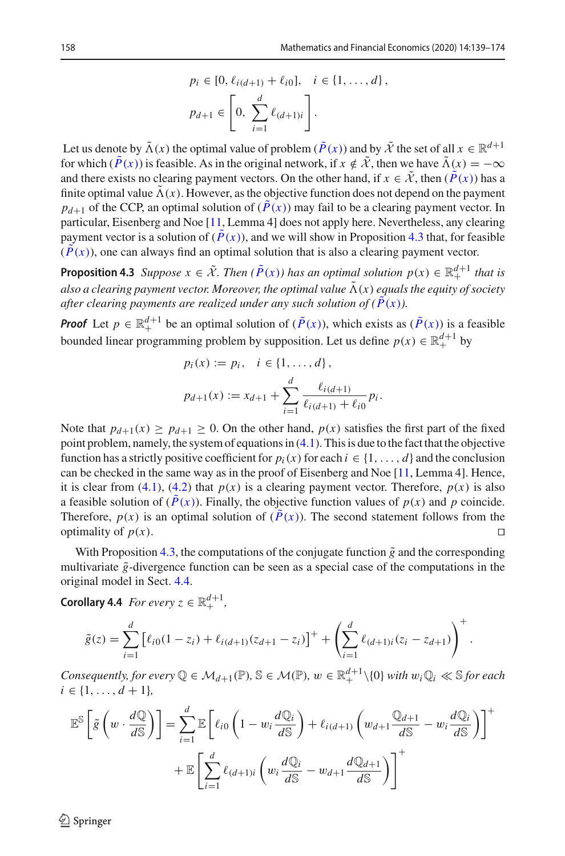.

$$
p_i \in [0, \ell_{i(d+1)} + \ell_{i0}], \quad i \in \{1, ..., d\},
$$

$$
p_{d+1} \in \left[0, \sum_{i=1}^d \ell_{(d+1)i}\right].
$$

Let us denote by  $\tilde{\Lambda}(x)$  the optimal value of problem  $(\tilde{P}(x))$  $(\tilde{P}(x))$  $(\tilde{P}(x))$  and by  $\tilde{\mathcal{X}}$  the set of all  $x \in \mathbb{R}^{d+1}$ for which  $(\tilde{P}(x))$  $(\tilde{P}(x))$  $(\tilde{P}(x))$  is feasible. As in the original network, if  $x \notin \tilde{X}$ , then we have  $\tilde{\Lambda}(x) = -\infty$ and there exists no clearing payment vectors. On the other hand, if  $x \in \tilde{\mathcal{X}}$ , then  $(\tilde{P}(x))$  $(\tilde{P}(x))$  $(\tilde{P}(x))$  has a finite optimal value  $\tilde{\Lambda}(x)$ . However, as the objective function does not depend on the payment  $p_{d+1}$  of the CC[P](#page-18-1), an optimal solution of  $(\tilde{P}(x))$  may fail to be a clearing payment vector. In particular, Eisenberg and Noe [\[11,](#page-34-0) Lemma 4] does not apply here. Nevertheless, any clearing payment vector is a solution of  $(\tilde{P}(x))$  $(\tilde{P}(x))$  $(\tilde{P}(x))$ , and we will show in Proposition [4.3](#page-19-0) that, for feasible  $(\tilde{P}(x))$  $(\tilde{P}(x))$  $(\tilde{P}(x))$ , one can always find an optimal solution that is also a clearing payment vector.

<span id="page-19-0"></span>**Proposition 4.3** *Suppose*  $x \in \tilde{\mathcal{X}}$ *. Then*  $(\tilde{P}(x))$  *has an optimal solution*  $p(x) \in \mathbb{R}^{d+1}$  *that is also a clearing payment vector. Moreover, the optimal value*  $\tilde{\Lambda}(x)$  *equals the equity of society after clearing payments are realized under any such solution of*  $(\tilde{P}(x))$ *.* 

*[P](#page-18-1)roof* Let  $p \in \mathbb{R}^{d+1}_+$  be an optimal solution of  $(\tilde{P}(x))$ , which exists as  $(\tilde{P}(x))$  is a feasible bounded linear programming problem by supposition. Let us define  $p(x) \in \mathbb{R}^{d+1}_+$  by

$$
p_i(x) := p_i, \quad i \in \{1, ..., d\},
$$
  

$$
p_{d+1}(x) := x_{d+1} + \sum_{i=1}^d \frac{\ell_{i(d+1)}}{\ell_{i(d+1)} + \ell_{i0}} p_i.
$$

Note that  $p_{d+1}(x) \geq p_{d+1} \geq 0$ . On the other hand,  $p(x)$  satisfies the first part of the fixed point problem, namely, the system of equations in [\(4.1\)](#page-18-2). This is due to the fact that the objective function has a strictly positive coefficient for  $p_i(x)$  for each  $i \in \{1, \ldots, d\}$  and the conclusion can be checked in the same way as in the proof of Eisenberg and Noe [\[11,](#page-34-0) Lemma 4]. Hence, it is clear from [\(4.1\)](#page-18-2), [\(4.2\)](#page-18-3) that  $p(x)$  is a clearing payment vector. Therefore,  $p(x)$  is also a feasible solution of  $(P(x))$  $(P(x))$  $(P(x))$ . Finally, the objective function values of  $p(x)$  and  $p$  coincide. Therefore,  $p(x)$  is an optimal solution of  $(\tilde{P}(x))$  $(\tilde{P}(x))$  $(\tilde{P}(x))$ . The second statement follows from the optimality of  $p(x)$ .

With Proposition [4.3,](#page-19-0) the computations of the conjugate function  $\tilde{g}$  and the corresponding multivariate  $\tilde{g}$ -divergence function can be seen as a special case of the computations in the original model in Sect. [4.4.](#page-15-0)

**Corollary 4.4** *For every*  $z \in \mathbb{R}^{d+1}_+$ ,

$$
\tilde{g}(z) = \sum_{i=1}^{d} \left[ \ell_{i0}(1 - z_i) + \ell_{i(d+1)}(z_{d+1} - z_i) \right]^{+} + \left( \sum_{i=1}^{d} \ell_{(d+1)i}(z_i - z_{d+1}) \right)^{+}
$$

*Consequently, for every*  $\mathbb{Q} \in \mathcal{M}_{d+1}(\mathbb{P})$ ,  $\mathbb{S} \in \mathcal{M}(\mathbb{P})$ ,  $w \in \mathbb{R}^{d+1}_+ \setminus \{0\}$  with  $w_i \mathbb{Q}_i \ll \mathbb{S}$  for each  $i \in \{1, \ldots, d + 1\},\$ 

$$
\mathbb{E}^{\mathbb{S}}\left[\tilde{g}\left(w \cdot \frac{d\mathbb{Q}}{d\mathbb{S}}\right)\right] = \sum_{i=1}^{d} \mathbb{E}\left[\ell_{i0}\left(1 - w_{i} \frac{d\mathbb{Q}_{i}}{d\mathbb{S}}\right) + \ell_{i(d+1)}\left(w_{d+1} \frac{\mathbb{Q}_{d+1}}{d\mathbb{S}} - w_{i} \frac{d\mathbb{Q}_{i}}{d\mathbb{S}}\right)\right]^{+} + \mathbb{E}\left[\sum_{i=1}^{d} \ell_{(d+1)i}\left(w_{i} \frac{d\mathbb{Q}_{i}}{d\mathbb{S}} - w_{d+1} \frac{d\mathbb{Q}_{d+1}}{d\mathbb{S}}\right)\right]^{+}
$$

 $\circledcirc$  Springer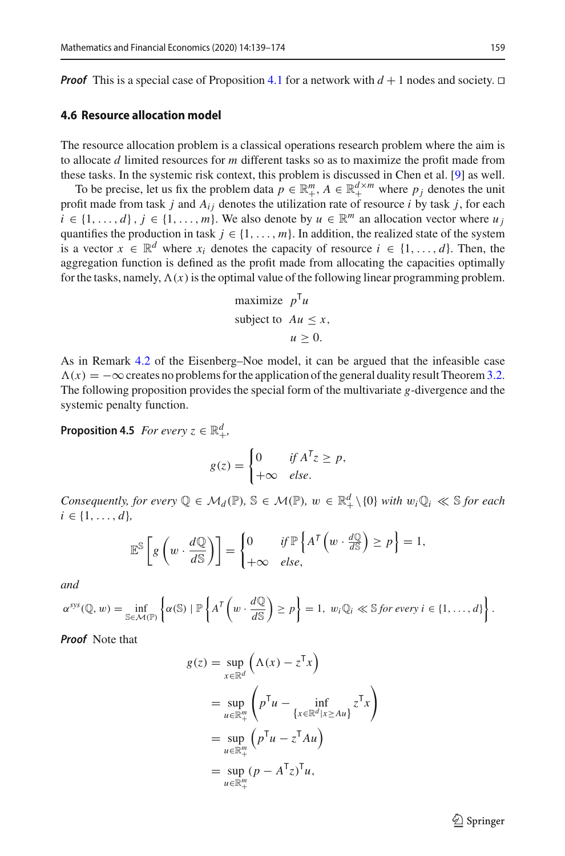*Proof* This is a special case of Proposition [4.1](#page-16-1) for a network with  $d + 1$  nodes and society.  $\Box$ 

#### **4.6 Resource allocation model**

The resource allocation problem is a classical operations research problem where the aim is to allocate *d* limited resources for *m* different tasks so as to maximize the profit made from these tasks. In the systemic risk context, this problem is discussed in Chen et al. [\[9\]](#page-34-2) as well.

To be precise, let us fix the problem data  $p \in \mathbb{R}^m_+$ ,  $A \in \mathbb{R}^{d \times m}_+$  where  $p_j$  denotes the unit profit made from task *j* and  $A_{ij}$  denotes the utilization rate of resource *i* by task *j*, for each  $i \in \{1, \ldots, d\}$ ,  $j \in \{1, \ldots, m\}$ . We also denote by  $u \in \mathbb{R}^m$  an allocation vector where  $u_j$ quantifies the production in task  $j \in \{1, \ldots, m\}$ . In addition, the realized state of the system is a vector  $x \in \mathbb{R}^d$  where  $x_i$  denotes the capacity of resource  $i \in \{1, ..., d\}$ . Then, the aggregation function is defined as the profit made from allocating the capacities optimally for the tasks, namely,  $\Lambda(x)$  is the optimal value of the following linear programming problem.

maximize 
$$
p^T u
$$
  
subject to  $Au \le x$ ,  
 $u \ge 0$ .

As in Remark [4.2](#page-17-0) of the Eisenberg–Noe model, it can be argued that the infeasible case  $\Lambda(x) = -\infty$  creates no problems for the application of the general duality result Theorem [3.2.](#page-7-1) The following proposition provides the special form of the multivariate *g*-divergence and the systemic penalty function.

<span id="page-20-0"></span>**Proposition 4.5** *For every*  $z \in \mathbb{R}^d_+$ ,

$$
g(z) = \begin{cases} 0 & \text{if } A^T z \ge p, \\ +\infty & \text{else.} \end{cases}
$$

*Consequently, for every*  $\mathbb{Q} \in \mathcal{M}_d(\mathbb{P})$ ,  $\mathbb{S} \in \mathcal{M}(\mathbb{P})$ ,  $w \in \mathbb{R}_+^d \setminus \{0\}$  with  $w_i \mathbb{Q}_i \ll \mathbb{S}$  for each  $i \in \{1, \ldots, d\},\$ 

$$
\mathbb{E}^{\mathbb{S}}\left[g\left(w \cdot \frac{d\mathbb{Q}}{d\mathbb{S}}\right)\right] = \begin{cases} 0 & \text{if } \mathbb{P}\left\{A^{\mathsf{T}}\left(w \cdot \frac{d\mathbb{Q}}{d\mathbb{S}}\right) \ge p\right\} = 1, \\ +\infty & \text{else,} \end{cases}
$$

*and*

$$
\alpha^{sys}(\mathbb{Q}, w) = \inf_{\mathbb{S} \in \mathcal{M}(\mathbb{P})} \left\{ \alpha(\mathbb{S}) \mid \mathbb{P} \left\{ A^{\mathsf{T}} \left( w \cdot \frac{d\mathbb{Q}}{d\mathbb{S}} \right) \geq p \right\} = 1, w_i \mathbb{Q}_i \ll \mathbb{S} \text{ for every } i \in \{1, \ldots, d\} \right\}.
$$

*Proof* Note that

$$
g(z) = \sup_{x \in \mathbb{R}^d} (\Lambda(x) - z^{\mathsf{T}} x)
$$
  
= 
$$
\sup_{u \in \mathbb{R}^m_+} \left( p^{\mathsf{T}} u - \inf_{\{x \in \mathbb{R}^d | x \ge A u\}} z^{\mathsf{T}} x \right)
$$
  
= 
$$
\sup_{u \in \mathbb{R}^m_+} \left( p^{\mathsf{T}} u - z^{\mathsf{T}} A u \right)
$$
  
= 
$$
\sup_{u \in \mathbb{R}^m_+} (p - A^{\mathsf{T}} z)^{\mathsf{T}} u,
$$

 $\circled{2}$  Springer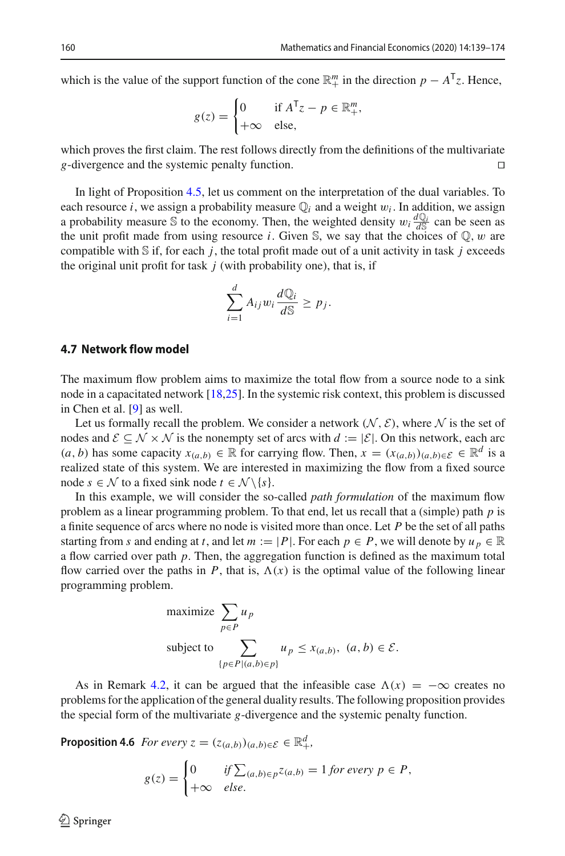which is the value of the support function of the cone  $\mathbb{R}^m_+$  in the direction  $p - A^T z$ . Hence,

$$
g(z) = \begin{cases} 0 & \text{if } A^T z - p \in \mathbb{R}^m_+, \\ +\infty & \text{else,} \end{cases}
$$

which proves the first claim. The rest follows directly from the definitions of the multivariate *g*-divergence and the systemic penalty function.

In light of Proposition [4.5,](#page-20-0) let us comment on the interpretation of the dual variables. To each resource *i*, we assign a probability measure  $\mathbb{Q}_i$  and a weight  $w_i$ . In addition, we assign a probability measure S to the economy. Then, the weighted density  $w_i \frac{dQ_i}{dS}$  can be seen as the unit profit made from using resource *i*. Given  $\mathbb{S}$ , we say that the choices of  $\mathbb{Q}$ , w are compatible with  $S$  if, for each  $j$ , the total profit made out of a unit activity in task  $j$  exceeds the original unit profit for task  $j$  (with probability one), that is, if

$$
\sum_{i=1}^d A_{ij} w_i \frac{d\mathbb{Q}_i}{d\mathbb{S}} \ge p_j.
$$

#### **4.7 Network flow model**

The maximum flow problem aims to maximize the total flow from a source node to a sink node in a capacitated network [\[18](#page-35-10)[,25](#page-35-11)]. In the systemic risk context, this problem is discussed in Chen et al. [\[9\]](#page-34-2) as well.

Let us formally recall the problem. We consider a network  $(N, \mathcal{E})$ , where N is the set of nodes and  $\mathcal{E} \subseteq \mathcal{N} \times \mathcal{N}$  is the nonempty set of arcs with  $d := |\mathcal{E}|$ . On this network, each arc (*a*, *b*) has some capacity  $x_{(a,b)} \in \mathbb{R}$  for carrying flow. Then,  $x = (x_{(a,b)})_{(a,b) \in \mathcal{E}} \in \mathbb{R}^d$  is a realized state of this system. We are interested in maximizing the flow from a fixed source node  $s \in \mathcal{N}$  to a fixed sink node  $t \in \mathcal{N} \setminus \{s\}.$ 

In this example, we will consider the so-called *path formulation* of the maximum flow problem as a linear programming problem. To that end, let us recall that a (simple) path *p* is a finite sequence of arcs where no node is visited more than once. Let *P* be the set of all paths starting from *s* and ending at *t*, and let  $m := |P|$ . For each  $p \in P$ , we will denote by  $u_p \in \mathbb{R}$ a flow carried over path *p*. Then, the aggregation function is defined as the maximum total flow carried over the paths in *P*, that is,  $\Lambda(x)$  is the optimal value of the following linear programming problem.

maximize 
$$
\sum_{p \in P} u_p
$$
  
\nsubject to  $\sum_{\{p \in P | (a,b) \in p\}} u_p \le x_{(a,b)}, (a, b) \in \mathcal{E}.$ 

As in Remark [4.2,](#page-17-0) it can be argued that the infeasible case  $\Lambda(x) = -\infty$  creates no problems for the application of the general duality results. The following proposition provides the special form of the multivariate *g*-divergence and the systemic penalty function.

<span id="page-21-0"></span>**Proposition 4.6** *For every*  $z = (z_{(a,b)})_{(a,b)\in\mathcal{E}} \in \mathbb{R}^d_+$ ,

$$
g(z) = \begin{cases} 0 & \text{if } \sum_{(a,b)\in p} z_{(a,b)} = 1 \text{ for every } p \in P, \\ +\infty & \text{else.} \end{cases}
$$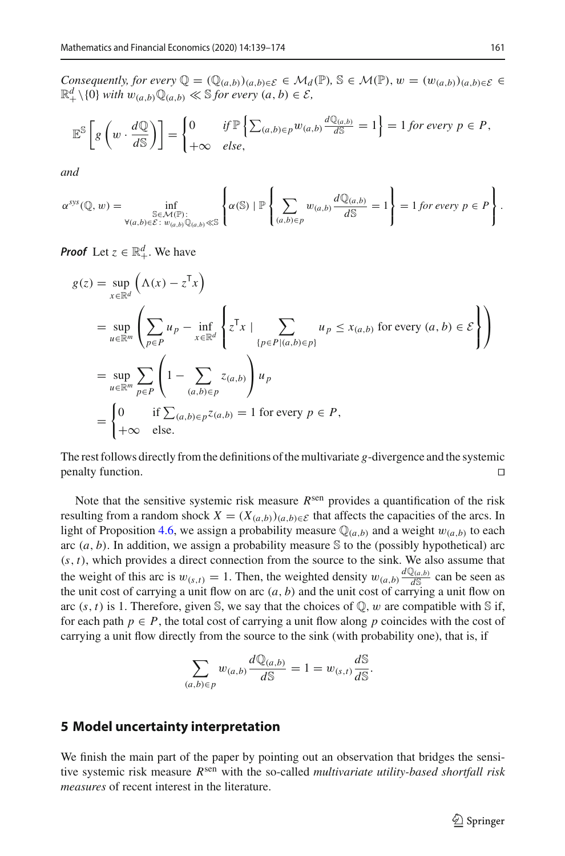*Consequently, for every*  $\mathbb{Q} = (\mathbb{Q}_{(a,b)})_{(a,b)\in\mathcal{E}} \in \mathcal{M}_d(\mathbb{P})$ ,  $\mathbb{S} \in \mathcal{M}(\mathbb{P})$ ,  $w = (w_{(a,b)})_{(a,b)\in\mathcal{E}} \in$  $\mathbb{R}^d_+ \setminus \{0\}$  *with*  $w_{(a,b)} \mathbb{Q}_{(a,b)} \ll \mathbb{S}$  for every  $(a,b) \in \mathcal{E}$ ,

$$
\mathbb{E}^{\mathbb{S}}\left[g\left(w \cdot \frac{d\mathbb{Q}}{d\mathbb{S}}\right)\right] = \begin{cases} 0 & \text{if } \mathbb{P}\left\{\sum_{(a,b)\in p} w_{(a,b)} \frac{d\mathbb{Q}_{(a,b)}}{d\mathbb{S}} = 1\right\} = 1 \text{ for every } p \in P, \\ +\infty & \text{else,} \end{cases}
$$

*and*

$$
\alpha^{sys}(\mathbb{Q}, w) = \inf_{\substack{\mathbb{S} \in \mathcal{M}(\mathbb{P}) : \\ \forall (a,b) \in \mathcal{E} : w_{(a,b)}\mathbb{Q}_{(a,b)} \ll \mathbb{S}}} \left\{ \alpha(\mathbb{S}) \mid \mathbb{P} \left\{ \sum_{(a,b) \in p} w_{(a,b)} \frac{d\mathbb{Q}_{(a,b)}}{d\mathbb{S}} = 1 \right\} = 1 \text{ for every } p \in P \right\}.
$$

*Proof* Let  $z \in \mathbb{R}^d_+$ . We have

$$
g(z) = \sup_{x \in \mathbb{R}^d} (\Lambda(x) - z^T x)
$$
  
\n
$$
= \sup_{u \in \mathbb{R}^m} \left( \sum_{p \in P} u_p - \inf_{x \in \mathbb{R}^d} \left\{ z^T x \mid \sum_{\{p \in P | (a,b) \in p\}} u_p \le x_{(a,b)} \text{ for every } (a,b) \in \mathcal{E} \right\} \right)
$$
  
\n
$$
= \sup_{u \in \mathbb{R}^m} \sum_{p \in P} \left( 1 - \sum_{(a,b) \in p} z_{(a,b)} \right) u_p
$$
  
\n
$$
= \begin{cases} 0 & \text{if } \sum_{(a,b) \in p} z_{(a,b)} = 1 \text{ for every } p \in P, \\ +\infty & \text{else.} \end{cases}
$$

The rest follows directly from the definitions of the multivariate *g*-divergence and the systemic penalty function.

Note that the sensitive systemic risk measure *R*sen provides a quantification of the risk resulting from a random shock  $X = (X_{(a,b)})_{(a,b)\in\mathcal{E}}$  that affects the capacities of the arcs. In light of Proposition [4.6,](#page-21-0) we assign a probability measure  $\mathbb{Q}_{(a,b)}$  and a weight  $w_{(a,b)}$  to each arc  $(a, b)$ . In addition, we assign a probability measure S to the (possibly hypothetical) arc (*s*, *t*), which provides a direct connection from the source to the sink. We also assume that the weight of this arc is  $w_{(s,t)} = 1$ . Then, the weighted density  $w_{(a,b)} \frac{dQ_{(a,b)}}{dS}$  can be seen as the unit cost of carrying a unit flow on arc  $(a, b)$  and the unit cost of carrying a unit flow on arc  $(s, t)$  is 1. Therefore, given S, we say that the choices of  $\mathbb{Q}$ , w are compatible with S if, for each path  $p \in P$ , the total cost of carrying a unit flow along p coincides with the cost of carrying a unit flow directly from the source to the sink (with probability one), that is, if

$$
\sum_{(a,b)\in p} w_{(a,b)} \frac{d\mathbb{Q}_{(a,b)}}{d\mathbb{S}} = 1 = w_{(s,t)} \frac{d\mathbb{S}}{d\mathbb{S}}.
$$

# <span id="page-22-0"></span>**5 Model uncertainty interpretation**

We finish the main part of the paper by pointing out an observation that bridges the sensitive systemic risk measure *R*sen with the so-called *multivariate utility-based shortfall risk measures* of recent interest in the literature.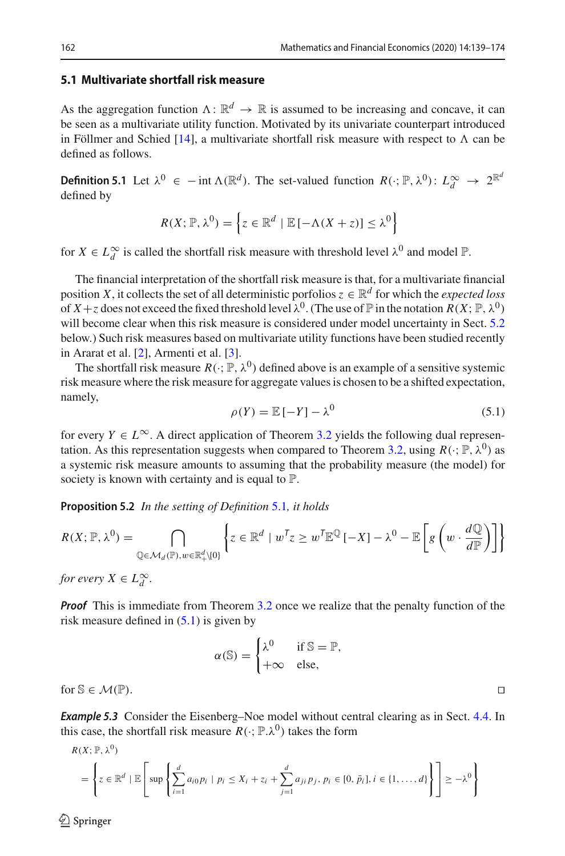## **5.1 Multivariate shortfall risk measure**

As the aggregation function  $\Lambda: \mathbb{R}^d \to \mathbb{R}$  is assumed to be increasing and concave, it can be seen as a multivariate utility function. Motivated by its univariate counterpart introduced in Föllmer and Schied [\[14](#page-35-12)], a multivariate shortfall risk measure with respect to  $\Lambda$  can be defined as follows.

<span id="page-23-0"></span>**Definition 5.1** Let  $\lambda^0 \in - \text{int } \Lambda(\mathbb{R}^d)$ . The set-valued function  $R(\cdot; \mathbb{P}, \lambda^0)$ :  $L_d^{\infty} \to 2^{\mathbb{R}^d}$ defined by

$$
R(X; \mathbb{P}, \lambda^0) = \left\{ z \in \mathbb{R}^d \mid \mathbb{E} \left[ -\Lambda(X+z) \right] \leq \lambda^0 \right\}
$$

for  $X \in L_d^{\infty}$  is called the shortfall risk measure with threshold level  $\lambda^0$  and model  $\mathbb{P}$ .

The financial interpretation of the shortfall risk measure is that, for a multivariate financial position *X*, it collects the set of all deterministic porfolios  $z \in \mathbb{R}^d$  for which the *expected loss* of  $X + z$  does not exceed the fixed threshold level  $\lambda^0$ . (The use of  $\mathbb P$  in the notation  $R(X; \mathbb P, \lambda^0)$ ) will become clear when this risk measure is considered under model uncertainty in Sect. [5.2](#page-24-0) below.) Such risk measures based on multivariate utility functions have been studied recently in Ararat et al. [\[2](#page-34-11)], Armenti et al. [\[3\]](#page-34-5).

The shortfall risk measure  $R(\cdot; \mathbb{P}, \lambda^0)$  defined above is an example of a sensitive systemic risk measure where the risk measure for aggregate values is chosen to be a shifted expectation, namely,

<span id="page-23-1"></span>
$$
\rho(Y) = \mathbb{E}\left[-Y\right] - \lambda^0 \tag{5.1}
$$

for every  $Y \in L^{\infty}$ . A direct application of Theorem [3.2](#page-7-1) yields the following dual represen-tation. As this representation suggests when compared to Theorem [3.2,](#page-7-1) using  $R(\cdot; \mathbb{P}, \lambda^0)$  as a systemic risk measure amounts to assuming that the probability measure (the model) for society is known with certainty and is equal to  $\mathbb{P}$ .

<span id="page-23-2"></span>**Proposition 5.2** *In the setting of Definition* [5.1](#page-23-0)*, it holds*

$$
R(X; \mathbb{P}, \lambda^{0}) = \bigcap_{\mathbb{Q} \in \mathcal{M}_{d}(\mathbb{P}), w \in \mathbb{R}_{+}^{d} \setminus \{0\}} \left\{ z \in \mathbb{R}^{d} \mid w^{T} z \geq w^{T} \mathbb{E}^{\mathbb{Q}} \left[ -X \right] - \lambda^{0} - \mathbb{E} \left[ g \left( w \cdot \frac{d\mathbb{Q}}{d\mathbb{P}} \right) \right] \right\}
$$

*for every*  $X \in L_d^{\infty}$ .

*Proof* This is immediate from Theorem [3.2](#page-7-1) once we realize that the penalty function of the risk measure defined in  $(5.1)$  is given by

$$
\alpha(\mathbb{S}) = \begin{cases} \lambda^0 & \text{if } \mathbb{S} = \mathbb{P}, \\ +\infty & \text{else,} \end{cases}
$$

for  $\mathbb{S} \in \mathcal{M}(\mathbb{P})$ .

**Example 5.3** Consider the Eisenberg–Noe model without central clearing as in Sect. [4.4.](#page-15-0) In this case, the shortfall risk measure  $R(\cdot; \mathbb{P} \lambda^0)$  takes the form

$$
R(X; \mathbb{P}, \lambda^{0})
$$
\n
$$
= \left\{ z \in \mathbb{R}^{d} \mid \mathbb{E} \left[ \sup \left\{ \sum_{i=1}^{d} a_{i0} p_{i} \mid p_{i} \leq X_{i} + z_{i} + \sum_{j=1}^{d} a_{ji} p_{j}, p_{i} \in [0, \bar{p}_{i}], i \in \{1, \ldots, d\} \right\} \right] \geq -\lambda^{0} \right\}
$$

 $\circledcirc$  Springer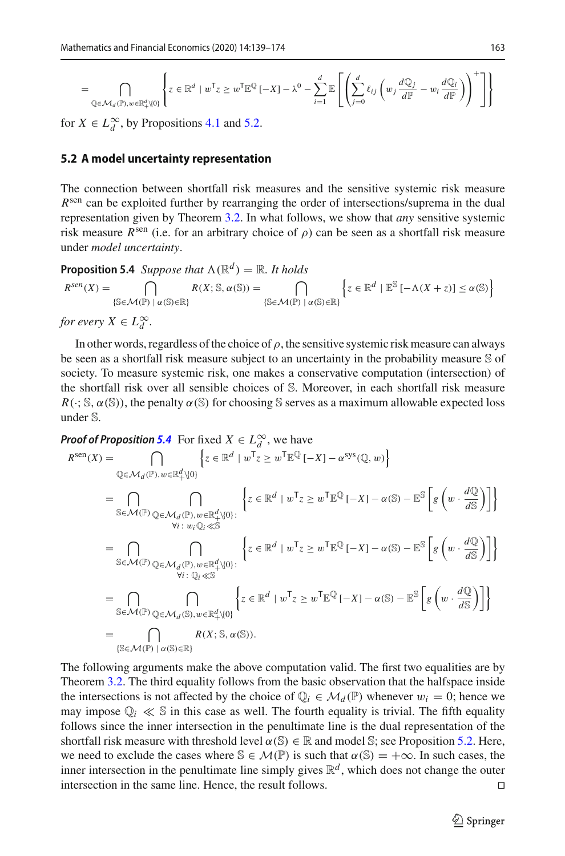$$
= \bigcap_{\mathbb{Q}\in\mathcal{M}_d(\mathbb{P}),w\in\mathbb{R}_+^d\setminus\{0\}}\left\{z\in\mathbb{R}^d\mid w^{\mathsf{T}}z\geq w^{\mathsf{T}}\mathbb{E}^{\mathbb{Q}}\left[-X\right]-\lambda^0-\sum_{i=1}^d\mathbb{E}\left[\left(\sum_{j=0}^d\ell_{ij}\left(w_j\frac{d\mathbb{Q}_j}{d\mathbb{P}}-w_i\frac{d\mathbb{Q}_i}{d\mathbb{P}}\right)\right)^+\right]\right\}
$$

for  $X \in L^\infty_d$ , by Propositions [4.1](#page-16-1) and [5.2.](#page-23-2)

#### <span id="page-24-0"></span>**5.2 A model uncertainty representation**

The connection between shortfall risk measures and the sensitive systemic risk measure *R*<sup>sen</sup> can be exploited further by rearranging the order of intersections/suprema in the dual representation given by Theorem [3.2.](#page-7-1) In what follows, we show that *any* sensitive systemic risk measure  $R^{\text{sen}}$  (i.e. for an arbitrary choice of  $\rho$ ) can be seen as a shortfall risk measure under *model uncertainty*.

<span id="page-24-1"></span>**Proposition 5.4** *Suppose that*  $\Lambda(\mathbb{R}^d) = \mathbb{R}$ *. It holds* 

$$
R^{sen}(X) = \bigcap_{\{\mathbb{S} \in \mathcal{M}(\mathbb{P}) \mid \alpha(\mathbb{S}) \in \mathbb{R}\}} R(X; \mathbb{S}, \alpha(\mathbb{S})) = \bigcap_{\{\mathbb{S} \in \mathcal{M}(\mathbb{P}) \mid \alpha(\mathbb{S}) \in \mathbb{R}\}} \left\{ z \in \mathbb{R}^d \mid \mathbb{E}^{\mathbb{S}} \left[ -\Lambda(X+z) \right] \le \alpha(\mathbb{S}) \right\}
$$
  
for every  $X \in L_d^{\infty}$ .

In other words, regardless of the choice of  $\rho$ , the sensitive systemic risk measure can always be seen as a shortfall risk measure subject to an uncertainty in the probability measure S of society. To measure systemic risk, one makes a conservative computation (intersection) of the shortfall risk over all sensible choices of S. Moreover, in each shortfall risk measure  $R(\cdot; S, \alpha(S))$ , the penalty  $\alpha(S)$  for choosing S serves as a maximum allowable expected loss under S.

*Proof of Proposition* [5.4](#page-24-1) For fixed  $X \in L_d^{\infty}$ , we have

$$
R^{\text{sen}}(X) = \bigcap_{\mathbb{Q} \in \mathcal{M}_d(\mathbb{P}), w \in \mathbb{R}_+^d \setminus \{0\}} \left\{ z \in \mathbb{R}^d \mid w^\mathsf{T} z \ge w^\mathsf{T} \mathbb{E}^{\mathbb{Q}} \left[ -X \right] - \alpha^{\text{sys}}(\mathbb{Q}, w) \right\}
$$
  
\n
$$
= \bigcap_{\mathbb{S} \in \mathcal{M}(\mathbb{P})} \bigcap_{\mathbb{Q} \in \mathcal{M}_d(\mathbb{P}), w \in \mathbb{R}_+^d \setminus \{0\}} \left\{ z \in \mathbb{R}^d \mid w^\mathsf{T} z \ge w^\mathsf{T} \mathbb{E}^{\mathbb{Q}} \left[ -X \right] - \alpha(\mathbb{S}) - \mathbb{E}^{\mathbb{S}} \left[ g \left( w \cdot \frac{d\mathbb{Q}}{d\mathbb{S}} \right) \right] \right\}
$$
  
\n
$$
= \bigcap_{\mathbb{S} \in \mathcal{M}(\mathbb{P})} \bigcap_{\mathbb{Q} \in \mathcal{M}_d(\mathbb{P}), w \in \mathbb{R}_+^d \setminus \{0\}} \left\{ z \in \mathbb{R}^d \mid w^\mathsf{T} z \ge w^\mathsf{T} \mathbb{E}^{\mathbb{Q}} \left[ -X \right] - \alpha(\mathbb{S}) - \mathbb{E}^{\mathbb{S}} \left[ g \left( w \cdot \frac{d\mathbb{Q}}{d\mathbb{S}} \right) \right] \right\}
$$
  
\n
$$
= \bigcap_{\mathbb{S} \in \mathcal{M}(\mathbb{P})} \bigcap_{\mathbb{Q} \in \mathcal{M}_d(\mathbb{S}), w \in \mathbb{R}_+^d \setminus \{0\}} \left\{ z \in \mathbb{R}^d \mid w^\mathsf{T} z \ge w^\mathsf{T} \mathbb{E}^{\mathbb{Q}} \left[ -X \right] - \alpha(\mathbb{S}) - \mathbb{E}^{\mathbb{S}} \left[ g \left( w \cdot \frac{d\mathbb{Q}}{d\mathbb{S}} \right) \right] \right\}
$$
  
\n
$$
= \bigcap_{\mathbb{S} \in \mathcal{M}(\mathbb{P})} \bigcap_{
$$

The following arguments make the above computation valid. The first two equalities are by Theorem [3.2.](#page-7-1) The third equality follows from the basic observation that the halfspace inside the intersections is not affected by the choice of  $\mathbb{Q}_i \in \mathcal{M}_d(\mathbb{P})$  whenever  $w_i = 0$ ; hence we may impose  $\mathbb{Q}_i \ll \mathbb{S}$  in this case as well. The fourth equality is trivial. The fifth equality follows since the inner intersection in the penultimate line is the dual representation of the shortfall risk measure with threshold level  $\alpha(\mathbb{S}) \in \mathbb{R}$  and model  $\mathbb{S}$ ; see Proposition [5.2.](#page-23-2) Here, we need to exclude the cases where  $\mathbb{S} \in \mathcal{M}(\mathbb{P})$  is such that  $\alpha(\mathbb{S}) = +\infty$ . In such cases, the inner intersection in the penultimate line simply gives  $\mathbb{R}^d$ , which does not change the outer intersection in the same line. Hence, the result follows.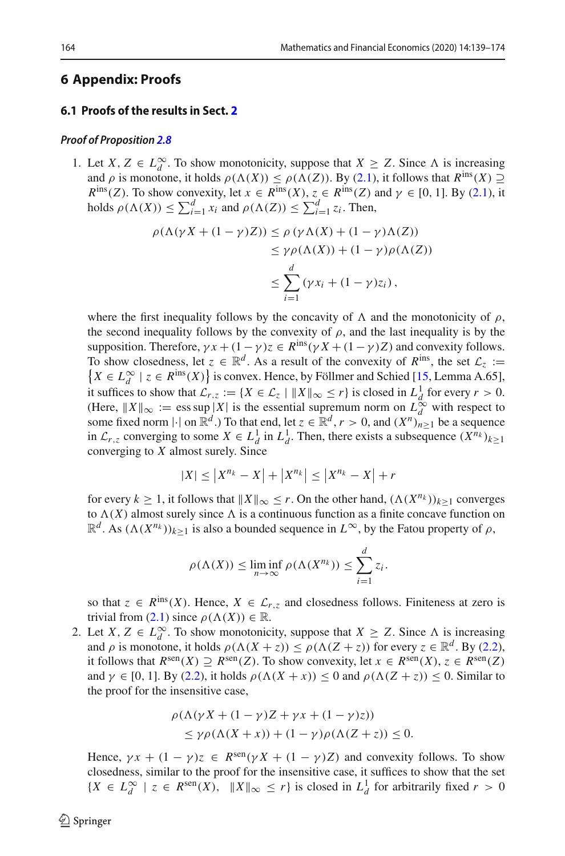## <span id="page-25-0"></span>**6 Appendix: Proofs**

#### <span id="page-25-1"></span>**6.1 Proofs of the results in Sect. [2](#page-3-0)**

#### *Proof of Proposition [2.8](#page-6-1)*

1. Let *X*, *Z* ∈  $L_d^{\infty}$ . To show monotonicity, suppose that *X* ≥ *Z*. Since  $\Lambda$  is increasing and  $\rho$  is monotone, it holds  $\rho(\Lambda(X)) \leq \rho(\Lambda(Z))$ . By [\(2.1\)](#page-5-0), it follows that  $R^{\text{ins}}(X) \supseteq$  $R^{\text{ins}}(Z)$ . To show convexity, let  $x \in R^{\text{ins}}(X)$ ,  $z \in R^{\text{ins}}(Z)$  and  $\gamma \in [0, 1]$ . By [\(2.1\)](#page-5-0), it holds  $\rho(\Lambda(X)) \le \sum_{i=1}^d x_i$  and  $\rho(\Lambda(Z)) \le \sum_{i=1}^d z_i$ . Then,

$$
\rho(\Lambda(\gamma X + (1 - \gamma)Z)) \le \rho(\gamma \Lambda(X) + (1 - \gamma) \Lambda(Z))
$$
  
\n
$$
\le \gamma \rho(\Lambda(X)) + (1 - \gamma) \rho(\Lambda(Z))
$$
  
\n
$$
\le \sum_{i=1}^{d} (\gamma x_i + (1 - \gamma)z_i),
$$

where the first inequality follows by the concavity of  $\Lambda$  and the monotonicity of  $\rho$ , the second inequality follows by the convexity of  $\rho$ , and the last inequality is by the supposition. Therefore,  $\gamma x + (1 - \gamma)z \in R^{\text{ins}}(\gamma X + (1 - \gamma)Z)$  and convexity follows. To show closedness, let  $z \in \mathbb{R}^d$ . As a result of the convexity of  $R^{\text{ins}}$ , the set  $\mathcal{L}_z :=$ *X* ∈  $L_d^{\infty}$  | *z* ∈ *R*<sup>ins</sup>(*X*) } is convex. Hence, by Föllmer and Schied [\[15,](#page-35-5) Lemma A.65], it suffices to show that  $\mathcal{L}_{r,z} := \{ X \in \mathcal{L}_z \mid ||X||_{\infty} \leq r \}$  is closed in  $L^1_d$  for every  $r > 0$ . (Here,  $||X||_{\infty} := \text{ess sup}|X|$  is the essential supremum norm on  $L^{\infty}_d$  with respect to some fixed norm  $|\cdot|$  on  $\mathbb{R}^d$ .) To that end, let  $z \in \mathbb{R}^d$ ,  $r > 0$ , and  $(X^n)_{n \geq 1}$  be a sequence in  $\mathcal{L}_{r,z}$  converging to some  $X \in L^1_d$  in  $L^1_d$ . Then, there exists a subsequence  $(X^{n_k})_{k \geq 1}$ converging to *X* almost surely. Since

$$
|X| \le |X^{n_k} - X| + |X^{n_k}| \le |X^{n_k} - X| + r
$$

for every  $k \geq 1$ , it follows that  $||X||_{\infty} \leq r$ . On the other hand,  $(\Lambda(X^{n_k}))_{k>1}$  converges to  $\Lambda(X)$  almost surely since  $\Lambda$  is a continuous function as a finite concave function on  $\mathbb{R}^d$ . As  $(\Lambda(X^{n_k}))_{k>1}$  is also a bounded sequence in  $L^\infty$ , by the Fatou property of  $\rho$ ,

$$
\rho(\Lambda(X)) \le \liminf_{n \to \infty} \rho(\Lambda(X^{n_k})) \le \sum_{i=1}^d z_i.
$$

so that  $z \in R^{\text{ins}}(X)$ . Hence,  $X \in \mathcal{L}_{r,z}$  and closedness follows. Finiteness at zero is trivial from [\(2.1\)](#page-5-0) since  $\rho(\Lambda(X)) \in \mathbb{R}$ .

2. Let *X*,  $Z \in L_d^{\infty}$ . To show monotonicity, suppose that  $X \ge Z$ . Since  $\Lambda$  is increasing and  $\rho$  is monotone, it holds  $\rho(\Lambda(X + z)) \leq \rho(\Lambda(Z + z))$  for every  $z \in \mathbb{R}^d$ . By [\(2.2\)](#page-5-6), it follows that  $R^{\text{sen}}(X) \supseteq R^{\text{sen}}(Z)$ . To show convexity, let  $x \in R^{\text{sen}}(X)$ ,  $z \in R^{\text{sen}}(Z)$ and  $\gamma \in [0, 1]$ . By [\(2.2\)](#page-5-6), it holds  $\rho(\Lambda(X + x)) \leq 0$  and  $\rho(\Lambda(Z + z)) \leq 0$ . Similar to the proof for the insensitive case,

$$
\rho(\Lambda(\gamma X + (1 - \gamma)Z + \gamma x + (1 - \gamma)z))
$$
  
\n
$$
\leq \gamma \rho(\Lambda(X + x)) + (1 - \gamma)\rho(\Lambda(Z + z)) \leq 0.
$$

Hence,  $\gamma x + (1 - \gamma)z \in R^{\text{sen}}(\gamma X + (1 - \gamma)Z)$  and convexity follows. To show closedness, similar to the proof for the insensitive case, it suffices to show that the set *{X* ∈  $L_d^{\infty}$  | *z* ∈  $R^{\text{sen}}(X)$ ,  $||X||_{\infty} \le r$ } is closed in  $L_d^1$  for arbitrarily fixed  $r > 0$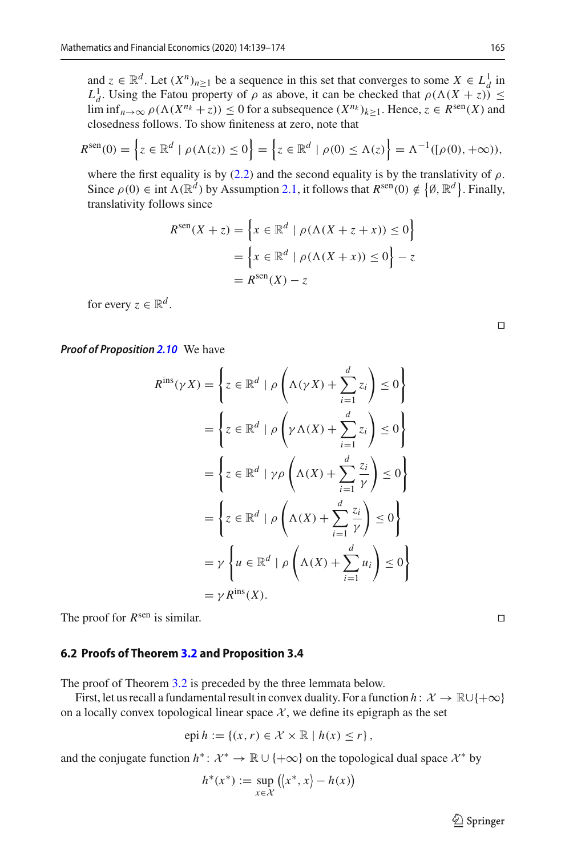and  $z \in \mathbb{R}^d$ . Let  $(X^n)_{n \ge 1}$  be a sequence in this set that converges to some  $X \in L^1_d$  in *L*<sub>1</sub>. Using the Fatou property of  $\rho$  as above, it can be checked that  $\rho(\Lambda(X+z)) \leq$  $\lim_{n \to \infty} \rho(\Lambda(X^{n_k} + z)) \leq 0$  for a subsequence  $(X^{n_k})_{k>1}$ . Hence,  $z \in R^{\text{sen}}(X)$  and closedness follows. To show finiteness at zero, note that

$$
R^{\text{sen}}(0) = \left\{ z \in \mathbb{R}^d \mid \rho(\Lambda(z)) \le 0 \right\} = \left\{ z \in \mathbb{R}^d \mid \rho(0) \le \Lambda(z) \right\} = \Lambda^{-1}([\rho(0), +\infty)),
$$

where the first equality is by [\(2.2\)](#page-5-6) and the second equality is by the translativity of  $\rho$ . Since  $\rho(0) \in \text{int } \Lambda(\mathbb{R}^d)$  by Assumption [2.1,](#page-4-0) it follows that  $R^{\text{sen}}(0) \notin \{ \emptyset, \mathbb{R}^d \}$ . Finally, translativity follows since

$$
R^{\text{sen}}(X + z) = \left\{ x \in \mathbb{R}^d \mid \rho(\Lambda(X + z + x)) \le 0 \right\}
$$

$$
= \left\{ x \in \mathbb{R}^d \mid \rho(\Lambda(X + x)) \le 0 \right\} - z
$$

$$
= R^{\text{sen}}(X) - z
$$

for every  $z \in \mathbb{R}^d$ .

*Proof of Proposition [2.10](#page-6-2)* We have

$$
R^{\text{ins}}(\gamma X) = \left\{ z \in \mathbb{R}^d \mid \rho \left( \Lambda(\gamma X) + \sum_{i=1}^d z_i \right) \le 0 \right\}
$$
  
= 
$$
\left\{ z \in \mathbb{R}^d \mid \rho \left( \gamma \Lambda(X) + \sum_{i=1}^d z_i \right) \le 0 \right\}
$$
  
= 
$$
\left\{ z \in \mathbb{R}^d \mid \gamma \rho \left( \Lambda(X) + \sum_{i=1}^d \frac{z_i}{\gamma} \right) \le 0 \right\}
$$
  
= 
$$
\left\{ z \in \mathbb{R}^d \mid \rho \left( \Lambda(X) + \sum_{i=1}^d \frac{z_i}{\gamma} \right) \le 0 \right\}
$$
  
= 
$$
\gamma \left\{ u \in \mathbb{R}^d \mid \rho \left( \Lambda(X) + \sum_{i=1}^d u_i \right) \le 0 \right\}
$$
  
= 
$$
\gamma R^{\text{ins}}(X).
$$

The proof for  $R^{\text{sen}}$  is similar.

#### <span id="page-26-0"></span>**6.2 Proofs of Theorem [3.2](#page-7-1) and Proposition 3.4**

The proof of Theorem [3.2](#page-7-1) is preceded by the three lemmata below.

First, let us recall a fundamental result in convex duality. For a function  $h: \mathcal{X} \to \mathbb{R} \cup \{+\infty\}$ on a locally convex topological linear space  $X$ , we define its epigraph as the set

$$
epi h := \{(x, r) \in \mathcal{X} \times \mathbb{R} \mid h(x) \le r\},\
$$

and the conjugate function  $h^*$ :  $\mathcal{X}^* \to \mathbb{R} \cup \{+\infty\}$  on the topological dual space  $\mathcal{X}^*$  by

$$
h^*(x^*) := \sup_{x \in \mathcal{X}} (\langle x^*, x \rangle - h(x))
$$

 $\hat{\mathfrak{D}}$  Springer

 $\Box$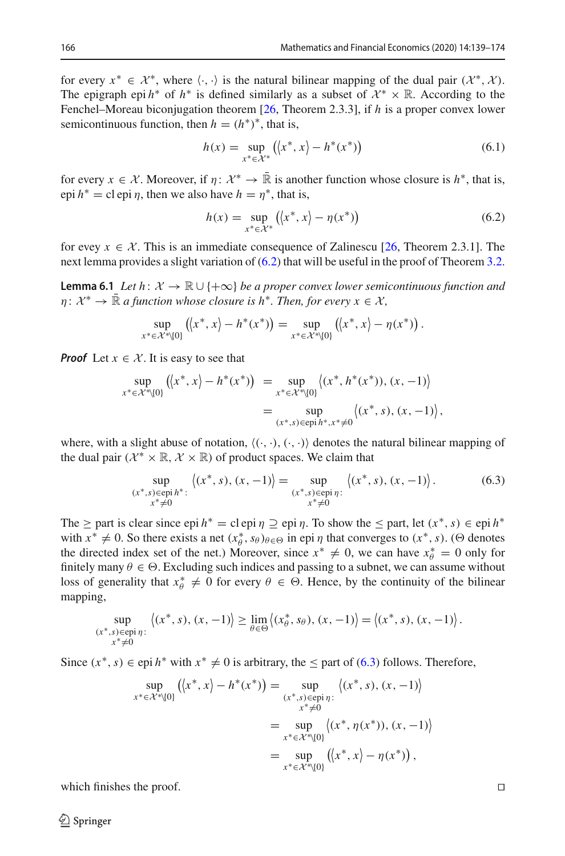for every  $x^* \in \mathcal{X}^*$ , where  $\langle \cdot, \cdot \rangle$  is the natural bilinear mapping of the dual pair  $(\mathcal{X}^*, \mathcal{X})$ . The epigraph epi  $h^*$  of  $h^*$  is defined similarly as a subset of  $\mathcal{X}^* \times \mathbb{R}$ . According to the Fenchel–Moreau biconjugation theorem [\[26,](#page-35-7) Theorem 2.3.3], if *h* is a proper convex lower semicontinuous function, then  $h = (h^*)^*$ , that is,

$$
h(x) = \sup_{x^* \in \mathcal{X}^*} (x^*, x) - h^*(x^*)
$$
\n(6.1)

for every  $x \in \mathcal{X}$ . Moreover, if  $\eta: \mathcal{X}^* \to \mathbb{R}$  is another function whose closure is  $h^*$ , that is, epi  $h^* = c$ l epi  $\eta$ , then we also have  $h = \eta^*$ , that is,

<span id="page-27-0"></span>
$$
h(x) = \sup_{x^* \in \mathcal{X}^*} \left( \langle x^*, x \rangle - \eta(x^*) \right) \tag{6.2}
$$

<span id="page-27-2"></span>for evey  $x \in \mathcal{X}$ . This is an immediate consequence of Zalinescu [\[26](#page-35-7), Theorem 2.3.1]. The next lemma provides a slight variation of  $(6.2)$  that will be useful in the proof of Theorem [3.2.](#page-7-1)

**Lemma 6.1** *Let h*:  $\mathcal{X} \to \mathbb{R} \cup \{+\infty\}$  *be a proper convex lower semicontinuous function and*  $\eta: \mathcal{X}^* \to \mathbb{R}$  *a function whose closure is h<sup>\*</sup>. Then, for every*  $x \in \mathcal{X}$ ,

$$
\sup_{x^* \in \mathcal{X}^* \setminus \{0\}} \left( \langle x^*, x \rangle - h^*(x^*) \right) = \sup_{x^* \in \mathcal{X}^* \setminus \{0\}} \left( \langle x^*, x \rangle - \eta(x^*) \right).
$$

*Proof* Let  $x \in \mathcal{X}$ . It is easy to see that

$$
\sup_{x^* \in \mathcal{X}^* \setminus \{0\}} (\langle x^*, x \rangle - h^*(x^*) ) = \sup_{x^* \in \mathcal{X}^* \setminus \{0\}} \langle (x^*, h^*(x^*)), (x, -1) \rangle \n= \sup_{(x^*, s) \in \text{epi } h^*, x^* \neq 0} \langle (x^*, s), (x, -1) \rangle,
$$

where, with a slight abuse of notation,  $\langle (\cdot, \cdot), (\cdot, \cdot) \rangle$  denotes the natural bilinear mapping of the dual pair ( $\mathcal{X}^* \times \mathbb{R}, \mathcal{X} \times \mathbb{R}$ ) of product spaces. We claim that

<span id="page-27-1"></span>
$$
\sup_{\substack{(x^*, s) \in \text{epi } h^* : \\ x^* \neq 0}} \langle (x^*, s), (x, -1) \rangle = \sup_{\substack{(x^*, s) \in \text{epi } \eta : \\ x^* \neq 0}} \langle (x^*, s), (x, -1) \rangle. \tag{6.3}
$$

The  $\geq$  part is clear since epi  $h^* = c$  lepi  $\eta \supseteq$  epi  $\eta$ . To show the  $\leq$  part, let  $(x^*, s) \in$  epi  $h^*$ with  $x^* \neq 0$ . So there exists a net  $(x^*_{\theta}, s_{\theta})_{\theta \in \Theta}$  in epi  $\eta$  that converges to  $(x^*, s)$ . ( $\Theta$  denotes the directed index set of the net.) Moreover, since  $x^* \neq 0$ , we can have  $x^*_{\theta} = 0$  only for finitely many  $\theta \in \Theta$ . Excluding such indices and passing to a subnet, we can assume without loss of generality that  $x^*_{\theta} \neq 0$  for every  $\theta \in \Theta$ . Hence, by the continuity of the bilinear mapping,

$$
\sup_{\substack{(x^*, s) \in \text{epi } \eta:\\x^* \neq 0}} \left\langle (x^*, s), (x, -1) \right\rangle \ge \lim_{\theta \in \Theta} \left\langle (x^*_\theta, s_\theta), (x, -1) \right\rangle = \left\langle (x^*, s), (x, -1) \right\rangle.
$$

Since  $(x^*, s) \in epi h^*$  with  $x^* \neq 0$  is arbitrary, the  $\leq$  part of [\(6.3\)](#page-27-1) follows. Therefore,

$$
\sup_{x^* \in \mathcal{X}^* \setminus \{0\}} (\langle x^*, x \rangle - h^*(x^*) ) = \sup_{\substack{(x^*, s) \in \text{epi } \eta : \\ x^* \neq 0}} \langle (x^*, s), (x, -1) \rangle
$$
  
= 
$$
\sup_{x^* \in \mathcal{X}^* \setminus \{0\}} \langle (x^*, \eta(x^*)), (x, -1) \rangle
$$
  
= 
$$
\sup_{x^* \in \mathcal{X}^* \setminus \{0\}} (\langle x^*, x \rangle - \eta(x^*) ),
$$

which finishes the proof.  $\Box$ 

 $\mathcal{L}$  Springer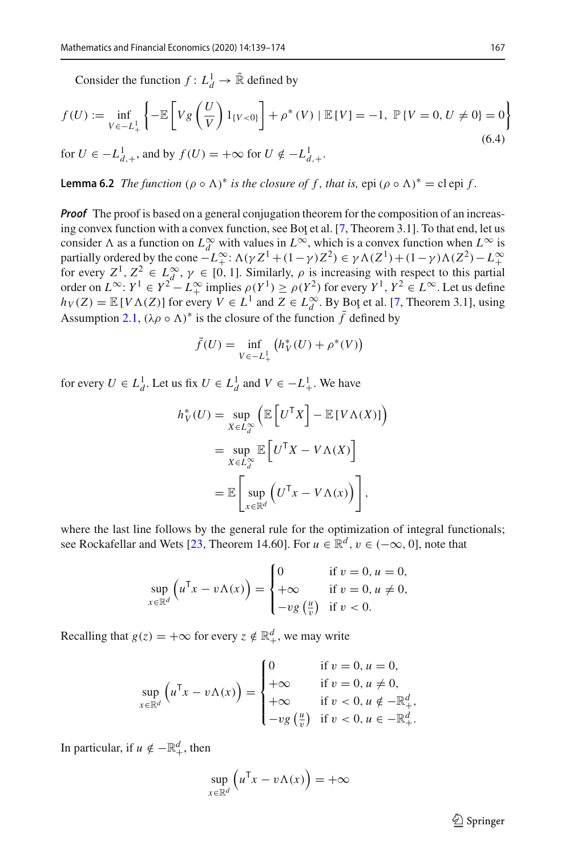Consider the function  $f: L_d^1 \to \mathbb{R}$  defined by

<span id="page-28-0"></span>
$$
f(U) := \inf_{V \in -L_+^1} \left\{ -\mathbb{E} \left[ V g\left(\frac{U}{V}\right) 1_{\{V < 0\}} \right] + \rho^*(V) \mid \mathbb{E} \left[ V \right] = -1, \; \mathbb{P} \left\{ V = 0, U \neq 0 \right\} = 0 \right\} \tag{6.4}
$$

<span id="page-28-1"></span>for  $U \in -L^1_{d,+}$ , and by  $f(U) = +\infty$  for  $U \notin -L^1_{d,+}$ .

**Lemma 6.2** *The function*  $(\rho \circ \Lambda)^*$  *is the closure of f, that is, epi*  $(\rho \circ \Lambda)^*$  = cl epi *f*.

*Proof* The proof is based on a general conjugation theorem for the composition of an increas-ing convex function with a convex function, see Bot et al. [\[7,](#page-34-9) Theorem 3.1]. To that end, let us consider  $\Lambda$  as a function on  $L^{\infty}_d$  with values in  $L^{\infty}$ , which is a convex function when  $L^{\infty}$  is partially ordered by the cone  $-L^{\infty}$ :  $\Lambda(\gamma Z^1 + (1 - \gamma)Z^2) \in \gamma \Lambda(Z^1) + (1 - \gamma) \Lambda(Z^2) - L^{\infty}$ <br>for every  $Z^1, Z^2 \in L^{\infty}_d$ ,  $\gamma \in [0, 1]$ . Similarly,  $\rho$  is increasing with respect to this partial order on  $L^{\infty}: Y^{1} \in Y^{2} - L^{\infty}$  implies  $\rho(Y^{1}) \ge \rho(Y^{2})$  for every  $Y^{1}, Y^{2} \in L^{\infty}$ . Let us define  $h_V(Z) = \mathbb{E}[V\Lambda(Z)]$  for every  $V \in L^1$  and  $Z \in L_d^{\infty}$ . By Bot et al. [\[7](#page-34-9), Theorem 3.1], using Assumption [2.1,](#page-4-0)  $(\lambda \rho \circ \Lambda)^*$  is the closure of the function f defined by

$$
\bar{f}(U) = \inf_{V \in -L^1_+} (h_V^*(U) + \rho^*(V))
$$

for every  $U \in L_d^1$ . Let us fix  $U \in L_d^1$  and  $V \in -L_+^1$ . We have

$$
h_V^*(U) = \sup_{X \in L_d^{\infty}} \left( \mathbb{E} \left[ U^{\mathsf{T}} X \right] - \mathbb{E} \left[ V \Lambda(X) \right] \right)
$$
  
= 
$$
\sup_{X \in L_d^{\infty}} \mathbb{E} \left[ U^{\mathsf{T}} X - V \Lambda(X) \right]
$$
  
= 
$$
\mathbb{E} \left[ \sup_{x \in \mathbb{R}^d} \left( U^{\mathsf{T}} x - V \Lambda(x) \right) \right],
$$

where the last line follows by the general rule for the optimization of integral functionals; see Rockafellar and Wets [\[23,](#page-35-13) Theorem 14.60]. For  $u \in \mathbb{R}^d$ ,  $v \in (-\infty, 0]$ , note that

$$
\sup_{x \in \mathbb{R}^d} \left( u^{\mathsf{T}} x - v \Lambda(x) \right) = \begin{cases} 0 & \text{if } v = 0, u = 0, \\ +\infty & \text{if } v = 0, u \neq 0, \\ -v g \left( \frac{u}{v} \right) & \text{if } v < 0. \end{cases}
$$

Recalling that  $g(z) = +\infty$  for every  $z \notin \mathbb{R}^d_+$ , we may write

$$
\sup_{x \in \mathbb{R}^d} \left( u^{\mathsf{T}} x - v \Lambda(x) \right) = \begin{cases} 0 & \text{if } v = 0, u = 0, \\ +\infty & \text{if } v = 0, u \neq 0, \\ +\infty & \text{if } v < 0, u \notin -\mathbb{R}^d_+, \\ -v g \left( \frac{u}{v} \right) & \text{if } v < 0, u \in -\mathbb{R}^d_+ .\end{cases}
$$

In particular, if  $u \notin -\mathbb{R}^d_+$ , then

$$
\sup_{x \in \mathbb{R}^d} \left( u^{\mathsf{T}} x - v \Lambda(x) \right) = +\infty
$$

 $\circled{2}$  Springer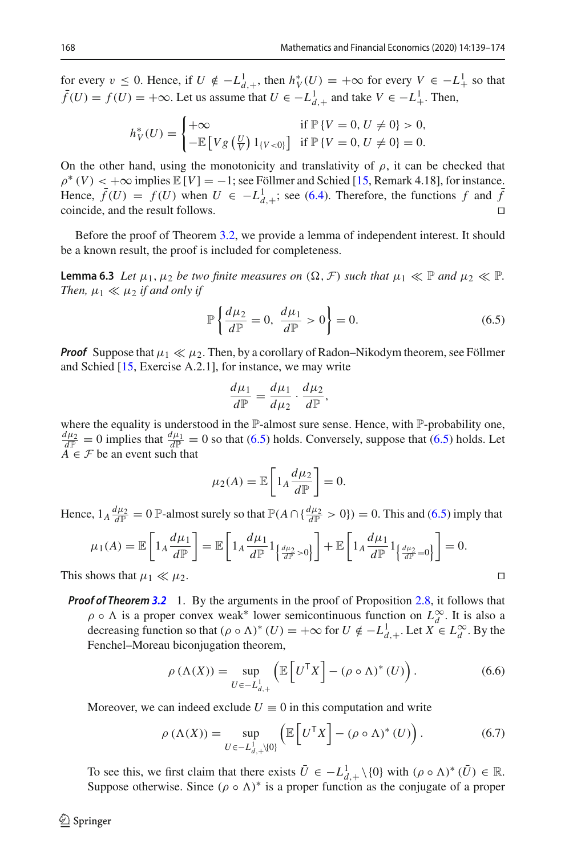for every  $v \le 0$ . Hence, if  $U \notin -L^1_{d,+}$ , then  $h^*_{V}(U) = +\infty$  for every  $V \in -L^1_{+}$  so that  $\bar{f}(U) = f(U) = +\infty$ . Let us assume that  $U \in -L_{d,+}^1$  and take  $V \in -L_+^1$ . Then,

$$
h_V^*(U) = \begin{cases} +\infty & \text{if } \mathbb{P}\{V = 0, U \neq 0\} > 0, \\ -\mathbb{E}\left[Vg\left(\frac{U}{V}\right)1_{\{V < 0\}}\right] & \text{if } \mathbb{P}\{V = 0, U \neq 0\} = 0. \end{cases}
$$

On the other hand, using the monotonicity and translativity of  $\rho$ , it can be checked that  $\rho^*(V) < +\infty$  implies  $\mathbb{E}[V] = -1$ ; see Föllmer and Schied [\[15,](#page-35-5) Remark 4.18], for instance. Hence,  $\bar{f}(U) = f(U)$  when  $U \in -L_{d,+}^1$ ; see [\(6.4\)](#page-28-0). Therefore, the functions  $f$  and  $\bar{f}$ coincide, and the result follows.

<span id="page-29-3"></span>Before the proof of Theorem [3.2,](#page-7-1) we provide a lemma of independent interest. It should be a known result, the proof is included for completeness.

**Lemma 6.3** *Let*  $\mu_1, \mu_2$  *be two finite measures on*  $(\Omega, \mathcal{F})$  *such that*  $\mu_1 \ll \mathbb{P}$  *and*  $\mu_2 \ll \mathbb{P}$ *. Then,*  $\mu_1 \ll \mu_2$  *if and only if* 

<span id="page-29-0"></span>
$$
\mathbb{P}\left\{\frac{d\mu_2}{d\mathbb{P}}=0,\ \frac{d\mu_1}{d\mathbb{P}}>0\right\}=0.
$$
\n(6.5)

*Proof* Suppose that  $\mu_1 \ll \mu_2$ . Then, by a corollary of Radon–Nikodym theorem, see Föllmer and Schied [\[15,](#page-35-5) Exercise A.2.1], for instance, we may write

$$
\frac{d\mu_1}{d\mathbb{P}} = \frac{d\mu_1}{d\mu_2} \cdot \frac{d\mu_2}{d\mathbb{P}},
$$

where the equality is understood in the P-almost sure sense. Hence, with P-probability one,  $\frac{d\mu_2}{dP} = 0$  implies that  $\frac{d\mu_1}{dP} = 0$  so that [\(6.5\)](#page-29-0) holds. Conversely, suppose that (6.5) holds. Let  $A \in \mathcal{F}$  be an event such that

$$
\mu_2(A) = \mathbb{E}\left[1_A \frac{d\mu_2}{d\mathbb{P}}\right] = 0.
$$

Hence,  $1_A \frac{d\mu_2}{dP} = 0$  P-almost surely so that  $P(A \cap \{\frac{d\mu_2}{dP} > 0\}) = 0$ . This and [\(6.5\)](#page-29-0) imply that

$$
\mu_1(A) = \mathbb{E}\left[1_A \frac{d\mu_1}{d\mathbb{P}}\right] = \mathbb{E}\left[1_A \frac{d\mu_1}{d\mathbb{P}} 1_{\left\{\frac{d\mu_2}{d\mathbb{P}} > 0\right\}}\right] + \mathbb{E}\left[1_A \frac{d\mu_1}{d\mathbb{P}} 1_{\left\{\frac{d\mu_2}{d\mathbb{P}} = 0\right\}}\right] = 0.
$$

This shows that  $\mu_1 \ll \mu_2$ .

*Proof of Theorem [3.2](#page-7-1)* 1. By the arguments in the proof of Proposition [2.8,](#page-6-1) it follows that  $\rho \circ \Lambda$  is a proper convex weak<sup>\*</sup> lower semicontinuous function on  $L_d^{\infty}$ . It is also a decreasing function so that  $(\rho \circ \Lambda)^*(U) = +\infty$  for  $U \notin -L^1_{d,+}$ . Let  $X \in L^\infty_d$ . By the Fenchel–Moreau biconjugation theorem,

<span id="page-29-2"></span><span id="page-29-1"></span>
$$
\rho\left(\Lambda(X)\right) = \sup_{U \in -L_{d,+}^1} \left( \mathbb{E}\left[U^\mathsf{T} X\right] - \left(\rho \circ \Lambda\right)^*(U) \right). \tag{6.6}
$$

Moreover, we can indeed exclude  $U \equiv 0$  in this computation and write

$$
\rho\left(\Lambda(X)\right) = \sup_{U \in -L_{d,+}^{1}\backslash\{0\}} \left(\mathbb{E}\left[U^{\mathsf{T}} X\right] - \left(\rho \circ \Lambda\right)^{*}\left(U\right)\right). \tag{6.7}
$$

To see this, we first claim that there exists  $\overline{U} \in -L^1_{d,+} \setminus \{0\}$  with  $(\rho \circ \Lambda)^* (\overline{U}) \in \mathbb{R}$ . Suppose otherwise. Since  $(\rho \circ \Lambda)^*$  is a proper function as the conjugate of a proper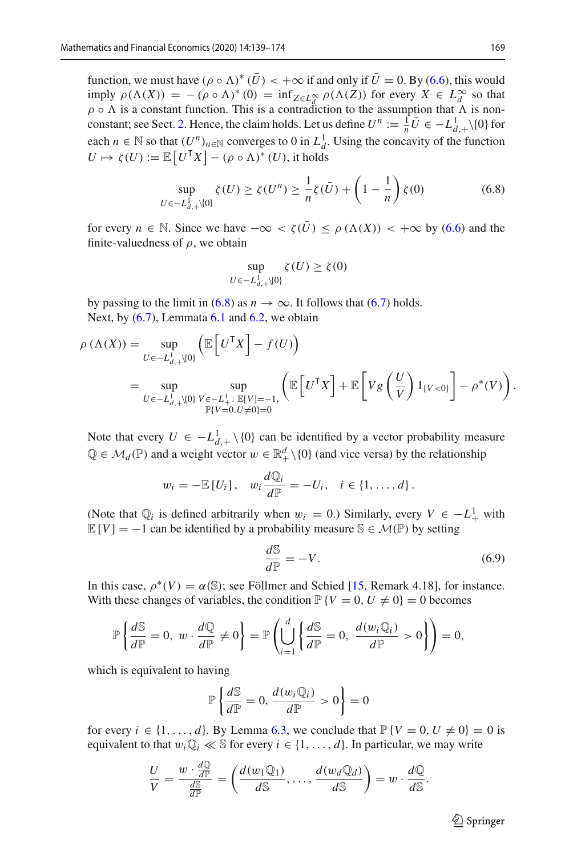function, we must have  $(\rho \circ \Lambda)^*(U) < +\infty$  if and only if  $U = 0$ . By [\(6.6\)](#page-29-1), this would imply  $\rho(\Lambda(X)) = -(\rho \circ \Lambda)^*(0) = \inf_{Z \in L_d^{\infty}} \rho(\Lambda(Z))$  for every  $X \in L_d^{\infty}$  so that  $\rho \circ \Lambda$  is a constant function. This is a contradiction to the assumption that  $\Lambda$  is non-constant; see Sect. [2.](#page-3-0) Hence, the claim holds. Let us define  $U^n := \frac{1}{n}\overline{U} \in -L^1_{d,+}\setminus\{0\}$  for each  $n \in \mathbb{N}$  so that  $(U^n)_{n \in \mathbb{N}}$  converges to 0 in  $L_d^1$ . Using the concavity of the function  $U \mapsto \zeta(U) := \mathbb{E}\left[U^{\mathsf{T}} X\right] - (\rho \circ \Lambda)^* (U)$ , it holds

$$
\sup_{U \in -L_{d,+}^{1} \setminus \{0\}} \zeta(U) \ge \zeta(U^{n}) \ge \frac{1}{n} \zeta(\bar{U}) + \left(1 - \frac{1}{n}\right) \zeta(0) \tag{6.8}
$$

for every  $n \in \mathbb{N}$ . Since we have  $-\infty < \zeta(\bar{U}) < \rho(\Lambda(X)) < +\infty$  by [\(6.6\)](#page-29-1) and the finite-valuedness of  $\rho$ , we obtain

<span id="page-30-0"></span>
$$
\sup_{U \in -L^1_{d,+}\setminus\{0\}} \zeta(U) \ge \zeta(0)
$$

by passing to the limit in [\(6.8\)](#page-30-0) as  $n \to \infty$ . It follows that [\(6.7\)](#page-29-2) holds. Next, by  $(6.7)$ , Lemmata  $6.1$  and  $6.2$ , we obtain

$$
\rho(\Lambda(X)) = \sup_{U \in -L_{d,+}^{1} \setminus \{0\}} \left( \mathbb{E} \left[ U^{\mathsf{T}} X \right] - f(U) \right)
$$
  
= 
$$
\sup_{U \in -L_{d,+}^{1} \setminus \{0\}} \sup_{V \in -L_{+}^{1}: \mathbb{E}[V] = -1, \atop \mathbb{P}\{V = 0, U \neq 0\} = 0} \left( \mathbb{E} \left[ U^{\mathsf{T}} X \right] + \mathbb{E} \left[ V g \left( \frac{U}{V} \right) 1_{\{V < 0\}} \right] - \rho^{*}(V) \right).
$$

Note that every  $U \in -L^1_{d,+} \setminus \{0\}$  can be identified by a vector probability measure  $\mathbb{Q} \in \mathcal{M}_d(\mathbb{P})$  and a weight vector  $w \in \mathbb{R}_+^d \setminus \{0\}$  (and vice versa) by the relationship

$$
w_i = -\mathbb{E}[U_i], \quad w_i \frac{d\mathbb{Q}_i}{d\mathbb{P}} = -U_i, \quad i \in \{1, \ldots, d\}.
$$

(Note that  $\mathbb{Q}_i$  is defined arbitrarily when  $w_i = 0$ .) Similarly, every  $V \in -L^1_+$  with  $\mathbb{E}[V] = -1$  can be identified by a probability measure  $\mathbb{S} \in \mathcal{M}(\mathbb{P})$  by setting

$$
\frac{dS}{dP} = -V.\tag{6.9}
$$

In this case,  $\rho^*(V) = \alpha(\mathbb{S})$ ; see Föllmer and Schied [\[15](#page-35-5), Remark 4.18], for instance. With these changes of variables, the condition  $\mathbb{P}{V = 0, U \neq 0} = 0$  becomes

$$
\mathbb{P}\left\{\frac{d\mathbb{S}}{d\mathbb{P}}=0, w \cdot \frac{d\mathbb{Q}}{d\mathbb{P}} \neq 0\right\} = \mathbb{P}\left(\bigcup_{i=1}^d \left\{\frac{d\mathbb{S}}{d\mathbb{P}}=0, \frac{d(w_i\mathbb{Q}_i)}{d\mathbb{P}} > 0\right\}\right) = 0,
$$

which is equivalent to having

$$
\mathbb{P}\left\{\frac{d\mathbb{S}}{d\mathbb{P}}=0,\frac{d(w_i\mathbb{Q}_i)}{d\mathbb{P}}>0\right\}=0
$$

for every  $i \in \{1, \ldots, d\}$ . By Lemma [6.3,](#page-29-3) we conclude that  $\mathbb{P}\{V = 0, U \neq 0\} = 0$  is equivalent to that  $w_i \mathbb{Q}_i \ll \mathbb{S}$  for every  $i \in \{1, \ldots, d\}$ . In particular, we may write

$$
\frac{U}{V} = \frac{w \cdot \frac{d\mathbb{Q}}{d\mathbb{P}}}{\frac{d\mathbb{S}}{d\mathbb{P}}} = \left(\frac{d(w_1\mathbb{Q}_1)}{d\mathbb{S}}, \dots, \frac{d(w_d\mathbb{Q}_d)}{d\mathbb{S}}\right) = w \cdot \frac{d\mathbb{Q}}{d\mathbb{S}}.
$$

 $\circled{2}$  Springer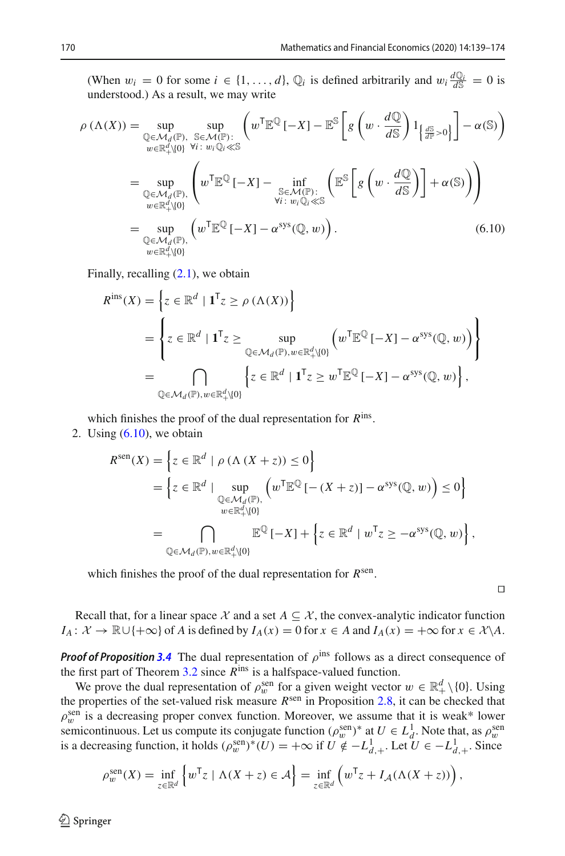(When  $w_i = 0$  for some  $i \in \{1, ..., d\}$ ,  $\mathbb{Q}_i$  is defined arbitrarily and  $w_i \frac{d\mathbb{Q}_i}{dS} = 0$  is understood.) As a result, we may write

$$
\rho(\Lambda(X)) = \sup_{\substack{\mathbb{Q} \in \mathcal{M}_d(\mathbb{P}), \\ w \in \mathbb{R}_+^d \setminus \{0\}}} \sup_{\substack{\mathbb{S} \in \mathcal{M}(\mathbb{P}): \\ w \in \mathbb{R}_+^d \setminus \{0\}}} \left( w^{\mathsf{T}} \mathbb{E}^{\mathbb{Q}} \left[ -X \right] - \mathbb{E}^{\mathbb{S}} \left[ g \left( w \cdot \frac{d\mathbb{Q}}{d\mathbb{S}} \right) 1_{\left\{ \frac{d\mathbb{S}}{d\mathbb{P}} > 0 \right\}} \right] - \alpha(\mathbb{S}) \right)
$$
  
\n
$$
= \sup_{\substack{\mathbb{Q} \in \mathcal{M}_d(\mathbb{P}), \\ w \in \mathbb{R}_+^d \setminus \{0\}}} \left( w^{\mathsf{T}} \mathbb{E}^{\mathbb{Q}} \left[ -X \right] - \inf_{\substack{\mathbb{S} \in \mathcal{M}(\mathbb{P}): \\ \forall i \colon w_i \mathbb{Q}_i \ll \mathbb{S}}} \left( \mathbb{E}^{\mathbb{S}} \left[ g \left( w \cdot \frac{d\mathbb{Q}}{d\mathbb{S}} \right) \right] + \alpha(\mathbb{S}) \right) \right)
$$
  
\n
$$
= \sup_{\substack{\mathbb{Q} \in \mathcal{M}_d(\mathbb{P}), \\ w \in \mathbb{R}_+^d \setminus \{0\}}} \left( w^{\mathsf{T}} \mathbb{E}^{\mathbb{Q}} \left[ -X \right] - \alpha^{sys}(\mathbb{Q}, w) \right). \tag{6.10}
$$

Finally, recalling  $(2.1)$ , we obtain

<span id="page-31-0"></span>
$$
R^{\text{ins}}(X) = \left\{ z \in \mathbb{R}^d \mid \mathbf{1}^\mathsf{T} z \ge \rho \left( \Lambda(X) \right) \right\}
$$
  
= 
$$
\left\{ z \in \mathbb{R}^d \mid \mathbf{1}^\mathsf{T} z \ge \sup_{\mathbb{Q} \in \mathcal{M}_d(\mathbb{P}), w \in \mathbb{R}^d_+\setminus\{0\}} \left( w^\mathsf{T} \mathbb{E}^{\mathbb{Q}} \left[ -X \right] - \alpha^{\text{sys}}(\mathbb{Q}, w) \right) \right\}
$$
  
= 
$$
\bigcap_{\mathbb{Q} \in \mathcal{M}_d(\mathbb{P}), w \in \mathbb{R}^d_+\setminus\{0\}} \left\{ z \in \mathbb{R}^d \mid \mathbf{1}^\mathsf{T} z \ge w^\mathsf{T} \mathbb{E}^{\mathbb{Q}} \left[ -X \right] - \alpha^{\text{sys}}(\mathbb{Q}, w) \right\},
$$

which finishes the proof of the dual representation for *R*ins.

2. Using  $(6.10)$ , we obtain

$$
R^{\text{sen}}(X) = \left\{ z \in \mathbb{R}^d \mid \rho \left( \Lambda \left( X + z \right) \right) \le 0 \right\}
$$
  
= 
$$
\left\{ z \in \mathbb{R}^d \mid \sup_{\substack{\mathbb{Q} \in \mathcal{M}_d(\mathbb{P}), \\ w \in \mathbb{R}_+^d \setminus \{0\}}} \left( w^{\mathsf{T}} \mathbb{E}^{\mathbb{Q}} \left[ - \left( X + z \right) \right] - \alpha^{\text{sys}}(\mathbb{Q}, w) \right) \le 0 \right\}
$$
  
= 
$$
\bigcap_{\substack{\mathbb{Q} \in \mathcal{M}_d(\mathbb{P}), \\ w \in \mathbb{R}_+^d \setminus \{0\}}} \mathbb{E}^{\mathbb{Q}} \left[ -X \right] + \left\{ z \in \mathbb{R}^d \mid w^{\mathsf{T}} z \ge -\alpha^{\text{sys}}(\mathbb{Q}, w) \right\},
$$

which finishes the proof of the dual representation for *R*sen.

 $\Box$ 

Recall that, for a linear space  $X$  and a set  $A \subseteq X$ , the convex-analytic indicator function  $I_A: \mathcal{X} \to \mathbb{R} \cup \{+\infty\}$  of *A* is defined by  $I_A(x) = 0$  for  $x \in A$  and  $I_A(x) = +\infty$  for  $x \in \mathcal{X} \backslash A$ .

*Proof of Proposition* [3.4](#page-10-0) The dual representation of  $\rho^{\text{ins}}$  follows as a direct consequence of the first part of Theorem [3.2](#page-7-1) since *R*ins is a halfspace-valued function.

We prove the dual representation of  $\rho_w^{\text{sen}}$  for a given weight vector  $w \in \mathbb{R}_+^d \setminus \{0\}$ . Using the properties of the set-valued risk measure *R*<sup>sen</sup> in Proposition [2.8,](#page-6-1) it can be checked that  $\rho_w^{\text{sen}}$  is a decreasing proper convex function. Moreover, we assume that it is weak\* lower semicontinuous. Let us compute its conjugate function  $(\rho_w^{\text{sen}})^*$  at  $U \in L_d^1$ . Note that, as  $\rho_w^{\text{sen}}$ is a decreasing function, it holds  $(\rho_w^{\text{sen}})^*(U) = +\infty$  if  $U \notin -L^1_{d,+}$ . Let  $U \in -L^1_{d,+}$ . Since

$$
\rho_w^{\text{sen}}(X) = \inf_{z \in \mathbb{R}^d} \left\{ w^{\mathsf{T}} z \mid \Lambda(X + z) \in \mathcal{A} \right\} = \inf_{z \in \mathbb{R}^d} \left( w^{\mathsf{T}} z + I_{\mathcal{A}}(\Lambda(X + z)) \right),
$$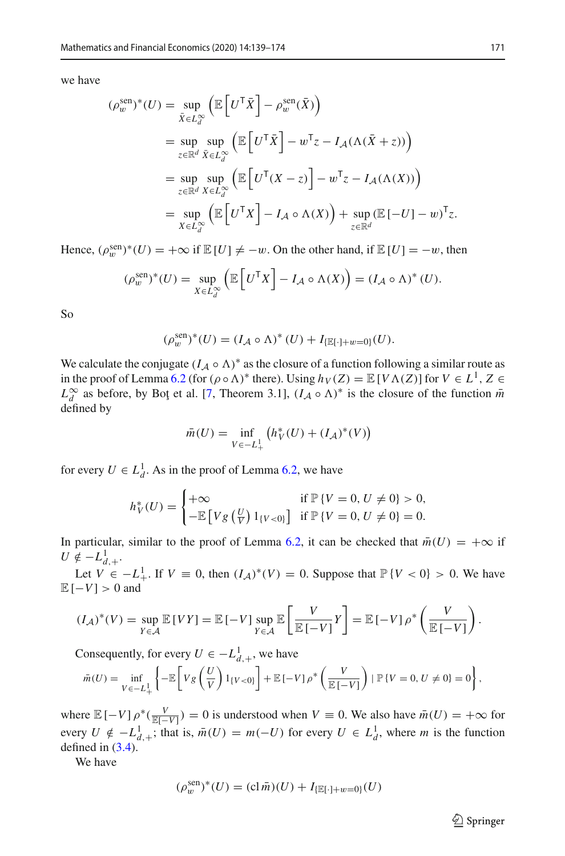we have

$$
(\rho_w^{\text{sen}})^*(U) = \sup_{\bar{X} \in L_d^{\infty}} \left( \mathbb{E} \left[ U^{\mathsf{T}} \bar{X} \right] - \rho_w^{\text{sen}}(\bar{X}) \right)
$$
  
\n
$$
= \sup_{z \in \mathbb{R}^d} \sup_{\bar{X} \in L_d^{\infty}} \left( \mathbb{E} \left[ U^{\mathsf{T}} \bar{X} \right] - w^{\mathsf{T}} z - I_{\mathcal{A}} (\Lambda (\bar{X} + z)) \right)
$$
  
\n
$$
= \sup_{z \in \mathbb{R}^d} \sup_{X \in L_d^{\infty}} \left( \mathbb{E} \left[ U^{\mathsf{T}} (X - z) \right] - w^{\mathsf{T}} z - I_{\mathcal{A}} (\Lambda (X)) \right)
$$
  
\n
$$
= \sup_{X \in L_d^{\infty}} \left( \mathbb{E} \left[ U^{\mathsf{T}} X \right] - I_{\mathcal{A}} \circ \Lambda (X) \right) + \sup_{z \in \mathbb{R}^d} (\mathbb{E} \left[ -U \right] - w)^{\mathsf{T}} z.
$$

Hence,  $(\rho_w^{\text{sen}})^*(U) = +\infty$  if  $\mathbb{E}[U] \neq -w$ . On the other hand, if  $\mathbb{E}[U] = -w$ , then

$$
(\rho_w^{\text{sen}})^*(U) = \sup_{X \in L_d^{\infty}} \left( \mathbb{E} \left[ U^{\mathsf{T}} X \right] - I_{\mathcal{A}} \circ \Lambda(X) \right) = (I_{\mathcal{A}} \circ \Lambda)^*(U).
$$

So

$$
(\rho_w^{\text{sen}})^*(U) = (I_{\mathcal{A}} \circ \Lambda)^*(U) + I_{\{\mathbb{E}[\cdot] + w = 0\}}(U).
$$

We calculate the conjugate  $(I_A \circ \Lambda)^*$  as the closure of a function following a similar route as in the proof of Lemma [6.2](#page-28-1) (for  $(\rho \circ \Lambda)^*$  there). Using  $h_V(Z) = \mathbb{E}[V\Lambda(Z)]$  for  $V \in L^1$ ,  $Z \in$  $L^{\infty}_{d}$  as before, by Bot et al. [\[7](#page-34-9), Theorem 3.1],  $(I_A \circ \Lambda)^*$  is the closure of the function  $\bar{m}$ defined by

$$
\bar{m}(U) = \inf_{V \in -L^1_+} (h_V^*(U) + (I_{\mathcal{A}})^*(V))
$$

for every  $U \in L_d^1$ . As in the proof of Lemma [6.2,](#page-28-1) we have

$$
h_V^*(U) = \begin{cases} +\infty & \text{if } \mathbb{P}\{V = 0, U \neq 0\} > 0, \\ -\mathbb{E}\left[V g\left(\frac{U}{V}\right) 1_{\{V < 0\}}\right] & \text{if } \mathbb{P}\{V = 0, U \neq 0\} = 0. \end{cases}
$$

In particular, similar to the proof of Lemma [6.2,](#page-28-1) it can be checked that  $\bar{m}(U) = +\infty$  if  $U \notin -L^1_{d,+}$ .

Let *V* ∈ −*L*<sup>1</sup><sub>+</sub>. If *V* ≡ 0, then  $(I_A)^*(V) = 0$ . Suppose that  $\mathbb{P}{V < 0} > 0$ . We have  $E[-V] > 0$  and

$$
(I_{\mathcal{A}})^*(V) = \sup_{Y \in \mathcal{A}} \mathbb{E}[VY] = \mathbb{E}\left[-V\right] \sup_{Y \in \mathcal{A}} \mathbb{E}\left[\frac{V}{\mathbb{E}\left[-V\right]}Y\right] = \mathbb{E}\left[-V\right]\rho^*\left(\frac{V}{\mathbb{E}\left[-V\right]}\right).
$$

Consequently, for every  $U \in -L^1_{d,+}$ , we have

$$
\bar{m}(U) = \inf_{V \in -L_+^1} \left\{-\mathbb{E}\left[V g\left(\frac{U}{V}\right) 1_{\{V < 0\}}\right] + \mathbb{E}\left[-V\right] \rho^* \left(\frac{V}{\mathbb{E}\left[-V\right]}\right) \mid \mathbb{P}\left\{V = 0, U \neq 0\right\} = 0\right\},\right\}
$$

where  $\mathbb{E}[-V] \rho^*(\frac{V}{\mathbb{E}[-V]}) = 0$  is understood when  $V \equiv 0$ . We also have  $\bar{m}(U) = +\infty$  for every  $U \notin -L^1_{d,+}$ ; that is,  $\bar{m}(U) = m(-U)$  for every  $U \in L^1_d$ , where *m* is the function defined in  $(3.4)$ .

We have

$$
(\rho_w^{\text{sen}})^*(U) = (\text{cl } \bar{m})(U) + I_{\{\mathbb{E}[\cdot] + w = 0\}}(U)
$$

 $\hat{\mathfrak{D}}$  Springer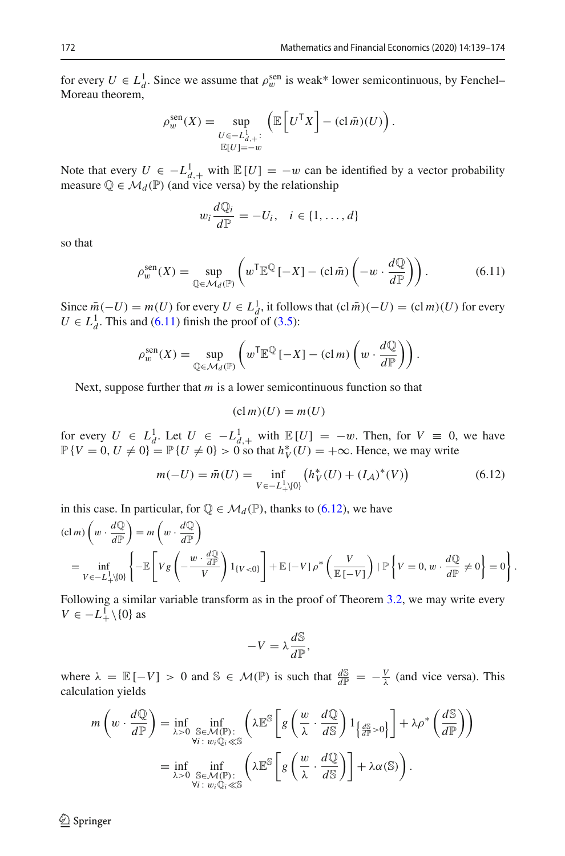for every  $U \in L_d^1$ . Since we assume that  $\rho_w^{\text{sen}}$  is weak\* lower semicontinuous, by Fenchel– Moreau theorem,

$$
\rho_w^{\text{sen}}(X) = \sup_{\substack{U \in -L_{d,+}^1:\\ \mathbb{E}[U] = -w}} \left( \mathbb{E}\left[ U^{\mathsf{T}} X \right] - (\text{cl } \bar{m})(U) \right).
$$

Note that every  $U \in -L^1_{d,+}$  with  $\mathbb{E}[U] = -w$  can be identified by a vector probability measure  $\mathbb{Q} \in \mathcal{M}_d(\mathbb{P})$  (and vice versa) by the relationship

<span id="page-33-0"></span>
$$
w_i \frac{d\mathbb{Q}_i}{d\mathbb{P}} = -U_i, \quad i \in \{1, \dots, d\}
$$

so that

$$
\rho_w^{\text{sen}}(X) = \sup_{\mathbb{Q} \in \mathcal{M}_d(\mathbb{P})} \left( w^{\mathsf{T}} \mathbb{E}^{\mathbb{Q}} \left[ -X \right] - (\text{cl } \bar{m}) \left( -w \cdot \frac{d\mathbb{Q}}{d\mathbb{P}} \right) \right). \tag{6.11}
$$

Since  $\bar{m}(-U) = m(U)$  for every  $U \in L_d^1$ , it follows that  $(cl\bar{m})(-U) = (cl\,m)(U)$  for every  $U \in L_d^1$ . This and [\(6.11\)](#page-33-0) finish the proof of [\(3.5\)](#page-10-3):

$$
\rho_w^{\text{sen}}(X) = \sup_{\mathbb{Q} \in \mathcal{M}_d(\mathbb{P})} \left( w^{\mathsf{T}} \mathbb{E}^{\mathbb{Q}} \left[ -X \right] - (\text{cl } m) \left( w \cdot \frac{d\mathbb{Q}}{d\mathbb{P}} \right) \right).
$$

Next, suppose further that *m* is a lower semicontinuous function so that

$$
(\mathrm{cl}\,m)(U) = m(U)
$$

for every  $U \in L_d^1$ . Let  $U \in -L_{d,+}^1$  with  $\mathbb{E}[U] = -w$ . Then, for  $V \equiv 0$ , we have  $\mathbb{P}{V = 0, U ≠ 0} = \mathbb{P}{U ≠ 0} > 0$  so that  $h_V^*(U) = +\infty$ . Hence, we may write

<span id="page-33-1"></span>
$$
m(-U) = \bar{m}(U) = \inf_{V \in -L^1_+\setminus\{0\}} \left( h_V^*(U) + (I_\mathcal{A})^*(V) \right) \tag{6.12}
$$

in this case. In particular, for  $\mathbb{Q} \in \mathcal{M}_d(\mathbb{P})$ , thanks to [\(6.12\)](#page-33-1), we have

$$
\begin{split} &\text{(cl } m) \left( w \cdot \frac{d\mathbb{Q}}{d\mathbb{P}} \right) = m \left( w \cdot \frac{d\mathbb{Q}}{d\mathbb{P}} \right) \\ &= \inf_{V \in -L_{+}^{1} \setminus \{0\}} \left\{ -\mathbb{E} \left[ Vg \left( -\frac{w \cdot \frac{d\mathbb{Q}}{d\mathbb{P}}}{V} \right) 1_{\{V < 0\}} \right] + \mathbb{E} \left[ -V \right] \rho^{*} \left( \frac{V}{\mathbb{E} \left[ -V \right]} \right) \mid \mathbb{P} \left\{ V = 0, w \cdot \frac{d\mathbb{Q}}{d\mathbb{P}} \neq 0 \right\} = 0 \right\}. \end{split}
$$

Following a similar variable transform as in the proof of Theorem [3.2,](#page-7-1) we may write every  $V \in -L^1_+\setminus\{0\}$  as

$$
-V = \lambda \frac{d\mathbb{S}}{d\mathbb{P}},
$$

where  $\lambda = \mathbb{E}[-V] > 0$  and  $\mathbb{S} \in \mathcal{M}(\mathbb{P})$  is such that  $\frac{d\mathbb{S}}{d\mathbb{P}} = -\frac{V}{\lambda}$  (and vice versa). This calculation yields

$$
m\left(w \cdot \frac{d\mathbb{Q}}{d\mathbb{P}}\right) = \inf_{\lambda > 0} \inf_{\substack{\mathbb{S} \in \mathcal{M}(\mathbb{P}) : \\ \forall i \colon w_i \mathbb{Q}_i \ll \mathbb{S}}} \left(\lambda \mathbb{E}^{\mathbb{S}}\left[g\left(\frac{w}{\lambda} \cdot \frac{d\mathbb{Q}}{d\mathbb{S}}\right)1_{\left\{\frac{d\mathbb{S}}{d\mathbb{P}} > 0\right\}}\right] + \lambda \rho^* \left(\frac{d\mathbb{S}}{d\mathbb{P}}\right)\right)
$$

$$
= \inf_{\lambda > 0} \inf_{\substack{\mathbb{S} \in \mathcal{M}(\mathbb{P}) : \\ \forall i \colon w_i \mathbb{Q}_i \ll \mathbb{S}}} \left(\lambda \mathbb{E}^{\mathbb{S}}\left[g\left(\frac{w}{\lambda} \cdot \frac{d\mathbb{Q}}{d\mathbb{S}}\right)\right] + \lambda \alpha(\mathbb{S})\right).
$$

 $\circledcirc$  Springer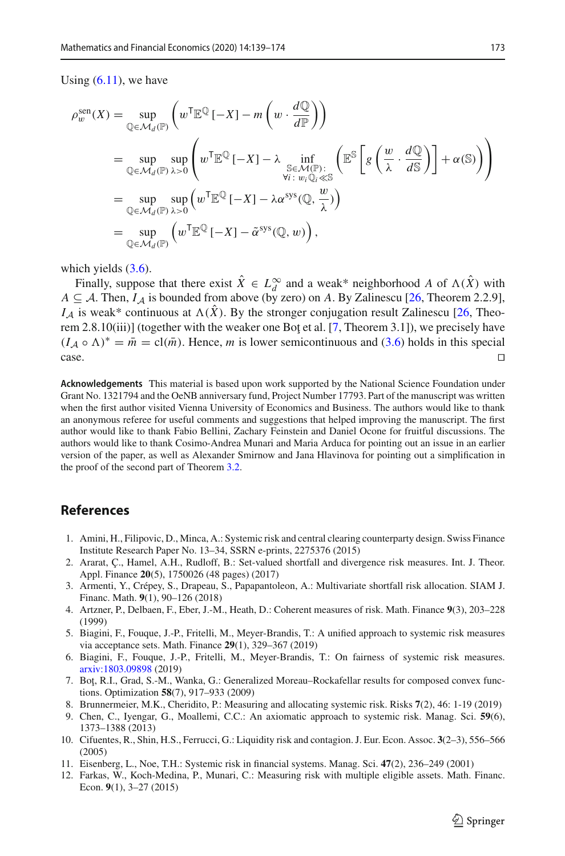Using  $(6.11)$ , we have

$$
\rho_w^{\text{sen}}(X) = \sup_{\mathbb{Q} \in \mathcal{M}_d(\mathbb{P})} \left( w^{\mathsf{T}} \mathbb{E}^{\mathbb{Q}} \left[ -X \right] - m \left( w \cdot \frac{d\mathbb{Q}}{d\mathbb{P}} \right) \right)
$$
  
\n
$$
= \sup_{\mathbb{Q} \in \mathcal{M}_d(\mathbb{P})} \sup_{\lambda > 0} \left( w^{\mathsf{T}} \mathbb{E}^{\mathbb{Q}} \left[ -X \right] - \lambda \inf_{\substack{\mathbb{S} \in \mathcal{M}(\mathbb{P}) : \\ \forall i \colon w_i \mathbb{Q}_i \ll \mathbb{S}}} \left( \mathbb{E}^{\mathbb{S}} \left[ g \left( \frac{w}{\lambda} \cdot \frac{d\mathbb{Q}}{d\mathbb{S}} \right) \right] + \alpha(\mathbb{S}) \right) \right)
$$
  
\n
$$
= \sup_{\mathbb{Q} \in \mathcal{M}_d(\mathbb{P})} \sup_{\lambda > 0} \left( w^{\mathsf{T}} \mathbb{E}^{\mathbb{Q}} \left[ -X \right] - \lambda \alpha^{\text{sys}}(\mathbb{Q}, \frac{w}{\lambda}) \right)
$$
  
\n
$$
= \sup_{\mathbb{Q} \in \mathcal{M}_d(\mathbb{P})} \left( w^{\mathsf{T}} \mathbb{E}^{\mathbb{Q}} \left[ -X \right] - \tilde{\alpha}^{\text{sys}}(\mathbb{Q}, w) \right),
$$

which yields  $(3.6)$ .

Finally, suppose that there exist  $X \in L_d^{\infty}$  and a weak\* neighborhood *A* of  $\Lambda(X)$  with *A* ⊂ *A*. Then, *I<sub>A</sub>* is bounded from above (by zero) on *A*. By Zalinescu [\[26,](#page-35-7) Theorem 2.2.9],  $I_A$  is weak\* continuous at  $\Lambda(\hat{X})$ . By the stronger conjugation result Zalinescu [\[26](#page-35-7), Theo-rem 2.8.10(iii)] (together with the weaker one Bot et al. [\[7](#page-34-9), Theorem 3.1]), we precisely have  $(I_A \circ \Lambda)^* = \overline{m} = \text{cl}(\overline{m})$ . Hence, *m* is lower semicontinuous and [\(3.6\)](#page-11-0) holds in this special case.  $\Box$ case.

**Acknowledgements** This material is based upon work supported by the National Science Foundation under Grant No. 1321794 and the OeNB anniversary fund, Project Number 17793. Part of the manuscript was written when the first author visited Vienna University of Economics and Business. The authors would like to thank an anonymous referee for useful comments and suggestions that helped improving the manuscript. The first author would like to thank Fabio Bellini, Zachary Feinstein and Daniel Ocone for fruitful discussions. The authors would like to thank Cosimo-Andrea Munari and Maria Arduca for pointing out an issue in an earlier version of the paper, as well as Alexander Smirnow and Jana Hlavinova for pointing out a simplification in the proof of the second part of Theorem [3.2.](#page-7-1)

# **References**

- <span id="page-34-3"></span>1. Amini, H., Filipovic, D., Minca, A.: Systemic risk and central clearing counterparty design. Swiss Finance Institute Research Paper No. 13–34, SSRN e-prints, 2275376 (2015)
- <span id="page-34-11"></span>2. Ararat, Ç., Hamel, A.H., Rudloff, B.: Set-valued shortfall and divergence risk measures. Int. J. Theor. Appl. Finance **20**(5), 1750026 (48 pages) (2017)
- <span id="page-34-5"></span>3. Armenti, Y., Crépey, S., Drapeau, S., Papapantoleon, A.: Multivariate shortfall risk allocation. SIAM J. Financ. Math. **9**(1), 90–126 (2018)
- <span id="page-34-4"></span>4. Artzner, P., Delbaen, F., Eber, J.-M., Heath, D.: Coherent measures of risk. Math. Finance **9**(3), 203–228 (1999)
- <span id="page-34-6"></span>5. Biagini, F., Fouque, J.-P., Fritelli, M., Meyer-Brandis, T.: A unified approach to systemic risk measures via acceptance sets. Math. Finance **29**(1), 329–367 (2019)
- <span id="page-34-10"></span>6. Biagini, F., Fouque, J.-P., Fritelli, M., Meyer-Brandis, T.: On fairness of systemic risk measures. [arxiv:1803.09898](http://arxiv.org/abs/1803.09898) (2019)
- <span id="page-34-9"></span>7. Bot, R.I., Grad, S.-M., Wanka, G.: Generalized Moreau–Rockafellar results for composed convex functions. Optimization **58**(7), 917–933 (2009)
- <span id="page-34-7"></span>8. Brunnermeier, M.K., Cheridito, P.: Measuring and allocating systemic risk. Risks **7**(2), 46: 1-19 (2019)
- <span id="page-34-2"></span>9. Chen, C., Iyengar, G., Moallemi, C.C.: An axiomatic approach to systemic risk. Manag. Sci. **59**(6), 1373–1388 (2013)
- <span id="page-34-1"></span>10. Cifuentes, R., Shin, H.S., Ferrucci, G.: Liquidity risk and contagion. J. Eur. Econ. Assoc. **3**(2–3), 556–566 (2005)
- <span id="page-34-0"></span>11. Eisenberg, L., Noe, T.H.: Systemic risk in financial systems. Manag. Sci. **47**(2), 236–249 (2001)
- <span id="page-34-8"></span>12. Farkas, W., Koch-Medina, P., Munari, C.: Measuring risk with multiple eligible assets. Math. Financ. Econ. **9**(1), 3–27 (2015)